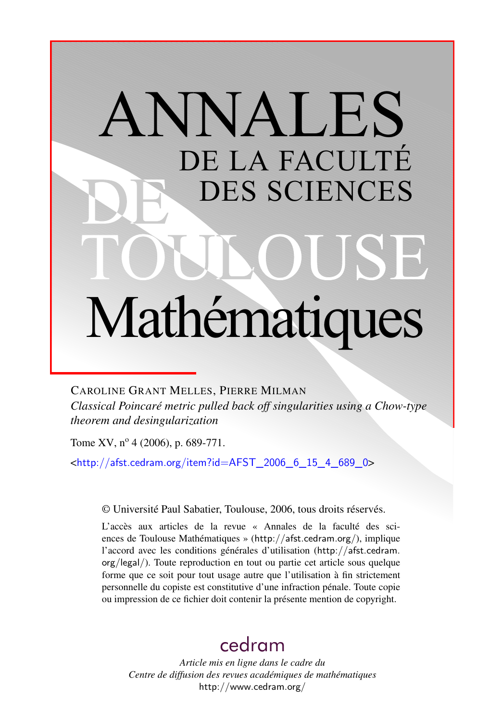# ANNALES DE LA FACULTÉ DES SCIENCES Mathématiques

CAROLINE GRANT MELLES, PIERRE MILMAN

*Classical Poincaré metric pulled back off singularities using a Chow-type theorem and desingularization*

Tome XV,  $n^{\circ}$  4 (2006), p. 689-771.

<[http://afst.cedram.org/item?id=AFST\\_2006\\_6\\_15\\_4\\_689\\_0](http://afst.cedram.org/item?id=AFST_2006_6_15_4_689_0)>

© Université Paul Sabatier, Toulouse, 2006, tous droits réservés.

L'accès aux articles de la revue « Annales de la faculté des sciences de Toulouse Mathématiques » (<http://afst.cedram.org/>), implique l'accord avec les conditions générales d'utilisation ([http://afst.cedram.](http://afst.cedram.org/legal/) [org/legal/](http://afst.cedram.org/legal/)). Toute reproduction en tout ou partie cet article sous quelque forme que ce soit pour tout usage autre que l'utilisation à fin strictement personnelle du copiste est constitutive d'une infraction pénale. Toute copie ou impression de ce fichier doit contenir la présente mention de copyright.

# [cedram](http://www.cedram.org/)

*Article mis en ligne dans le cadre du Centre de diffusion des revues académiques de mathématiques* <http://www.cedram.org/>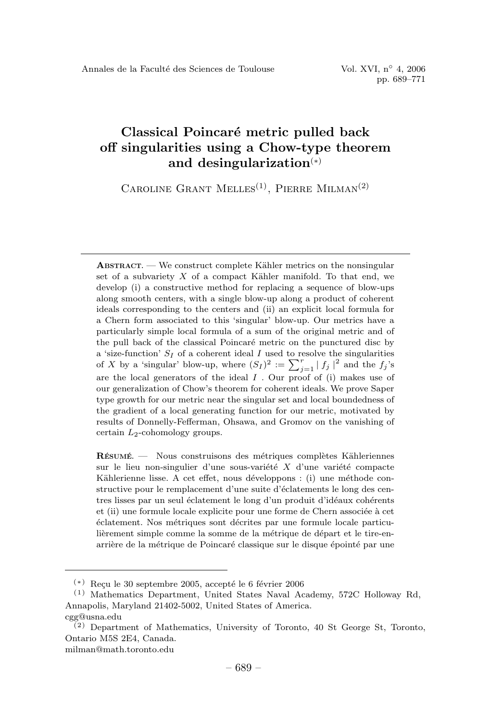## **Classical Poincar´e metric pulled back off singularities using a Chow-type theorem and desingularization**(∗)

CAROLINE GRANT MELLES<sup>(1)</sup>, PIERRE MILMAN<sup>(2)</sup>

**ABSTRACT.** — We construct complete Kähler metrics on the nonsingular set of a subvariety  $X$  of a compact Kähler manifold. To that end, we develop (i) a constructive method for replacing a sequence of blow-ups along smooth centers, with a single blow-up along a product of coherent ideals corresponding to the centers and (ii) an explicit local formula for a Chern form associated to this 'singular' blow-up. Our metrics have a particularly simple local formula of a sum of the original metric and of the pull back of the classical Poincaré metric on the punctured disc by a 'size-function'  $S_I$  of a coherent ideal  $I$  used to resolve the singularities of X by a 'singular' blow-up, where  $(S_I)^2 := \sum_{j=1}^r |f_j|^2$  and the  $f_j$ 's are the local generators of the ideal  $I$ . Our proof of (i) makes use of our generalization of Chow's theorem for coherent ideals. We prove Saper type growth for our metric near the singular set and local boundedness of the gradient of a local generating function for our metric, motivated by results of Donnelly-Fefferman, Ohsawa, and Gromov on the vanishing of certain  $L_2$ -cohomology groups.

**RESUM ´ E. ´** — Nous construisons des m´etriques compl`etes K¨ahleriennes sur le lieu non-singulier d'une sous-variété  $X$  d'une variété compacte Kählerienne lisse. A cet effet, nous développons : (i) une méthode constructive pour le remplacement d'une suite d'éclatements le long des centres lisses par un seul éclatement le long d'un produit d'idéaux cohérents et (ii) une formule locale explicite pour une forme de Chern associée à cet ´eclatement. Nos m´etriques sont d´ecrites par une formule locale particulièrement simple comme la somme de la métrique de départ et le tire-enarrière de la métrique de Poincaré classique sur le disque épointé par une

 $(*)$  Recu le 30 septembre 2005, accepté le 6 février 2006

<sup>(1)</sup> Mathematics Department, United States Naval Academy, 572C Holloway Rd, Annapolis, Maryland 21402-5002, United States of America.

cgg@usna.edu

<sup>(2)</sup> Department of Mathematics, University of Toronto, 40 St George St, Toronto, Ontario M5S 2E4, Canada.

milman@math.toronto.edu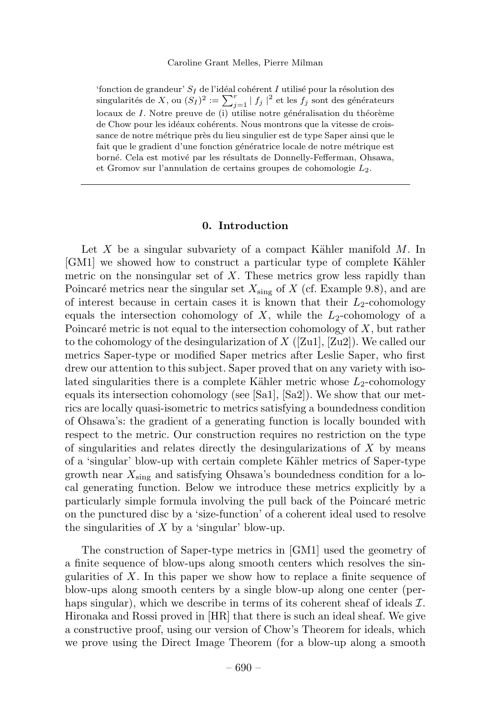'fonction de grandeur'  $S_I$  de l'idéal cohérent I utilisé pour la résolution des singularités de X, ou  $(S_I)^2 := \sum_{j=1}^r |f_j|^2$  et les  $f_j$  sont des générateurs locaux de  $I$ . Notre preuve de (i) utilise notre généralisation du théorème de Chow pour les idéaux cohérents. Nous montrons que la vitesse de croissance de notre métrique près du lieu singulier est de type Saper ainsi que le fait que le gradient d'une fonction génératrice locale de notre métrique est borné. Cela est motivé par les résultats de Donnelly-Fefferman, Ohsawa, et Gromov sur l'annulation de certains groupes de cohomologie  $L_2$ .

#### **0. Introduction**

Let  $X$  be a singular subvariety of a compact Kähler manifold  $M$ . In [GM1] we showed how to construct a particular type of complete Kähler metric on the nonsingular set of *X*. These metrics grow less rapidly than Poincaré metrics near the singular set  $X_{\text{sing}}$  of *X* (cf. Example 9.8), and are of interest because in certain cases it is known that their  $L_2$ -cohomology equals the intersection cohomology of  $X$ , while the  $L_2$ -cohomology of a Poincaré metric is not equal to the intersection cohomology of  $X$ , but rather to the cohomology of the desingularization of *X* ([Zu1], [Zu2]). We called our metrics Saper-type or modified Saper metrics after Leslie Saper, who first drew our attention to this subject. Saper proved that on any variety with isolated singularities there is a complete Kähler metric whose  $L_2$ -cohomology equals its intersection cohomology (see [Sa1], [Sa2]). We show that our metrics are locally quasi-isometric to metrics satisfying a boundedness condition of Ohsawa's: the gradient of a generating function is locally bounded with respect to the metric. Our construction requires no restriction on the type of singularities and relates directly the desingularizations of *X* by means of a 'singular' blow-up with certain complete Kähler metrics of Saper-type growth near *X*sing and satisfying Ohsawa's boundedness condition for a local generating function. Below we introduce these metrics explicitly by a particularly simple formula involving the pull back of the Poincaré metric on the punctured disc by a 'size-function' of a coherent ideal used to resolve the singularities of *X* by a 'singular' blow-up.

The construction of Saper-type metrics in [GM1] used the geometry of a finite sequence of blow-ups along smooth centers which resolves the singularities of *X*. In this paper we show how to replace a finite sequence of blow-ups along smooth centers by a single blow-up along one center (perhaps singular), which we describe in terms of its coherent sheaf of ideals  $\mathcal{I}$ . Hironaka and Rossi proved in [HR] that there is such an ideal sheaf. We give a constructive proof, using our version of Chow's Theorem for ideals, which we prove using the Direct Image Theorem (for a blow-up along a smooth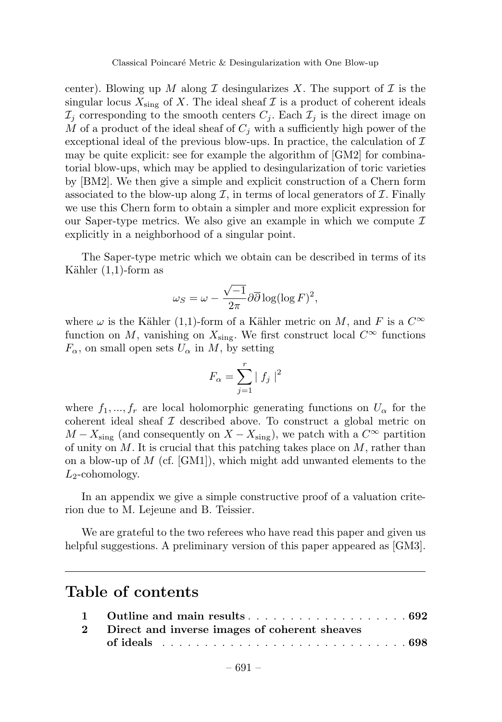center). Blowing up M along I desingularizes X. The support of I is the singular locus  $X_{\text{sing}}$  of X. The ideal sheaf  $\mathcal I$  is a product of coherent ideals  $\mathcal{I}_i$  corresponding to the smooth centers  $C_i$ . Each  $\mathcal{I}_i$  is the direct image on *M* of a product of the ideal sheaf of *C<sup>j</sup>* with a sufficiently high power of the exceptional ideal of the previous blow-ups. In practice, the calculation of  $\mathcal I$ may be quite explicit: see for example the algorithm of [GM2] for combinatorial blow-ups, which may be applied to desingularization of toric varieties by [BM2]. We then give a simple and explicit construction of a Chern form associated to the blow-up along  $\mathcal I$ , in terms of local generators of  $\mathcal I$ . Finally we use this Chern form to obtain a simpler and more explicit expression for our Saper-type metrics. We also give an example in which we compute  $\mathcal I$ explicitly in a neighborhood of a singular point.

The Saper-type metric which we obtain can be described in terms of its Kähler  $(1,1)$ -form as

$$
\omega_S = \omega - \frac{\sqrt{-1}}{2\pi} \partial \overline{\partial} \log(\log F)^2,
$$

where  $\omega$  is the Kähler (1,1)-form of a Kähler metric on *M*, and *F* is a  $C^{\infty}$ function on *M*, vanishing on  $X_{\text{sing}}$ . We first construct local  $C^{\infty}$  functions  $F_{\alpha}$ , on small open sets  $U_{\alpha}$  in  $M$ , by setting

$$
F_{\alpha} = \sum_{j=1}^{r} |f_j|^2
$$

where  $f_1, ..., f_r$  are local holomorphic generating functions on  $U_\alpha$  for the coherent ideal sheaf  $\mathcal I$  described above. To construct a global metric on *M* −  $X_{\text{sing}}$  (and consequently on  $X - X_{\text{sing}}$ ), we patch with a  $C^{\infty}$  partition of unity on *M*. It is crucial that this patching takes place on *M*, rather than on a blow-up of *M* (cf. [GM1]), which might add unwanted elements to the *L*2-cohomology.

In an appendix we give a simple constructive proof of a valuation criterion due to M. Lejeune and B. Teissier.

We are grateful to the two referees who have read this paper and given us helpful suggestions. A preliminary version of this paper appeared as [GM3].

## **Table of contents**

| 2 Direct and inverse images of coherent sheaves |  |
|-------------------------------------------------|--|
|                                                 |  |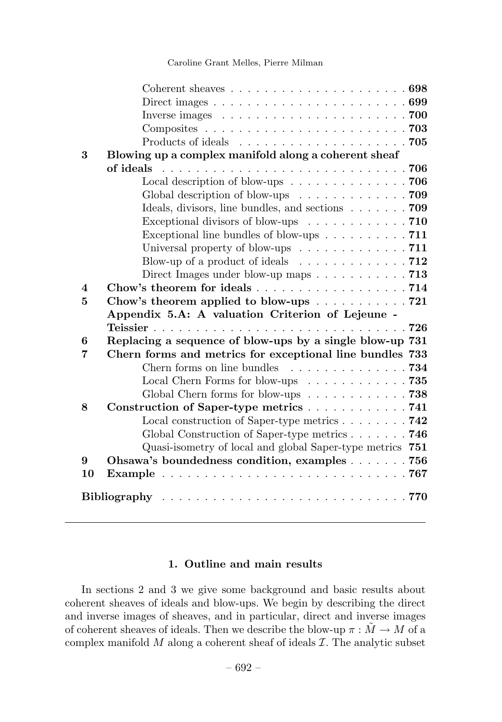|                         | Coherent sheaves $\dots \dots \dots \dots \dots \dots \dots \dots \dots 698$       |  |  |
|-------------------------|------------------------------------------------------------------------------------|--|--|
|                         | Direct images $\ldots \ldots \ldots \ldots \ldots \ldots \ldots \ldots \ldots 699$ |  |  |
|                         | Inverse images $\ldots \ldots \ldots \ldots \ldots \ldots \ldots \ldots \ldots$    |  |  |
|                         |                                                                                    |  |  |
|                         |                                                                                    |  |  |
| 3                       | Blowing up a complex manifold along a coherent sheaf                               |  |  |
|                         |                                                                                    |  |  |
|                         | Local description of blow-ups $\dots \dots \dots \dots \dots \dots$ 706            |  |  |
|                         | Global description of blow-ups 709                                                 |  |  |
|                         | Ideals, divisors, line bundles, and sections $\ldots \ldots \ldots$ 709            |  |  |
|                         | Exceptional divisors of blow-ups 710                                               |  |  |
|                         | Exceptional line bundles of blow-ups $\ldots \ldots \ldots$ 711                    |  |  |
|                         | Universal property of blow-ups $\dots \dots \dots \dots \dots$ . 711               |  |  |
|                         | Blow-up of a product of ideals $\dots \dots \dots \dots \dots \dots$ 712           |  |  |
|                         | Direct Images under blow-up maps $\ldots \ldots \ldots \ldots$ 713                 |  |  |
| $\overline{\mathbf{4}}$ | Chow's theorem for ideals 714                                                      |  |  |
| 5                       | Chow's theorem applied to blow-ups 721                                             |  |  |
|                         | Appendix 5.A: A valuation Criterion of Lejeune -                                   |  |  |
|                         |                                                                                    |  |  |
| 6                       | Replacing a sequence of blow-ups by a single blow-up 731                           |  |  |
| 7                       | Chern forms and metrics for exceptional line bundles 733                           |  |  |
|                         | Chern forms on line bundles $\ldots \ldots \ldots \ldots \ldots$ 734               |  |  |
|                         | Local Chern Forms for blow-ups $\ldots \ldots \ldots \ldots$ 735                   |  |  |
|                         | Global Chern forms for blow-ups $\ldots \ldots \ldots \ldots$ 738                  |  |  |
| 8                       | Construction of Saper-type metrics 741                                             |  |  |
|                         | Local construction of Saper-type metrics $\ldots \ldots \ldots$ 742                |  |  |
|                         | Global Construction of Saper-type metrics $\ldots \ldots \ldots$ 746               |  |  |
|                         | Quasi-isometry of local and global Saper-type metrics 751                          |  |  |
| 9                       | Ohsawa's boundedness condition, examples 756                                       |  |  |
| 10                      |                                                                                    |  |  |
|                         |                                                                                    |  |  |

#### **1. Outline and main results**

In sections 2 and 3 we give some background and basic results about coherent sheaves of ideals and blow-ups. We begin by describing the direct and inverse images of sheaves, and in particular, direct and inverse images of coherent sheaves of ideals. Then we describe the blow-up  $\pi : M \to M$  of a complex manifold  $M$  along a coherent sheaf of ideals  $\mathcal I$ . The analytic subset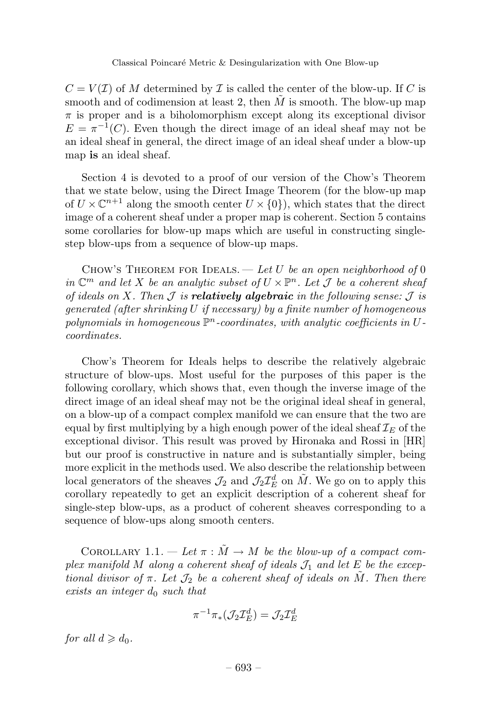$C = V(\mathcal{I})$  of M determined by  $\mathcal{I}$  is called the center of the blow-up. If C is smooth and of codimension at least 2, then  $\tilde{M}$  is smooth. The blow-up map *π* is proper and is a biholomorphism except along its exceptional divisor  $E = \pi^{-1}(C)$ . Even though the direct image of an ideal sheaf may not be an ideal sheaf in general, the direct image of an ideal sheaf under a blow-up map **is** an ideal sheaf.

Section 4 is devoted to a proof of our version of the Chow's Theorem that we state below, using the Direct Image Theorem (for the blow-up map of  $U \times \mathbb{C}^{n+1}$  along the smooth center  $U \times \{0\}$ , which states that the direct image of a coherent sheaf under a proper map is coherent. Section 5 contains some corollaries for blow-up maps which are useful in constructing singlestep blow-ups from a sequence of blow-up maps.

CHOW'S THEOREM FOR IDEALS. — Let *U* be an open neighborhood of 0 in  $\mathbb{C}^m$  and let X be an analytic subset of  $U \times \mathbb{P}^n$ . Let J be a coherent sheaf of ideals on *X*. Then  $\mathcal J$  is **relatively algebraic** in the following sense:  $\mathcal J$  is generated (after shrinking *U* if necessary) by a finite number of homogeneous polynomials in homogeneous P*n*-coordinates, with analytic coefficients in *U*coordinates.

Chow's Theorem for Ideals helps to describe the relatively algebraic structure of blow-ups. Most useful for the purposes of this paper is the following corollary, which shows that, even though the inverse image of the direct image of an ideal sheaf may not be the original ideal sheaf in general, on a blow-up of a compact complex manifold we can ensure that the two are equal by first multiplying by a high enough power of the ideal sheaf  $\mathcal{I}_E$  of the exceptional divisor. This result was proved by Hironaka and Rossi in [HR] but our proof is constructive in nature and is substantially simpler, being more explicit in the methods used. We also describe the relationship between local generators of the sheaves  $\mathcal{J}_2$  and  $\mathcal{J}_2\mathcal{I}_{E}^d$  on  $\tilde{M}$ . We go on to apply this corollary repeatedly to get an explicit description of a coherent sheaf for single-step blow-ups, as a product of coherent sheaves corresponding to a sequence of blow-ups along smooth centers.

COROLLARY 1.1. — Let  $\pi : M \to M$  be the blow-up of a compact complex manifold  $M$  along a coherent sheaf of ideals  $\mathcal{J}_1$  and let  $E$  be the exceptional divisor of  $\pi$ . Let  $\mathcal{J}_2$  be a coherent sheaf of ideals on M. Then there exists an integer *d*<sup>0</sup> such that

$$
\pi^{-1}\pi_*({\mathcal J}_2{\mathcal I}_E^d)={\mathcal J}_2{\mathcal I}_E^d
$$

for all  $d \geqslant d_0$ .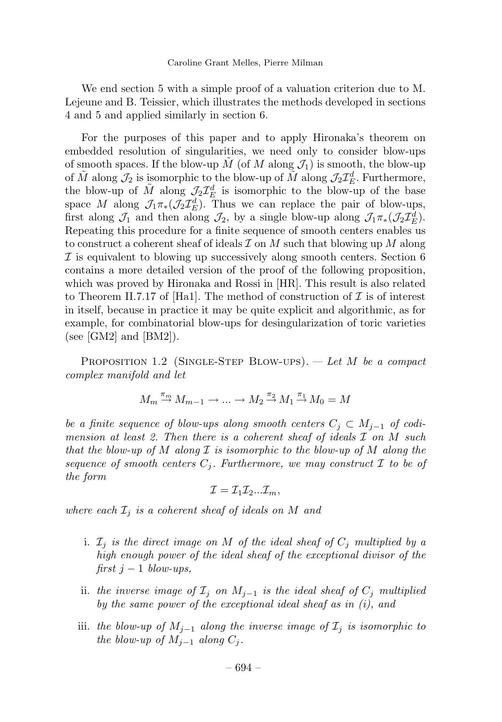We end section 5 with a simple proof of a valuation criterion due to M. Lejeune and B. Teissier, which illustrates the methods developed in sections 4 and 5 and applied similarly in section 6.

For the purposes of this paper and to apply Hironaka's theorem on embedded resolution of singularities, we need only to consider blow-ups of smooth spaces. If the blow-up  $\tilde{M}$  (of  $M$  along  $\mathcal{J}_1$ ) is smooth, the blow-up of  $\tilde{M}$  along  $\mathcal{J}_2$  is isomorphic to the blow-up of  $\tilde{M}$  along  $\mathcal{J}_2\mathcal{I}_E^d$ . Furthermore, the blow-up of  $\tilde{M}$  along  $\mathcal{J}_2\mathcal{I}_E^d$  is isomorphic to the blow-up of the base space *M* along  $\mathcal{J}_1\pi_*(\mathcal{J}_2\mathcal{I}_E^d)$ . Thus we can replace the pair of blow-ups, first along  $\mathcal{J}_1$  and then along  $\mathcal{J}_2$ , by a single blow-up along  $\mathcal{J}_1\pi_*(\mathcal{J}_2\mathcal{I}_{E}^d)$ . Repeating this procedure for a finite sequence of smooth centers enables us to construct a coherent sheaf of ideals I on *M* such that blowing up *M* along  $I$  is equivalent to blowing up successively along smooth centers. Section 6 contains a more detailed version of the proof of the following proposition, which was proved by Hironaka and Rossi in [HR]. This result is also related to Theorem II.7.17 of [Ha1]. The method of construction of  $\mathcal I$  is of interest in itself, because in practice it may be quite explicit and algorithmic, as for example, for combinatorial blow-ups for desingularization of toric varieties (see [GM2] and  $[BM2]$ ).

PROPOSITION 1.2 (SINGLE-STEP BLOW-UPS). — Let *M* be a compact complex manifold and let

$$
M_m \stackrel{\pi_m}{\to} M_{m-1} \to \dots \to M_2 \stackrel{\pi_2}{\to} M_1 \stackrel{\pi_1}{\to} M_0 = M
$$

be a finite sequence of blow-ups along smooth centers  $C_j \subset M_{j-1}$  of codimension at least 2. Then there is a coherent sheaf of ideals I on *M* such that the blow-up of *M* along I is isomorphic to the blow-up of *M* along the sequence of smooth centers  $C_j$ . Furthermore, we may construct  $\mathcal I$  to be of the form

$$
\mathcal{I}=\mathcal{I}_1\mathcal{I}_2...\mathcal{I}_m,
$$

where each  $\mathcal{I}_i$  is a coherent sheaf of ideals on *M* and

- i.  $\mathcal{I}_j$  is the direct image on *M* of the ideal sheaf of  $C_j$  multiplied by a high enough power of the ideal sheaf of the exceptional divisor of the first  $j - 1$  blow-ups,
- ii. the inverse image of  $\mathcal{I}_j$  on  $M_{j-1}$  is the ideal sheaf of  $C_j$  multiplied by the same power of the exceptional ideal sheaf as in (i), and
- iii. the blow-up of  $M_{i-1}$  along the inverse image of  $\mathcal{I}_i$  is isomorphic to *the blow-up of*  $M$ <sup>*j*−1</sup> along  $C$ <sup>*j*</sup>.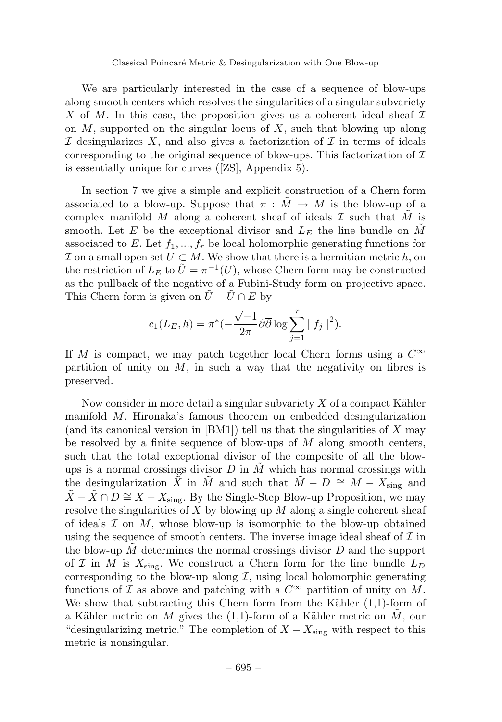We are particularly interested in the case of a sequence of blow-ups along smooth centers which resolves the singularities of a singular subvariety X of M. In this case, the proposition gives us a coherent ideal sheaf  $\mathcal I$ on *M*, supported on the singular locus of *X*, such that blowing up along I desingularizes X, and also gives a factorization of I in terms of ideals corresponding to the original sequence of blow-ups. This factorization of  $\mathcal I$ is essentially unique for curves ([ZS], Appendix 5).

In section 7 we give a simple and explicit construction of a Chern form associated to a blow-up. Suppose that  $\pi : \tilde{M} \to M$  is the blow-up of a complex manifold *M* along a coherent sheaf of ideals  $\mathcal I$  such that  $\tilde M$  is smooth. Let *E* be the exceptional divisor and  $L<sub>E</sub>$  the line bundle on *M* associated to  $E$ . Let  $f_1, ..., f_r$  be local holomorphic generating functions for  $\mathcal I$  on a small open set  $U \subset M$ . We show that there is a hermitian metric  $h$ , on the restriction of  $L_E$  to  $\tilde{U} = \pi^{-1}(U)$ , whose Chern form may be constructed as the pullback of the negative of a Fubini-Study form on projective space. This Chern form is given on  $U - U \cap E$  by

$$
c_1(L_E, h) = \pi^*(-\frac{\sqrt{-1}}{2\pi}\partial\overline{\partial}\log \sum_{j=1}^r |f_j|^2).
$$

If *M* is compact, we may patch together local Chern forms using a  $C^{\infty}$ partition of unity on  $M$ , in such a way that the negativity on fibres is preserved.

Now consider in more detail a singular subvariety  $X$  of a compact Kähler manifold *M*. Hironaka's famous theorem on embedded desingularization (and its canonical version in [BM1]) tell us that the singularities of *X* may be resolved by a finite sequence of blow-ups of *M* along smooth centers, such that the total exceptional divisor of the composite of all the blowups is a normal crossings divisor *D* in *M*˜ which has normal crossings with the desingularization  $\tilde{X}$  in  $\tilde{M}$  and such that  $\tilde{M} - D \cong M - X_{\text{sing}}$  and  $\tilde{X} - \tilde{X} \cap D \cong X - X_{\text{sing}}$ . By the Single-Step Blow-up Proposition, we may resolve the singularities of *X* by blowing up *M* along a single coherent sheaf of ideals  $\mathcal I$  on  $M$ , whose blow-up is isomorphic to the blow-up obtained using the sequence of smooth centers. The inverse image ideal sheaf of  $\mathcal I$  in the blow-up *M*˜ determines the normal crossings divisor *D* and the support of  $\mathcal{I}$  in  $M$  is  $X_{\text{sing}}$ . We construct a Chern form for the line bundle  $L_D$ corresponding to the blow-up along  $\mathcal I$ , using local holomorphic generating functions of  $\mathcal I$  as above and patching with a  $C^{\infty}$  partition of unity on  $M$ . We show that subtracting this Chern form from the Kähler  $(1,1)$ -form of a Kähler metric on *M* gives the (1,1)-form of a Kähler metric on *M*, our "desingularizing metric." The completion of  $X - X_{\text{sing}}$  with respect to this metric is nonsingular.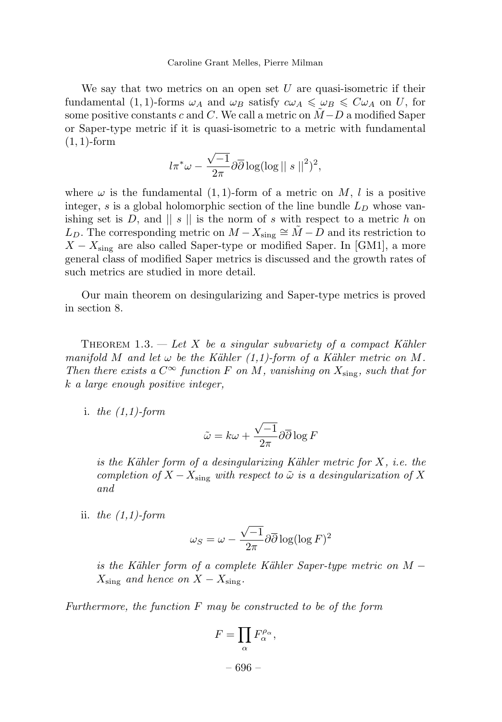We say that two metrics on an open set *U* are quasi-isometric if their fundamental  $(1, 1)$ -forms  $\omega_A$  and  $\omega_B$  satisfy  $c\omega_A \leq \omega_B \leq C\omega_A$  on *U*, for some positive constants *c* and *C*. We call a metric on  $\tilde{M}-D$  a modified Saper or Saper-type metric if it is quasi-isometric to a metric with fundamental (1*,* 1)-form

$$
l\pi^*\omega - \frac{\sqrt{-1}}{2\pi}\partial\overline{\partial}\log(\log||s||^2)^2,
$$

where  $\omega$  is the fundamental  $(1,1)$ -form of a metric on M, l is a positive integer, *s* is a global holomorphic section of the line bundle *L<sup>D</sup>* whose vanishing set is *D*, and  $|| s ||$  is the norm of *s* with respect to a metric *h* on *L*<sub>*D*</sub>. The corresponding metric on  $M - X_{\text{sing}} \cong \tilde{M} - D$  and its restriction to  $X - X_{\text{sing}}$  are also called Saper-type or modified Saper. In [GM1], a more general class of modified Saper metrics is discussed and the growth rates of such metrics are studied in more detail.

Our main theorem on desingularizing and Saper-type metrics is proved in section 8.

THEOREM 1.3.  $-$  Let X be a singular subvariety of a compact Kähler manifold *M* and let  $\omega$  be the Kähler (1,1)-form of a Kähler metric on M. Then there exists a  $C^{\infty}$  function F on M, vanishing on  $X_{\text{sing}}$ , such that for *k* a large enough positive integer,

i. the  $(1,1)$ -form

$$
\tilde{\omega} = k\omega + \frac{\sqrt{-1}}{2\pi} \partial \overline{\partial} \log F
$$

is the Kähler form of a desingularizing Kähler metric for X, i.e. the completion of  $X - X_{\text{sing}}$  with respect to  $\tilde{\omega}$  is a desingularization of X and

ii. the  $(1,1)$ -form

$$
\omega_S = \omega - \frac{\sqrt{-1}}{2\pi} \partial \overline{\partial} \log(\log F)^2
$$

is the Kähler form of a complete Kähler Saper-type metric on *M* −  $X_{\text{sing}}$  and hence on  $X - X_{\text{sing}}$ .

Furthermore, the function *F* may be constructed to be of the form

$$
F=\prod_{\alpha}F_{\alpha}^{\rho_{\alpha}},
$$

– 696 –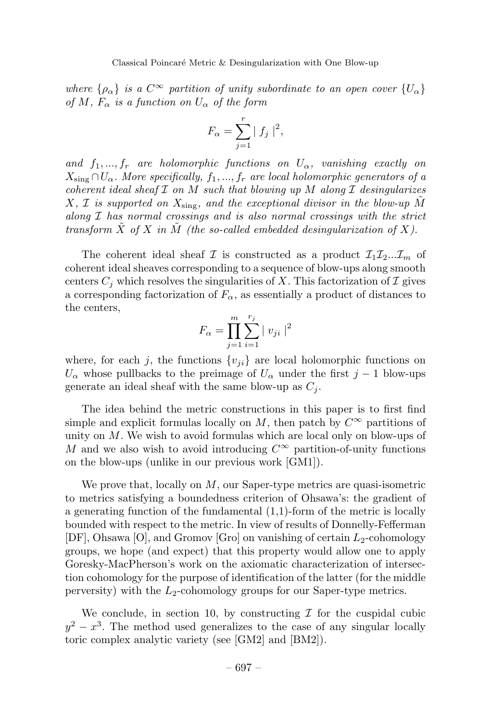where  $\{\rho_{\alpha}\}\$ is a  $C^{\infty}$  partition of unity subordinate to an open cover  $\{U_{\alpha}\}\$ of *M*,  $F_{\alpha}$  is a function on  $U_{\alpha}$  of the form

$$
F_{\alpha} = \sum_{j=1}^{r} |f_j|^2,
$$

and  $f_1, ..., f_r$  are holomorphic functions on  $U_\alpha$ , vanishing exactly on  $X_{\text{sing}} \cap U_{\alpha}$ . More specifically,  $f_1, ..., f_r$  are local holomorphic generators of a coherent ideal sheaf  $\mathcal I$  on  $M$  such that blowing up  $M$  along  $\mathcal I$  desingularizes *X*, *I* is supported on  $X_{\text{sing}}$ , and the exceptional divisor in the blow-up  $\tilde{M}$ along  $I$  has normal crossings and is also normal crossings with the strict transform  $\tilde{X}$  of  $X$  in  $\tilde{M}$  (the so-called embedded desingularization of  $X$ ).

The coherent ideal sheaf  $\mathcal I$  is constructed as a product  $\mathcal I_1\mathcal I_2...\mathcal I_m$  of coherent ideal sheaves corresponding to a sequence of blow-ups along smooth centers  $C_i$  which resolves the singularities of X. This factorization of  $\mathcal I$  gives a corresponding factorization of  $F_\alpha$ , as essentially a product of distances to the centers,

$$
F_{\alpha} = \prod_{j=1}^{m} \sum_{i=1}^{r_j} |v_{ji}|^2
$$

where, for each *j*, the functions  $\{v_{ji}\}\$ are local holomorphic functions on  $U_{\alpha}$  whose pullbacks to the preimage of  $U_{\alpha}$  under the first *j* − 1 blow-ups generate an ideal sheaf with the same blow-up as  $C_i$ .

The idea behind the metric constructions in this paper is to first find simple and explicit formulas locally on *M*, then patch by  $C^{\infty}$  partitions of unity on *M*. We wish to avoid formulas which are local only on blow-ups of *M* and we also wish to avoid introducing *C*<sup>∞</sup> partition-of-unity functions on the blow-ups (unlike in our previous work [GM1]).

We prove that, locally on *M*, our Saper-type metrics are quasi-isometric to metrics satisfying a boundedness criterion of Ohsawa's: the gradient of a generating function of the fundamental (1,1)-form of the metric is locally bounded with respect to the metric. In view of results of Donnelly-Fefferman [DF], Ohsawa [O], and Gromov [Gro] on vanishing of certain *L*2-cohomology groups, we hope (and expect) that this property would allow one to apply Goresky-MacPherson's work on the axiomatic characterization of intersection cohomology for the purpose of identification of the latter (for the middle perversity) with the  $L_2$ -cohomology groups for our Saper-type metrics.

We conclude, in section 10, by constructing  $\mathcal I$  for the cuspidal cubic  $y^2 - x^3$ . The method used generalizes to the case of any singular locally toric complex analytic variety (see [GM2] and [BM2]).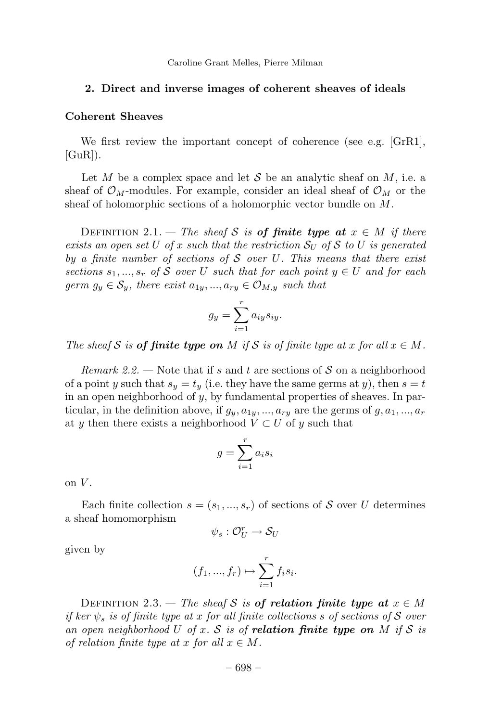#### **2. Direct and inverse images of coherent sheaves of ideals**

#### **Coherent Sheaves**

We first review the important concept of coherence (see e.g. [GrR1],  $[GuR]$ .

Let *M* be a complex space and let S be an analytic sheaf on  $M$ , i.e. a sheaf of  $\mathcal{O}_M$ -modules. For example, consider an ideal sheaf of  $\mathcal{O}_M$  or the sheaf of holomorphic sections of a holomorphic vector bundle on *M*.

DEFINITION 2.1. — The sheaf S is of finite type at  $x \in M$  if there exists an open set *U* of *x* such that the restriction  $S_U$  of S to *U* is generated by a finite number of sections of S over *U*. This means that there exist sections  $s_1, ..., s_r$  of S over *U* such that for each point  $y \in U$  and for each germ  $g_y \in \mathcal{S}_y$ , there exist  $a_{1y},...,a_{ry} \in \mathcal{O}_{M,y}$  such that

$$
g_y = \sum_{i=1}^r a_{iy} s_{iy}.
$$

The sheaf S is **of finite type on** M if S is of finite type at x for all  $x \in M$ .

Remark 2.2. — Note that if *s* and *t* are sections of S on a neighborhood of a point *y* such that  $s_y = t_y$  (i.e. they have the same germs at *y*), then  $s = t$ in an open neighborhood of *y*, by fundamental properties of sheaves. In particular, in the definition above, if  $g_y, a_{1y}, ..., a_{ry}$  are the germs of  $g, a_1, ..., a_r$ at *y* then there exists a neighborhood  $V \subset U$  of *y* such that

$$
g = \sum_{i=1}^{r} a_i s_i
$$

on  $V$ .

Each finite collection  $s = (s_1, ..., s_r)$  of sections of S over U determines a sheaf homomorphism

$$
\psi_s: \mathcal{O}_U^r \to \mathcal{S}_U
$$

given by

$$
(f_1, ..., f_r) \mapsto \sum_{i=1}^r f_i s_i.
$$

DEFINITION 2.3. — The sheaf S is of relation finite type at  $x \in M$ if ker *ψ<sup>s</sup>* is of finite type at *x* for all finite collections *s* of sections of S over an open neighborhood U of x. S is of **relation finite type on** M if S is of relation finite type at *x* for all  $x \in M$ .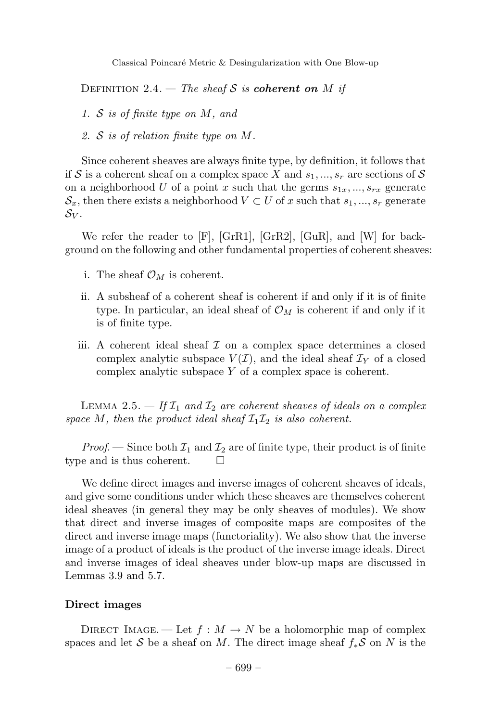Classical Poincaré Metric & Desingularization with One Blow-up

DEFINITION 2.4. — The sheaf S is *coherent on M* if

- 1. S is of finite type on *M*, and
- 2. S is of relation finite type on *M*.

Since coherent sheaves are always finite type, by definition, it follows that if S is a coherent sheaf on a complex space X and  $s_1, ..., s_r$  are sections of S on a neighborhood *U* of a point *x* such that the germs  $s_{1x}$ , ...,  $s_{rx}$  generate  $\mathcal{S}_x$ , then there exists a neighborhood  $V \subset U$  of x such that  $s_1, ..., s_r$  generate  $\mathcal{S}_V$  .

We refer the reader to [F], [GrR1], [GrR2], [GuR], and [W] for background on the following and other fundamental properties of coherent sheaves:

- i. The sheaf  $\mathcal{O}_M$  is coherent.
- ii. A subsheaf of a coherent sheaf is coherent if and only if it is of finite type. In particular, an ideal sheaf of  $\mathcal{O}_M$  is coherent if and only if it is of finite type.
- iii. A coherent ideal sheaf  $\mathcal I$  on a complex space determines a closed complex analytic subspace  $V(\mathcal{I})$ , and the ideal sheaf  $\mathcal{I}_Y$  of a closed complex analytic subspace *Y* of a complex space is coherent.

LEMMA 2.5.  $-$  If  $\mathcal{I}_1$  and  $\mathcal{I}_2$  are coherent sheaves of ideals on a complex space M, then the product ideal sheaf  $\mathcal{I}_1 \mathcal{I}_2$  is also coherent.

*Proof.* — Since both  $\mathcal{I}_1$  and  $\mathcal{I}_2$  are of finite type, their product is of finite type and is thus coherent.  $\square$ 

We define direct images and inverse images of coherent sheaves of ideals, and give some conditions under which these sheaves are themselves coherent ideal sheaves (in general they may be only sheaves of modules). We show that direct and inverse images of composite maps are composites of the direct and inverse image maps (functoriality). We also show that the inverse image of a product of ideals is the product of the inverse image ideals. Direct and inverse images of ideal sheaves under blow-up maps are discussed in Lemmas 3.9 and 5.7.

#### **Direct images**

DIRECT IMAGE. — Let  $f : M \to N$  be a holomorphic map of complex spaces and let S be a sheaf on M. The direct image sheaf  $f_*S$  on N is the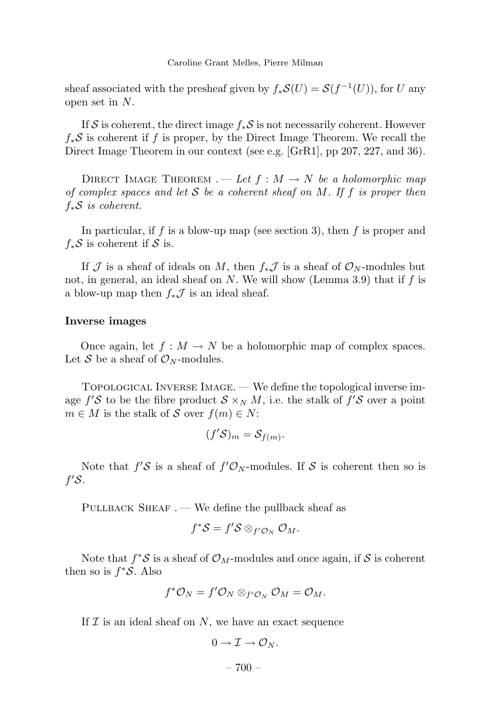sheaf associated with the presheaf given by  $f_*S(U) = S(f^{-1}(U))$ , for *U* any open set in *N*.

If S is coherent, the direct image *f*∗S is not necessarily coherent. However *f*∗S is coherent if *f* is proper, by the Direct Image Theorem. We recall the Direct Image Theorem in our context (see e.g. [GrR1], pp 207, 227, and 36).

DIRECT IMAGE THEOREM  $A \rightarrow Let f : M \rightarrow N$  be a holomorphic map of complex spaces and let S be a coherent sheaf on *M*. If *f* is proper then *f*∗S is coherent.

In particular, if *f* is a blow-up map (see section 3), then *f* is proper and  $f_*\mathcal{S}$  is coherent if  $\mathcal{S}$  is.

If J is a sheaf of ideals on M, then  $f_*\mathcal{J}$  is a sheaf of  $\mathcal{O}_N$ -modules but not, in general, an ideal sheaf on *N*. We will show (Lemma 3.9) that if *f* is a blow-up map then  $f_*\mathcal{J}$  is an ideal sheaf.

#### **Inverse images**

Once again, let  $f : M \to N$  be a holomorphic map of complex spaces. Let S be a sheaf of  $\mathcal{O}_N$ -modules.

Topological Inverse Image. — We define the topological inverse image  $f'S$  to be the fibre product  $S \times_N M$ , i.e. the stalk of  $f'S$  over a point  $m \in M$  is the stalk of S over  $f(m) \in N$ :

$$
(f'\mathcal{S})_m = \mathcal{S}_{f(m)}.
$$

Note that  $f'S$  is a sheaf of  $f'O_N$ -modules. If S is coherent then so is *f* S.

PULLBACK SHEAF. — We define the pullback sheaf as

$$
f^*S = f'S \otimes_{f' \mathcal{O}_N} \mathcal{O}_M.
$$

Note that  $f^*S$  is a sheaf of  $\mathcal{O}_M$ -modules and once again, if S is coherent then so is  $f^*S$ . Also

$$
f^*\mathcal{O}_N = f'\mathcal{O}_N \otimes_{f'\mathcal{O}_N} \mathcal{O}_M = \mathcal{O}_M.
$$

If  $\mathcal I$  is an ideal sheaf on  $N$ , we have an exact sequence

$$
0\to\mathcal{I}\to\mathcal{O}_N.
$$

– 700 –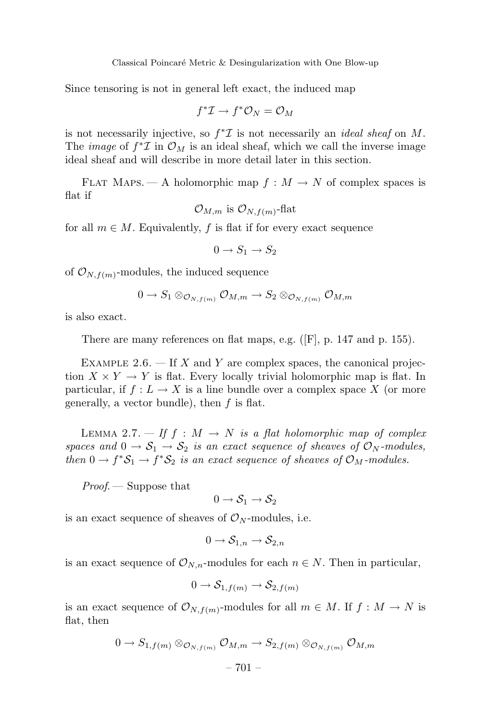Since tensoring is not in general left exact, the induced map

$$
f^*{\mathcal I} \to f^*{\mathcal O}_N = {\mathcal O}_M
$$

is not necessarily injective, so  $f^* \mathcal{I}$  is not necessarily an *ideal sheaf* on *M*. The *image* of  $f^* \mathcal{I}$  in  $\mathcal{O}_M$  is an ideal sheaf, which we call the inverse image ideal sheaf and will describe in more detail later in this section.

FLAT MAPS. — A holomorphic map  $f : M \to N$  of complex spaces is flat if

$$
\mathcal{O}_{M,m}
$$
 is  $\mathcal{O}_{N,f(m)}$ -flat

for all  $m \in M$ . Equivalently, f is flat if for every exact sequence

$$
0 \to S_1 \to S_2
$$

of  $\mathcal{O}_{N,f(m)}$ -modules, the induced sequence

$$
0 \to S_1 \otimes_{\mathcal{O}_{N,f(m)}} \mathcal{O}_{M,m} \to S_2 \otimes_{\mathcal{O}_{N,f(m)}} \mathcal{O}_{M,m}
$$

is also exact.

There are many references on flat maps, e.g. ([F], p. 147 and p. 155).

EXAMPLE  $2.6.$  – If *X* and *Y* are complex spaces, the canonical projection  $X \times Y \to Y$  is flat. Every locally trivial holomorphic map is flat. In particular, if  $f: L \to X$  is a line bundle over a complex space X (or more generally, a vector bundle), then *f* is flat.

LEMMA 2.7.  $\frac{df}{dt}$  *f*  $\therefore$  *M*  $\rightarrow$  *N* is a flat holomorphic map of complex spaces and  $0 \to S_1 \to S_2$  is an exact sequence of sheaves of  $\mathcal{O}_N$ -modules, then  $0 \to f^*S_1 \to f^*S_2$  is an exact sequence of sheaves of  $\mathcal{O}_M$ -modules.

Proof. — Suppose that

$$
0\to \mathcal{S}_1\to \mathcal{S}_2
$$

is an exact sequence of sheaves of  $\mathcal{O}_N$ -modules, i.e.

$$
0 \to \mathcal{S}_{1,n} \to \mathcal{S}_{2,n}
$$

is an exact sequence of  $\mathcal{O}_{N,n}$ -modules for each  $n \in N$ . Then in particular,

$$
0 \to \mathcal{S}_{1,f(m)} \to \mathcal{S}_{2,f(m)}
$$

is an exact sequence of  $\mathcal{O}_{N,f(m)}$ -modules for all  $m \in M$ . If  $f : M \to N$  is flat, then

$$
0 \to S_{1,f(m)} \otimes_{\mathcal{O}_{N,f(m)}} \mathcal{O}_{M,m} \to S_{2,f(m)} \otimes_{\mathcal{O}_{N,f(m)}} \mathcal{O}_{M,m}
$$

$$
-701 -
$$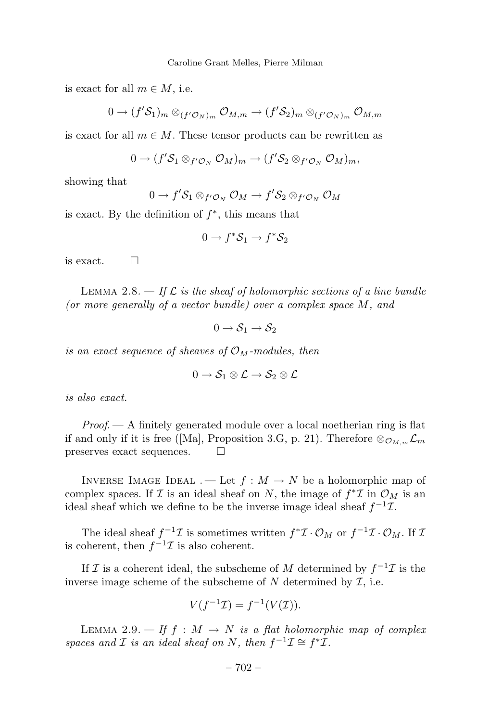is exact for all  $m \in M$ , i.e.

$$
0\to (f'\mathcal{S}_1)_m\otimes_{(f'\mathcal{O}_N)_m}\mathcal{O}_{M,m}\to (f'\mathcal{S}_2)_m\otimes_{(f'\mathcal{O}_N)_m}\mathcal{O}_{M,m}
$$

is exact for all  $m \in M$ . These tensor products can be rewritten as

$$
0\to (f'\mathcal{S}_1\otimes_{f'\mathcal{O}_N}\mathcal{O}_M)_m\to (f'\mathcal{S}_2\otimes_{f'\mathcal{O}_N}\mathcal{O}_M)_m,
$$

showing that

$$
0 \to f' \mathcal{S}_1 \otimes_{f' \mathcal{O}_N} \mathcal{O}_M \to f' \mathcal{S}_2 \otimes_{f' \mathcal{O}_N} \mathcal{O}_M
$$

is exact. By the definition of *f* <sup>∗</sup>, this means that

$$
0 \to f^* \mathcal{S}_1 \to f^* \mathcal{S}_2
$$

is exact.  $\Box$ 

LEMMA 2.8.  $-$  If  $\mathcal L$  is the sheaf of holomorphic sections of a line bundle (or more generally of a vector bundle) over a complex space *M*, and

$$
0\to \mathcal{S}_1\to \mathcal{S}_2
$$

is an exact sequence of sheaves of  $\mathcal{O}_M$ -modules, then

$$
0\to \mathcal{S}_1\otimes \mathcal{L}\to \mathcal{S}_2\otimes \mathcal{L}
$$

is also exact.

 $Proof. - A$  finitely generated module over a local noetherian ring is flat if and only if it is free ([Ma], Proposition 3.G, p. 21). Therefore  $\otimes_{\mathcal{O}_{M,m}} \mathcal{L}_m$ <br>preserves exact sequences preserves exact sequences.

INVERSE IMAGE IDEAL . — Let  $f : M \to N$  be a holomorphic map of complex spaces. If I is an ideal sheaf on *N*, the image of  $f^*$ I in  $\mathcal{O}_M$  is an ideal sheaf which we define to be the inverse image ideal sheaf  $f^{-1}\mathcal{I}$ .

The ideal sheaf  $f^{-1}\mathcal{I}$  is sometimes written  $f^*\mathcal{I}\cdot\mathcal{O}_M$  or  $f^{-1}\mathcal{I}\cdot\mathcal{O}_M$ . If  $\mathcal{I}$ is coherent, then  $f^{-1}\mathcal{I}$  is also coherent.

If I is a coherent ideal, the subscheme of M determined by  $f^{-1}$ I is the inverse image scheme of the subscheme of  $N$  determined by  $\mathcal{I}$ , i.e.

$$
V(f^{-1}\mathcal{I}) = f^{-1}(V(\mathcal{I})).
$$

LEMMA 2.9.  $\rightarrow$  If  $f : M \rightarrow N$  is a flat holomorphic map of complex spaces and *I* is an ideal sheaf on *N*, then  $f^{-1}\mathcal{I} \cong f^*\mathcal{I}$ .

$$
-702-
$$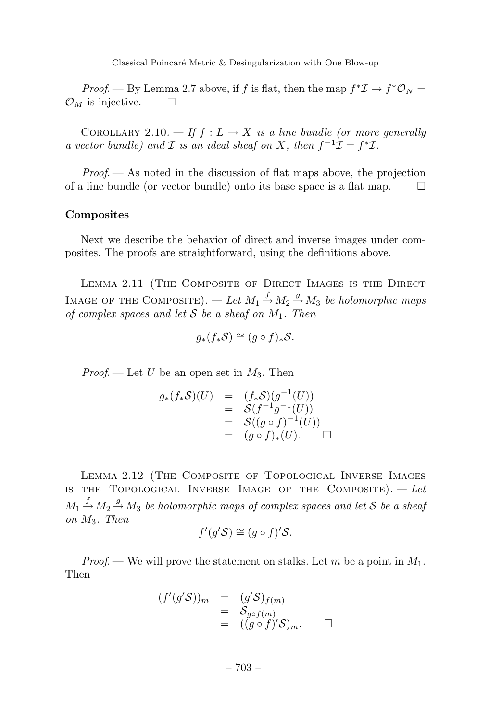Classical Poincaré Metric & Desingularization with One Blow-up

*Proof.* — By Lemma 2.7 above, if f is flat, then the map  $f^* \mathcal{I} \to f^* \mathcal{O}_N$  $\mathcal{O}_M$  is injective.  $\Box$ 

COROLLARY 2.10. — If  $f: L \to X$  is a line bundle (or more generally a vector bundle) and *I* is an ideal sheaf on *X*, then  $f^{-1}\mathcal{I} = f^*\mathcal{I}$ .

 $Proof.$  — As noted in the discussion of flat maps above, the projection of a line bundle (or vector bundle) onto its base space is a flat map.  $\square$ 

#### **Composites**

Next we describe the behavior of direct and inverse images under composites. The proofs are straightforward, using the definitions above.

LEMMA 2.11 (THE COMPOSITE OF DIRECT IMAGES IS THE DIRECT IMAGE OF THE COMPOSITE). — Let  $M_1 \stackrel{f}{\rightarrow} M_2 \stackrel{g}{\rightarrow} M_3$  be holomorphic maps of complex spaces and let S be a sheaf on *M*1. Then

$$
g_*(f_*\mathcal{S}) \cong (g \circ f)_*\mathcal{S}.
$$

*Proof.* — Let *U* be an open set in  $M_3$ . Then

$$
g_*(f_*S)(U) = (f_*S)(g^{-1}(U))
$$
  
=  $S(f^{-1}g^{-1}(U))$   
=  $S((g \circ f)^{-1}(U))$   
=  $(g \circ f)_*(U)$ .

Lemma 2.12 (The Composite of Topological Inverse Images IS THE TOPOLOGICAL INVERSE IMAGE OF THE COMPOSITE).  $-$  Let  $M_1 \stackrel{f}{\rightarrow} M_2 \stackrel{g}{\rightarrow} M_3$  be holomorphic maps of complex spaces and let S be a sheaf on *M*3. Then

$$
f'(g'\mathcal{S}) \cong (g \circ f)'\mathcal{S}.
$$

*Proof.* — We will prove the statement on stalks. Let m be a point in  $M_1$ . Then

$$
(f'(g'S))_m = (g'S)_{f(m)}
$$
  
=  $S_{g \circ f(m)}$   
=  $((g \circ f)'S)_m$ .  $\square$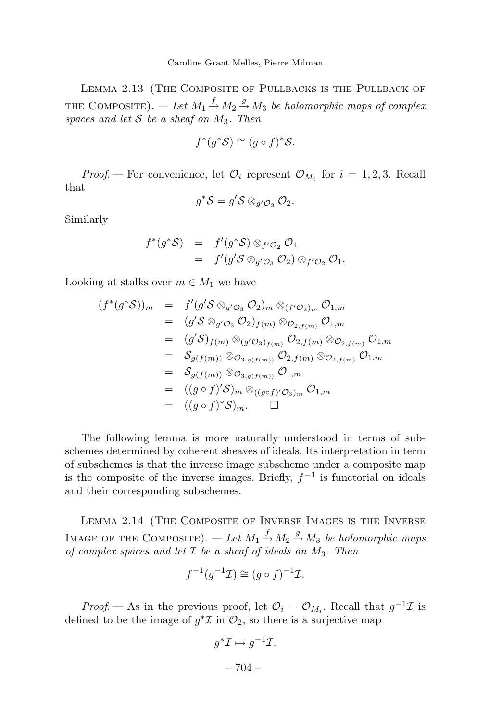Lemma 2.13 (The Composite of Pullbacks is the Pullback of THE COMPOSITE). — Let  $M_1 \stackrel{f}{\rightarrow} M_2 \stackrel{g}{\rightarrow} M_3$  be holomorphic maps of complex spaces and let  $S$  be a sheaf on  $M_3$ . Then

$$
f^*(g^*\mathcal{S}) \cong (g \circ f)^*\mathcal{S}.
$$

*Proof.* – For convenience, let  $\mathcal{O}_i$  represent  $\mathcal{O}_{M_i}$  for  $i = 1, 2, 3$ . Recall that

$$
g^*S = g'S \otimes_{g' \mathcal{O}_3} \mathcal{O}_2.
$$

Similarly

$$
f^*(g^*\mathcal{S}) = f'(g^*\mathcal{S}) \otimes_{f'\mathcal{O}_2} \mathcal{O}_1
$$
  
=  $f'(g'\mathcal{S} \otimes_{g'\mathcal{O}_3} \mathcal{O}_2) \otimes_{f'\mathcal{O}_2} \mathcal{O}_1.$ 

Looking at stalks over  $m \in M_1$  we have

$$
(f^*(g^*\mathcal{S}))_m = f'(g'\mathcal{S} \otimes_{g'\mathcal{O}_3} \mathcal{O}_2)_m \otimes_{(f'\mathcal{O}_2)_m} \mathcal{O}_{1,m}
$$
  
\n
$$
= (g'\mathcal{S} \otimes_{g'\mathcal{O}_3} \mathcal{O}_2)_{f(m)} \otimes_{\mathcal{O}_{2,f(m)}} \mathcal{O}_{1,m}
$$
  
\n
$$
= (g'\mathcal{S})_{f(m)} \otimes_{(g'\mathcal{O}_3)_{f(m)}} \mathcal{O}_{2,f(m)} \otimes_{\mathcal{O}_{2,f(m)}} \mathcal{O}_{1,m}
$$
  
\n
$$
= \mathcal{S}_{g(f(m))} \otimes_{\mathcal{O}_{3,g(f(m))}} \mathcal{O}_{2,f(m)} \otimes_{\mathcal{O}_{2,f(m)}} \mathcal{O}_{1,m}
$$
  
\n
$$
= \mathcal{S}_{g(f(m))} \otimes_{\mathcal{O}_{3,g(f(m))}} \mathcal{O}_{1,m}
$$
  
\n
$$
= ((g \circ f)' \mathcal{S})_m \otimes_{((g \circ f)' \mathcal{O}_3)_m} \mathcal{O}_{1,m}
$$
  
\n
$$
= ((g \circ f)^*\mathcal{S})_m. \square
$$

The following lemma is more naturally understood in terms of subschemes determined by coherent sheaves of ideals. Its interpretation in term of subschemes is that the inverse image subscheme under a composite map is the composite of the inverse images. Briefly,  $f^{-1}$  is functorial on ideals and their corresponding subschemes.

Lemma 2.14 (The Composite of Inverse Images is the Inverse IMAGE OF THE COMPOSITE). — Let  $M_1 \stackrel{f}{\rightarrow} M_2 \stackrel{g}{\rightarrow} M_3$  be holomorphic maps of complex spaces and let I be a sheaf of ideals on *M*3. Then

$$
f^{-1}(g^{-1}\mathcal{I}) \cong (g \circ f)^{-1}\mathcal{I}.
$$

*Proof.* — As in the previous proof, let  $\mathcal{O}_i = \mathcal{O}_{M_i}$ . Recall that  $g^{-1}\mathcal{I}$  is defined to be the image of  $g^* \mathcal{I}$  in  $\mathcal{O}_2$ , so there is a surjective map

$$
g^*\mathcal{I} \mapsto g^{-1}\mathcal{I}.
$$

$$
-704 -
$$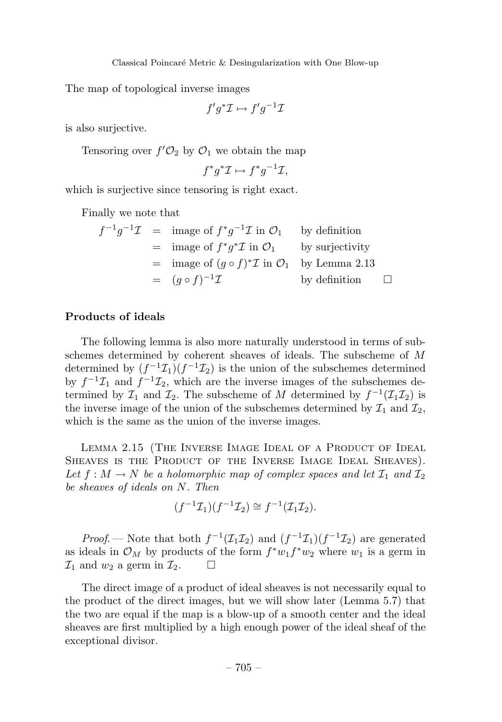The map of topological inverse images

$$
f'g^*\mathcal{I} \mapsto f'g^{-1}\mathcal{I}
$$

is also surjective.

Tensoring over  $f'O_2$  by  $O_1$  we obtain the map

$$
f^*g^*\mathcal{I} \mapsto f^*g^{-1}\mathcal{I},
$$

which is surjective since tensoring is right exact.

Finally we note that

$$
f^{-1}g^{-1}\mathcal{I} = \text{image of } f^*g^{-1}\mathcal{I} \text{ in } \mathcal{O}_1 \quad \text{by definition}
$$
  
= image of  $f^*g^*\mathcal{I}$  in  $\mathcal{O}_1$  by surjectivity  
= image of  $(g \circ f)^*\mathcal{I}$  in  $\mathcal{O}_1$  by Lemma 2.13  
=  $(g \circ f)^{-1}\mathcal{I}$  by definition  $\square$ 

#### **Products of ideals**

The following lemma is also more naturally understood in terms of subschemes determined by coherent sheaves of ideals. The subscheme of *M* determined by  $(f^{-1}\mathcal{I}_1)(f^{-1}\mathcal{I}_2)$  is the union of the subschemes determined by  $f^{-1}\mathcal{I}_1$  and  $f^{-1}\mathcal{I}_2$ , which are the inverse images of the subschemes determined by  $\mathcal{I}_1$  and  $\mathcal{I}_2$ . The subscheme of *M* determined by  $f^{-1}(\mathcal{I}_1\mathcal{I}_2)$  is the inverse image of the union of the subschemes determined by  $\mathcal{I}_1$  and  $\mathcal{I}_2$ , which is the same as the union of the inverse images.

Lemma 2.15 (The Inverse Image Ideal of a Product of Ideal Sheaves is the Product of the Inverse Image Ideal Sheaves). Let  $f : M \to N$  be a holomorphic map of complex spaces and let  $\mathcal{I}_1$  and  $\mathcal{I}_2$ be sheaves of ideals on *N*. Then

$$
(f^{-1}\mathcal{I}_1)(f^{-1}\mathcal{I}_2) \cong f^{-1}(\mathcal{I}_1\mathcal{I}_2).
$$

*Proof.* — Note that both  $f^{-1}(\mathcal{I}_1\mathcal{I}_2)$  and  $(f^{-1}\mathcal{I}_1)(f^{-1}\mathcal{I}_2)$  are generated as ideals in  $\mathcal{O}_M$  by products of the form  $f^*w_1f^*w_2$  where  $w_1$  is a germ in  $\mathcal{I}_1$  and  $w_2$  a germ in  $\mathcal{I}_2$ .  $\Box$ 

The direct image of a product of ideal sheaves is not necessarily equal to the product of the direct images, but we will show later (Lemma 5.7) that the two are equal if the map is a blow-up of a smooth center and the ideal sheaves are first multiplied by a high enough power of the ideal sheaf of the exceptional divisor.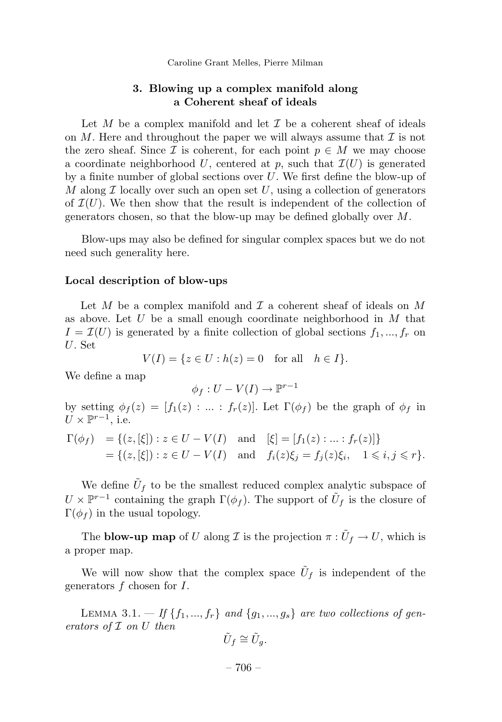#### **3. Blowing up a complex manifold along a Coherent sheaf of ideals**

Let *M* be a complex manifold and let  $\mathcal I$  be a coherent sheaf of ideals on  $M$ . Here and throughout the paper we will always assume that  $\mathcal I$  is not the zero sheaf. Since  $\mathcal I$  is coherent, for each point  $p \in M$  we may choose a coordinate neighborhood U, centered at p, such that  $\mathcal{I}(U)$  is generated by a finite number of global sections over *U*. We first define the blow-up of *M* along  $\mathcal I$  locally over such an open set *U*, using a collection of generators of  $\mathcal{I}(U)$ . We then show that the result is independent of the collection of generators chosen, so that the blow-up may be defined globally over *M*.

Blow-ups may also be defined for singular complex spaces but we do not need such generality here.

#### **Local description of blow-ups**

Let  $M$  be a complex manifold and  $\mathcal I$  a coherent sheaf of ideals on  $M$ as above. Let *U* be a small enough coordinate neighborhood in *M* that  $I = \mathcal{I}(U)$  is generated by a finite collection of global sections  $f_1, ..., f_r$  on *U*. Set

 $V(I) = \{z \in U : h(z) = 0 \text{ for all } h \in I\}.$ 

We define a map

$$
\phi_f: U - V(I) \to \mathbb{P}^{r-1}
$$

by setting  $\phi_f(z) = [f_1(z) : ... : f_r(z)]$ . Let  $\Gamma(\phi_f)$  be the graph of  $\phi_f$  in  $U \times \mathbb{P}^{r-1}$ , i.e.

$$
\Gamma(\phi_f) = \{ (z, [\xi]) : z \in U - V(I) \text{ and } [\xi] = [f_1(z) : ... : f_r(z)] \}
$$
  
= \{ (z, [\xi]) : z \in U - V(I) \text{ and } f\_i(z)\xi\_j = f\_j(z)\xi\_i, 1 \le i, j \le r \}.

We define  $\tilde{U}_f$  to be the smallest reduced complex analytic subspace of  $U \times \mathbb{P}^{r-1}$  containing the graph  $\Gamma(\phi_f)$ . The support of  $\tilde{U}_f$  is the closure of  $\Gamma(\phi_f)$  in the usual topology.

The **blow-up map** of *U* along  $\mathcal I$  is the projection  $\pi : \tilde{U}_f \to U$ , which is a proper map.

We will now show that the complex space  $\tilde{U}_f$  is independent of the generators *f* chosen for *I*.

LEMMA 3.1.  $-$  If  $\{f_1, ..., f_r\}$  and  $\{g_1, ..., g_s\}$  are two collections of generators of I on *U* then

$$
\tilde{U}_f \cong \tilde{U}_g.
$$

– 706 –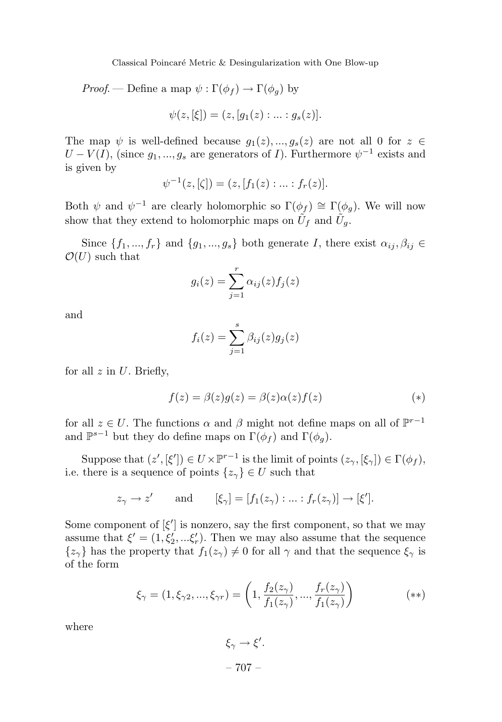Classical Poincaré Metric & Desingularization with One Blow-up

Proof. — Define a map  $\psi : \Gamma(\phi_f) \to \Gamma(\phi_g)$  by

$$
\psi(z,[\xi]) = (z,[g_1(z):...:g_s(z)].
$$

The map  $\psi$  is well-defined because  $q_1(z), ..., q_s(z)$  are not all 0 for  $z \in$  $U - V(I)$ , (since  $g_1, ..., g_s$  are generators of *I*). Furthermore  $\psi^{-1}$  exists and is given by

$$
\psi^{-1}(z, [\zeta]) = (z, [f_1(z) : \dots : f_r(z)].
$$

Both  $\psi$  and  $\psi^{-1}$  are clearly holomorphic so  $\Gamma(\phi_f) \cong \Gamma(\phi_g)$ . We will now show that they extend to holomorphic maps on  $\tilde{U}_f$  and  $\tilde{U}_g$ .

Since  $\{f_1, ..., f_r\}$  and  $\{g_1, ..., g_s\}$  both generate *I*, there exist  $\alpha_{ij}, \beta_{ij} \in$  $\mathcal{O}(U)$  such that

$$
g_i(z) = \sum_{j=1}^r \alpha_{ij}(z) f_j(z)
$$

and

$$
f_i(z) = \sum_{j=1}^s \beta_{ij}(z)g_j(z)
$$

for all *z* in *U*. Briefly,

$$
f(z) = \beta(z)g(z) = \beta(z)\alpha(z)f(z)
$$
 (\*)

for all  $z \in U$ . The functions  $\alpha$  and  $\beta$  might not define maps on all of  $\mathbb{P}^{r-1}$ and  $\mathbb{P}^{s-1}$  but they do define maps on  $\Gamma(\phi_f)$  and  $\Gamma(\phi_q)$ .

Suppose that  $(z', [\xi']) \in U \times \mathbb{P}^{r-1}$  is the limit of points  $(z_\gamma, [\xi_\gamma]) \in \Gamma(\phi_f)$ , i.e. there is a sequence of points  $\{z_\gamma\} \in U$  such that

$$
z_{\gamma} \to z'
$$
 and  $[\xi_{\gamma}] = [f_1(z_{\gamma}) : ... : f_r(z_{\gamma})] \to [\xi']$ .

Some component of  $[\xi']$  is nonzero, say the first component, so that we may assume that  $\xi' = (1, \xi'_2, \dots, \xi'_r)$ . Then we may also assume that the sequence  $\{z_\gamma\}$  has the property that  $f_1(z_\gamma) \neq 0$  for all  $\gamma$  and that the sequence  $\xi_\gamma$  is of the form

$$
\xi_{\gamma} = (1, \xi_{\gamma 2}, ..., \xi_{\gamma r}) = \left(1, \frac{f_2(z_{\gamma})}{f_1(z_{\gamma})}, ..., \frac{f_r(z_{\gamma})}{f_1(z_{\gamma})}\right)
$$
(\*\*)

where

$$
\xi_{\gamma} \to \xi'.
$$
  
- 707 -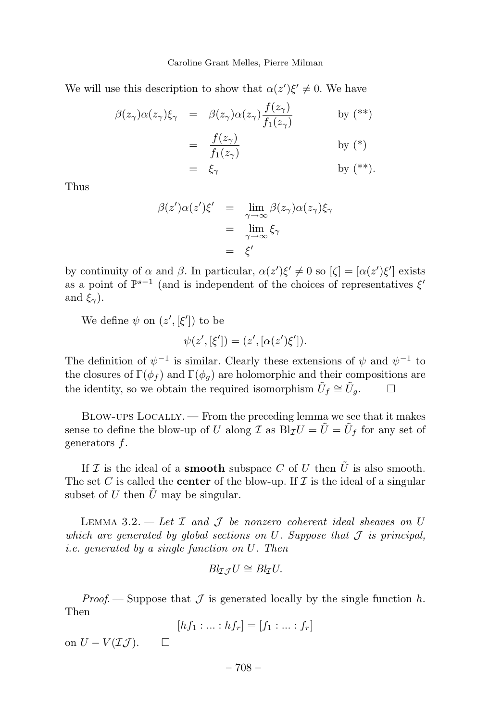We will use this description to show that  $\alpha(z')\xi' \neq 0$ . We have

$$
\begin{array}{rcl}\n\beta(z_{\gamma})\alpha(z_{\gamma})\xi_{\gamma} & = & \beta(z_{\gamma})\alpha(z_{\gamma})\frac{f(z_{\gamma})}{f_1(z_{\gamma})} \\
& = & \frac{f(z_{\gamma})}{f_1(z_{\gamma})} \\
& = & \xi_{\gamma} \qquad \text{by (*)}\n\end{array}
$$

Thus

$$
\beta(z')\alpha(z')\xi' = \lim_{\gamma \to \infty} \beta(z_{\gamma})\alpha(z_{\gamma})\xi_{\gamma}
$$
  
= 
$$
\lim_{\gamma \to \infty} \xi_{\gamma}
$$
  
= 
$$
\xi'
$$

by continuity of *α* and *β*. In particular,  $\alpha(z')\xi' \neq 0$  so  $[\zeta] = [\alpha(z')\xi']$  exists as a point of  $\mathbb{P}^{s-1}$  (and is independent of the choices of representatives  $\xi'$ and  $\xi$ <sup>γ</sup>).

We define  $\psi$  on  $(z', [\xi'])$  to be

$$
\psi(z', [\xi']) = (z', [\alpha(z')\xi']).
$$

The definition of  $\psi^{-1}$  is similar. Clearly these extensions of  $\psi$  and  $\psi^{-1}$  to the closures of  $\Gamma(\phi_f)$  and  $\Gamma(\phi_q)$  are holomorphic and their compositions are the identity, so we obtain the required isomorphism  $\tilde{U}_f \cong \tilde{U}_g$ .  $\Box$ 

Blow-ups Locally. — From the preceding lemma we see that it makes sense to define the blow-up of *U* along *I* as  $\overrightarrow{B_I}U = \tilde{U} = \tilde{U}_f$  for any set of generators *f*.

If  $\mathcal I$  is the ideal of a **smooth** subspace  $C$  of  $U$  then  $\tilde U$  is also smooth. The set C is called the **center** of the blow-up. If  $I$  is the ideal of a singular subset of *U* then  $\tilde{U}$  may be singular.

LEMMA 3.2.  $-$  *Let*  $\mathcal I$  and  $\mathcal J$  be nonzero coherent ideal sheaves on  $U$ which are generated by global sections on  $U$ . Suppose that  $\mathcal J$  is principal, i.e. generated by a single function on *U*. Then

$$
Bl_{\mathcal{I}\mathcal{J}}U\cong Bl_{\mathcal{I}}U.
$$

*Proof.* — Suppose that  $\mathcal J$  is generated locally by the single function  $h$ . Then

$$
[hf_1:...:hf_r]=[f_1:...:f_r]
$$

on  $U - V(\mathcal{I}\mathcal{J})$ . □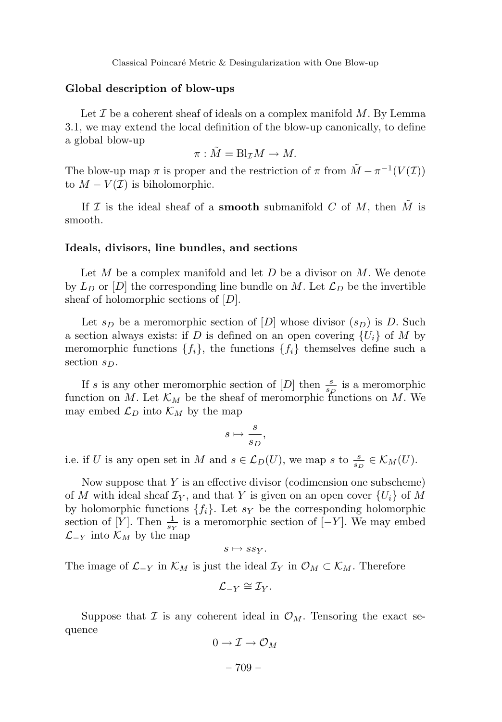#### **Global description of blow-ups**

Let  $\mathcal I$  be a coherent sheaf of ideals on a complex manifold  $M$ . By Lemma 3.1, we may extend the local definition of the blow-up canonically, to define a global blow-up

$$
\pi: \tilde{M} = \mathrm{Bl}_{\mathcal{I}}M \to M.
$$

The blow-up map  $\pi$  is proper and the restriction of  $\pi$  from  $\tilde{M} - \pi^{-1}(V(\mathcal{I}))$ to  $M - V(\mathcal{I})$  is biholomorphic.

If  $\mathcal I$  is the ideal sheaf of a **smooth** submanifold  $C$  of  $M$ , then  $M$  is smooth.

#### **Ideals, divisors, line bundles, and sections**

Let *M* be a complex manifold and let *D* be a divisor on *M*. We denote by  $L_D$  or  $[D]$  the corresponding line bundle on M. Let  $\mathcal{L}_D$  be the invertible sheaf of holomorphic sections of [*D*].

Let  $s_D$  be a meromorphic section of  $[D]$  whose divisor  $(s_D)$  is *D*. Such a section always exists: if *D* is defined on an open covering  ${U_i}$  of *M* by meromorphic functions  $\{f_i\}$ , the functions  $\{f_i\}$  themselves define such a section *sD*.

If *s* is any other meromorphic section of  $[D]$  then  $\frac{s}{s_p}$  is a meromorphic function on *M*. Let  $\mathcal{K}_M$  be the sheaf of meromorphic functions on *M*. We may embed  $\mathcal{L}_D$  into  $\mathcal{K}_M$  by the map

$$
s \mapsto \frac{s}{s_D},
$$

i.e. if *U* is any open set in *M* and  $s \in \mathcal{L}_D(U)$ , we map *s* to  $\frac{s}{s_D} \in \mathcal{K}_M(U)$ .

Now suppose that *Y* is an effective divisor (codimension one subscheme) of *M* with ideal sheaf  $\mathcal{I}_Y$ , and that *Y* is given on an open cover  $\{U_i\}$  of *M* by holomorphic functions  $\{f_i\}$ . Let  $s_Y$  be the corresponding holomorphic section of [*Y*]. Then  $\frac{1}{s_Y}$  is a meromorphic section of [−*Y*]. We may embed  $\mathcal{L}_{-Y}$  into  $\mathcal{K}_M$  by the map

 $s \mapsto s s y$ .

The image of  $\mathcal{L}_{-Y}$  in  $\mathcal{K}_M$  is just the ideal  $\mathcal{I}_Y$  in  $\mathcal{O}_M \subset \mathcal{K}_M$ . Therefore

$$
\mathcal{L}_{-Y} \cong \mathcal{I}_Y.
$$

Suppose that  $\mathcal I$  is any coherent ideal in  $\mathcal O_M$ . Tensoring the exact sequence

$$
0\to\mathcal I\to\mathcal O_M
$$

– 709 –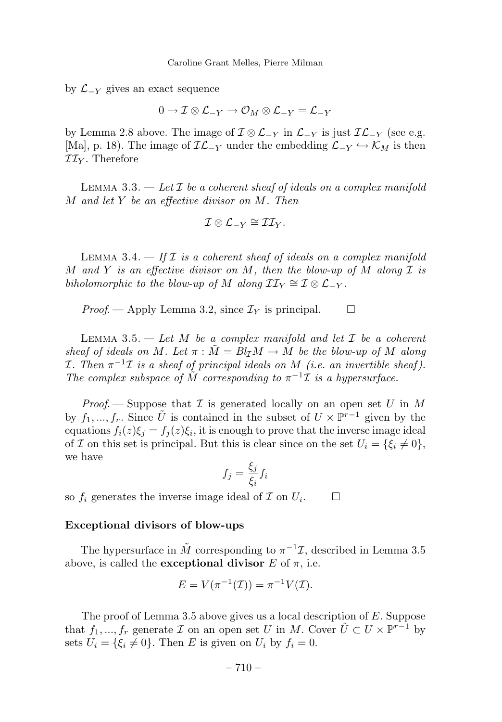by L−*<sup>Y</sup>* gives an exact sequence

0 →I⊗L−*<sup>Y</sup>* → O*<sup>M</sup>* ⊗ L−*<sup>Y</sup>* = L−*<sup>Y</sup>*

by Lemma 2.8 above. The image of  $\mathcal{I} \otimes \mathcal{L}_{-Y}$  in  $\mathcal{L}_{-Y}$  is just  $\mathcal{IL}_{-Y}$  (see e.g. [Ma], p. 18). The image of  $\mathcal{IL}_{-Y}$  under the embedding  $\mathcal{L}_{-Y} \hookrightarrow \mathcal{K}_M$  is then II*<sup>Y</sup>* . Therefore

LEMMA 3.3.  $-\text{Let } \mathcal{I}$  be a coherent sheaf of ideals on a complex manifold *M* and let *Y* be an effective divisor on *M*. Then

$$
\mathcal{I}\otimes\mathcal{L}_{-Y}\cong\mathcal{II}_Y.
$$

LEMMA 3.4.  $\frac{d}{dt}$  If  $\mathcal I$  is a coherent sheaf of ideals on a complex manifold *M* and *Y* is an effective divisor on *M*, then the blow-up of *M* along I is biholomorphic to the blow-up of *M* along  $II_Y \cong I \otimes L_{-Y}$ .

*Proof.* — Apply Lemma 3.2, since  $\mathcal{I}_Y$  is principal.  $\square$ 

LEMMA 3.5.  $-$  Let *M* be a complex manifold and let  $\mathcal I$  be a coherent sheaf of ideals on M. Let  $\pi : \tilde{M} = Bl_T M \rightarrow M$  be the blow-up of M along *I*. Then  $\pi^{-1}$ *I* is a sheaf of principal ideals on *M* (i.e. an invertible sheaf). The complex subspace of  $\tilde{M}$  corresponding to  $\pi^{-1}\mathcal{I}$  is a hypersurface.

*Proof.* — Suppose that  $\mathcal I$  is generated locally on an open set  $U$  in  $M$ by  $f_1, ..., f_r$ . Since  $\tilde{U}$  is contained in the subset of  $U \times \mathbb{P}^{r-1}$  given by the equations  $f_i(z)\xi_j = f_j(z)\xi_i$ , it is enough to prove that the inverse image ideal of *I* on this set is principal. But this is clear since on the set  $U_i = \{\xi_i \neq 0\},\$ we have

$$
f_j = \frac{\xi_j}{\xi_i} f_i
$$

so  $f_i$  generates the inverse image ideal of  $\mathcal I$  on  $U_i$ .

#### **Exceptional divisors of blow-ups**

The hypersurface in  $\tilde{M}$  corresponding to  $\pi^{-1}\mathcal{I}$ , described in Lemma 3.5 above, is called the **exceptional divisor**  $E$  of  $\pi$ , i.e.

$$
E = V(\pi^{-1}(\mathcal{I})) = \pi^{-1}V(\mathcal{I}).
$$

The proof of Lemma 3.5 above gives us a local description of *E*. Suppose that  $f_1, ..., f_r$  generate  $\mathcal I$  on an open set  $U$  in  $M$ . Cover  $\tilde{U} \subset U \times \mathbb{P}^{r-1}$  by sets  $U_i = \{\xi_i \neq 0\}$ . Then *E* is given on  $U_i$  by  $f_i = 0$ .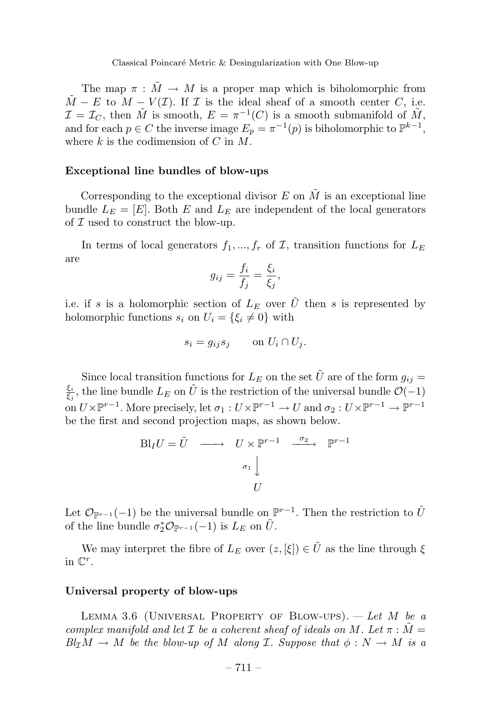The map  $\pi : \tilde{M} \to M$  is a proper map which is biholomorphic from  $\tilde{M} - E$  to  $M - V(\mathcal{I})$ . If  $\mathcal I$  is the ideal sheaf of a smooth center *C*, i.e.  $\mathcal{I} = \mathcal{I}_C$ , then  $\tilde{M}$  is smooth,  $E = \pi^{-1}(C)$  is a smooth submanifold of  $\tilde{M}$ , and for each  $p \in C$  the inverse image  $E_p = \pi^{-1}(p)$  is biholomorphic to  $\mathbb{P}^{k-1}$ , where *k* is the codimension of *C* in *M*.

#### **Exceptional line bundles of blow-ups**

Corresponding to the exceptional divisor  $E$  on  $\tilde{M}$  is an exceptional line bundle  $L_E = [E]$ . Both  $E$  and  $L_E$  are independent of the local generators of  $\mathcal I$  used to construct the blow-up.

In terms of local generators  $f_1, ..., f_r$  of  $\mathcal{I}$ , transition functions for  $L_E$ are

$$
g_{ij} = \frac{f_i}{f_j} = \frac{\xi_i}{\xi_j},
$$

i.e. if *s* is a holomorphic section of  $L_E$  over  $\tilde{U}$  then *s* is represented by holomorphic functions  $s_i$  on  $U_i = \{\xi_i \neq 0\}$  with

$$
s_i = g_{ij} s_j \qquad \text{on } U_i \cap U_j.
$$

Since local transition functions for  $L_E$  on the set  $\tilde{U}$  are of the form  $g_{ij} =$  $\frac{\xi_i}{\xi_j}$ , the line bundle  $L_E$  on  $\tilde{U}$  is the restriction of the universal bundle  $\mathcal{O}(-1)$ on  $U\times\mathbb{P}^{r-1}$ . More precisely, let  $\sigma_1: U\times\mathbb{P}^{r-1}\to U$  and  $\sigma_2: U\times\mathbb{P}^{r-1}\to \mathbb{P}^{r-1}$ be the first and second projection maps, as shown below.

$$
\text{Bl}_I U = \tilde{U} \longrightarrow U \times \mathbb{P}^{r-1} \xrightarrow{\sigma_2} \mathbb{P}^{r-1}
$$

$$
\sigma_1 \downarrow
$$

$$
U
$$

Let  $\mathcal{O}_{\mathbb{P}^{r-1}}(-1)$  be the universal bundle on  $\mathbb{P}^{r-1}$ . Then the restriction to  $\tilde{U}$ of the line bundle  $\sigma_2^* \mathcal{O}_{\mathbb{P}^{r-1}}(-1)$  is  $L_E$  on  $\tilde{U}$ .

We may interpret the fibre of  $L_E$  over  $(z, [\xi]) \in \tilde{U}$  as the line through  $\xi$ in C*<sup>r</sup>*.

#### **Universal property of blow-ups**

Lemma 3.6 (Universal Property of Blow-ups). — Let *M* be a complex manifold and let  $\mathcal I$  be a coherent sheaf of ideals on  $M$ . Let  $\pi : M =$  $Bl<sub>\mathcal{I}</sub>M \rightarrow M$  be the blow-up of M along *I*. Suppose that  $\phi : N \rightarrow M$  is a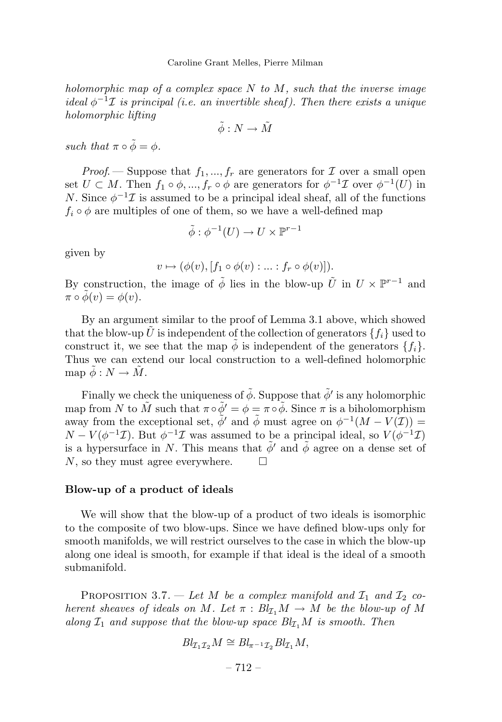holomorphic map of a complex space *N* to *M*, such that the inverse image ideal  $\phi^{-1}\mathcal{I}$  is principal (i.e. an invertible sheaf). Then there exists a unique holomorphic lifting

$$
\tilde{\phi}:N\to \tilde{M}
$$

such that  $\pi \circ \tilde{\phi} = \phi$ .

*Proof.* — Suppose that  $f_1, ..., f_r$  are generators for  $\mathcal I$  over a small open set  $U \subset M$ . Then  $f_1 \circ \phi, ..., f_r \circ \phi$  are generators for  $\phi^{-1} \mathcal{I}$  over  $\phi^{-1}(U)$  in *N*. Since  $\phi^{-1}\mathcal{I}$  is assumed to be a principal ideal sheaf, all of the functions  $f_i \circ \phi$  are multiples of one of them, so we have a well-defined map

$$
\tilde{\phi}: \phi^{-1}(U) \to U \times \mathbb{P}^{r-1}
$$

given by

$$
v \mapsto (\phi(v), [f_1 \circ \phi(v) : \dots : f_r \circ \phi(v)]).
$$

By construction, the image of  $\tilde{\phi}$  lies in the blow-up  $\tilde{U}$  in  $U \times \mathbb{P}^{r-1}$  and  $\pi \circ \phi(v) = \phi(v).$ 

By an argument similar to the proof of Lemma 3.1 above, which showed that the blow-up *U* is independent of the collection of generators  $\{f_i\}$  used to construct it, we see that the map  $\phi$  is independent of the generators  $\{f_i\}$ . Thus we can extend our local construction to a well-defined holomorphic  $\text{map }\tilde{\phi}: N \to \tilde{M}.$ 

Finally we check the uniqueness of  $\tilde{\phi}$ . Suppose that  $\tilde{\phi}'$  is any holomorphic map from *N* to  $\tilde{M}$  such that  $\pi \circ \tilde{\phi}' = \phi = \pi \circ \tilde{\phi}$ . Since  $\pi$  is a biholomorphism away from the exceptional set,  $\tilde{\phi}'$  and  $\tilde{\phi}$  must agree on  $\phi^{-1}(M - V(\mathcal{I})) =$  $N - V(\phi^{-1}\mathcal{I})$ . But  $\phi^{-1}\mathcal{I}$  was assumed to be a principal ideal, so  $V(\phi^{-1}\mathcal{I})$ is a hypersurface in *N*. This means that  $\phi'$  and  $\phi$  agree on a dense set of *N*, so they must agree everywhere.

#### **Blow-up of a product of ideals**

We will show that the blow-up of a product of two ideals is isomorphic to the composite of two blow-ups. Since we have defined blow-ups only for smooth manifolds, we will restrict ourselves to the case in which the blow-up along one ideal is smooth, for example if that ideal is the ideal of a smooth submanifold.

PROPOSITION 3.7. — Let *M* be a complex manifold and  $\mathcal{I}_1$  and  $\mathcal{I}_2$  coherent sheaves of ideals on *M*. Let  $\pi : Bl_{\mathcal{I}_1}M \to M$  be the blow-up of M along  $I_1$  and suppose that the blow-up space  $Bl_{I_1}M$  is smooth. Then

$$
Bl_{\mathcal{I}_1\mathcal{I}_2}M\cong Bl_{\pi^{-1}\mathcal{I}_2}Bl_{\mathcal{I}_1}M,
$$

 $-712-$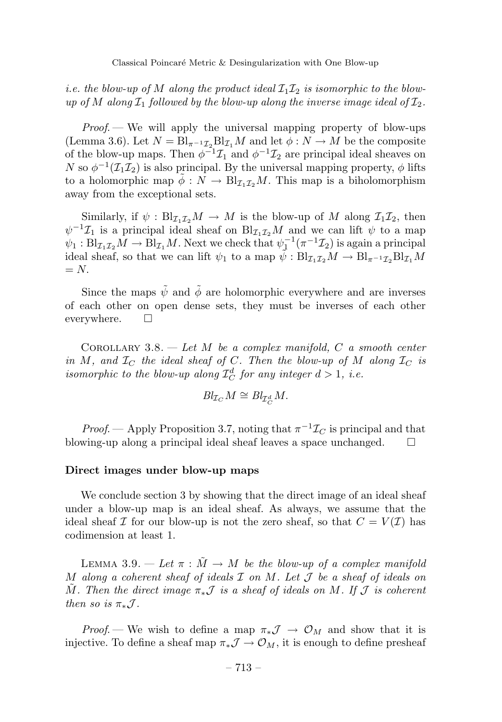i.e. the blow-up of M along the product ideal  $\mathcal{I}_1 \mathcal{I}_2$  is isomorphic to the blowup of M along  $I_1$  followed by the blow-up along the inverse image ideal of  $I_2$ .

*Proof.*  $\rightarrow$  We will apply the universal mapping property of blow-ups (Lemma 3.6). Let  $N = Bl_{\pi^{-1}\mathcal{I}_2}Bl_{\mathcal{I}_1}M$  and let  $\phi: N \to M$  be the composite of the blow-up maps. Then  $\phi^{-1}\mathcal{I}_1$  and  $\phi^{-1}\mathcal{I}_2$  are principal ideal sheaves on *N* so  $\phi^{-1}(\mathcal{I}_1\mathcal{I}_2)$  is also principal. By the universal mapping property,  $\phi$  lifts to a holomorphic map  $\phi: N \to Bl_{\mathcal{I}_{1},\mathcal{I}_{2}}M$ . This map is a biholomorphism away from the exceptional sets.

Similarly, if  $\psi : Bl_{\mathcal{I}_{1}\mathcal{I}_{2}}M \to M$  is the blow-up of M along  $\mathcal{I}_{1}\mathcal{I}_{2}$ , then  $\psi^{-1}\mathcal{I}_1$  is a principal ideal sheaf on Bl<sub> $I_1I_2M$ </sub> and we can lift  $\psi$  to a map  $\psi_1 : Bl_{\mathcal{I}_1\mathcal{I}_2}M \to Bl_{\mathcal{I}_1}M$ . Next we check that  $\psi_1^{-1}(\pi^{-1}\mathcal{I}_2)$  is again a principal ideal sheaf, so that we can lift  $\psi_1$  to a map  $\tilde{\psi}: Bl_{\mathcal{I}_1,\mathcal{I}_2}M \to Bl_{\pi^{-1}\mathcal{I}_2}Bl_{\mathcal{I}_1}M$  $= N$ .

Since the maps  $\tilde{\psi}$  and  $\tilde{\phi}$  are holomorphic everywhere and are inverses of each other on open dense sets, they must be inverses of each other everywhere.  $\square$ 

COROLLARY 3.8.  $-$  Let *M* be a complex manifold, *C* a smooth center in *M*, and  $I_C$  the ideal sheaf of *C*. Then the blow-up of *M* along  $I_C$  is isomorphic to the blow-up along  $\mathcal{I}_C^d$  for any integer  $d > 1$ , i.e.

$$
\text{Bl}_{\mathcal{I}_C} M \cong \text{Bl}_{\mathcal{I}_C^d} M.
$$

*Proof.* — Apply Proposition 3.7, noting that  $\pi^{-1}\mathcal{I}_C$  is principal and that blowing-up along a principal ideal sheaf leaves a space unchanged.  $\square$ 

#### **Direct images under blow-up maps**

We conclude section 3 by showing that the direct image of an ideal sheaf under a blow-up map is an ideal sheaf. As always, we assume that the ideal sheaf I for our blow-up is not the zero sheaf, so that  $C = V(\mathcal{I})$  has codimension at least 1.

LEMMA 3.9.  $-\text{Let } \pi : M \to M$  be the blow-up of a complex manifold *M* along a coherent sheaf of ideals I on *M*. Let J be a sheaf of ideals on *M*. Then the direct image  $\pi_* \mathcal{J}$  is a sheaf of ideals on *M*. If  $\mathcal{J}$  is coherent then so is  $\pi_* \mathcal{J}$ .

*Proof.* — We wish to define a map  $\pi_* \mathcal{J} \to \mathcal{O}_M$  and show that it is injective. To define a sheaf map  $\pi_* \mathcal{J} \to \mathcal{O}_M$ , it is enough to define presheaf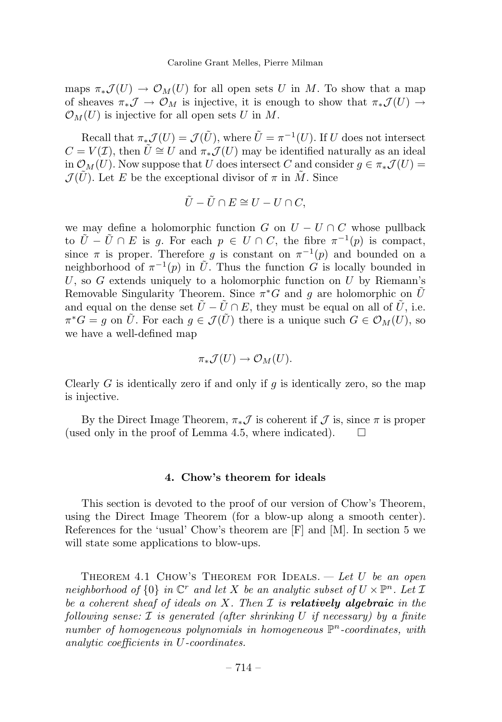maps  $\pi_*\mathcal{J}(U) \to \mathcal{O}_M(U)$  for all open sets *U* in *M*. To show that a map of sheaves  $\pi_*\mathcal{J} \to \mathcal{O}_M$  is injective, it is enough to show that  $\pi_*\mathcal{J}(U) \to$  $\mathcal{O}_M(U)$  is injective for all open sets *U* in *M*.

Recall that  $\pi_*\mathcal{J}(U) = \mathcal{J}(\tilde{U})$ , where  $\tilde{U} = \pi^{-1}(U)$ . If *U* does not intersect  $C = V(\mathcal{I})$ , then  $\tilde{U} \cong U$  and  $\pi_* \mathcal{J}(U)$  may be identified naturally as an ideal in  $\mathcal{O}_M(U)$ . Now suppose that *U* does intersect *C* and consider  $g \in \pi_*\mathcal{J}(U)$  =  $\mathcal{J}(\tilde{U})$ . Let *E* be the exceptional divisor of  $\pi$  in  $\tilde{M}$ . Since

$$
\tilde{U}-\tilde{U}\cap E\cong U-U\cap C,
$$

we may define a holomorphic function *G* on  $U - U \cap C$  whose pullback to  $\tilde{U} - \tilde{U} \cap E$  is *g*. For each  $p \in U \cap C$ , the fibre  $\pi^{-1}(p)$  is compact, since  $\pi$  is proper. Therefore *g* is constant on  $\pi^{-1}(p)$  and bounded on a neighborhood of  $\pi^{-1}(p)$  in  $\tilde{U}$ . Thus the function *G* is locally bounded in *U*, so *G* extends uniquely to a holomorphic function on *U* by Riemann's Removable Singularity Theorem. Since  $\pi^*G$  and g are holomorphic on  $\tilde{U}$ and equal on the dense set  $\tilde{U} - \tilde{U} \cap E$ , they must be equal on all of  $\tilde{U}$ , i.e.  $\pi^*G = g$  on  $\tilde{U}$ . For each  $g \in \mathcal{J}(\tilde{U})$  there is a unique such  $G \in \mathcal{O}_M(U)$ , so we have a well-defined map

$$
\pi_*\mathcal{J}(U)\to \mathcal{O}_M(U).
$$

Clearly *G* is identically zero if and only if *g* is identically zero, so the map is injective.

By the Direct Image Theorem,  $\pi_* \mathcal{J}$  is coherent if  $\mathcal{J}$  is, since  $\pi$  is proper (used only in the proof of Lemma 4.5, where indicated).  $\Box$ 

#### **4. Chow's theorem for ideals**

This section is devoted to the proof of our version of Chow's Theorem, using the Direct Image Theorem (for a blow-up along a smooth center). References for the 'usual' Chow's theorem are [F] and [M]. In section 5 we will state some applications to blow-ups.

THEOREM 4.1 CHOW'S THEOREM FOR IDEALS.  $-\text{Let } U$  be an open neighborhood of  $\{0\}$  in  $\mathbb{C}^r$  and let X be an analytic subset of  $U \times \mathbb{P}^n$ . Let  $\mathcal I$ be a coherent sheaf of ideals on *X*. Then I is *relatively algebraic* in the following sense: I is generated (after shrinking *U* if necessary) by a finite number of homogeneous polynomials in homogeneous P*<sup>n</sup>*-coordinates, with analytic coefficients in *U*-coordinates.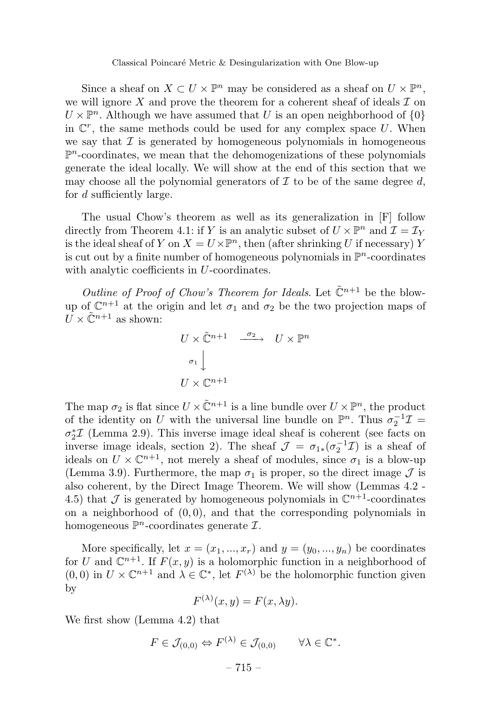Since a sheaf on  $X \subset U \times \mathbb{P}^n$  may be considered as a sheaf on  $U \times \mathbb{P}^n$ , we will ignore  $X$  and prove the theorem for a coherent sheaf of ideals  $\mathcal I$  on  $U \times \mathbb{P}^n$ . Although we have assumed that *U* is an open neighborhood of  $\{0\}$ in  $\mathbb{C}^r$ , the same methods could be used for any complex space U. When we say that  $\mathcal I$  is generated by homogeneous polynomials in homogeneous  $\mathbb{P}^n$ -coordinates, we mean that the dehomogenizations of these polynomials generate the ideal locally. We will show at the end of this section that we may choose all the polynomial generators of  $\mathcal I$  to be of the same degree  $d$ , for *d* sufficiently large.

The usual Chow's theorem as well as its generalization in [F] follow directly from Theorem 4.1: if *Y* is an analytic subset of  $U \times \mathbb{P}^n$  and  $\mathcal{I} = \mathcal{I}_Y$ is the ideal sheaf of *Y* on  $X = U \times \mathbb{P}^n$ , then (after shrinking *U* if necessary) *Y* is cut out by a finite number of homogeneous polynomials in  $\mathbb{P}^n$ -coordinates with analytic coefficients in *U*-coordinates.

Outline of Proof of Chow's Theorem for Ideals. Let  $\tilde{\mathbb{C}}^{n+1}$  be the blowup of  $\mathbb{C}^{n+1}$  at the origin and let  $\sigma_1$  and  $\sigma_2$  be the two projection maps of  $\overline{U} \times \tilde{\mathbb{C}}^{n+1}$  as shown:

$$
U \times \tilde{\mathbb{C}}^{n+1} \xrightarrow{\sigma_2} U \times \mathbb{P}^n
$$
  

$$
\sigma_1 \downarrow
$$
  

$$
U \times \mathbb{C}^{n+1}
$$

The map  $\sigma_2$  is flat since  $U \times \tilde{\mathbb{C}}^{n+1}$  is a line bundle over  $U \times \mathbb{P}^n$ , the product of the identity on *U* with the universal line bundle on  $\mathbb{P}^n$ . Thus  $\sigma_2^{-1}\mathcal{I} =$ *σ*<sup>∗</sup><sub>2</sub>*T* (Lemma 2.9). This inverse image ideal sheaf is coherent (see facts on inverse image ideals, section 2). The sheaf  $\mathcal{J} = \sigma_{1*}(\sigma_2^{-1}\mathcal{I})$  is a sheaf of ideals on  $U \times \mathbb{C}^{n+1}$ , not merely a sheaf of modules, since  $\sigma_1$  is a blow-up (Lemma 3.9). Furthermore, the map  $\sigma_1$  is proper, so the direct image  $\mathcal{J}$  is also coherent, by the Direct Image Theorem. We will show (Lemmas 4.2 - 4.5) that  $\mathcal J$  is generated by homogeneous polynomials in  $\mathbb C^{n+1}$ -coordinates on a neighborhood of (0*,* 0), and that the corresponding polynomials in homogeneous  $\mathbb{P}^n$ -coordinates generate  $\mathcal{I}$ .

More specifically, let  $x = (x_1, ..., x_r)$  and  $y = (y_0, ..., y_n)$  be coordinates for *U* and  $\mathbb{C}^{n+1}$ . If  $F(x, y)$  is a holomorphic function in a neighborhood of  $(0,0)$  in  $U \times \mathbb{C}^{n+1}$  and  $\lambda \in \mathbb{C}^*$ , let  $F^{(\lambda)}$  be the holomorphic function given by

$$
F^{(\lambda)}(x, y) = F(x, \lambda y).
$$

We first show (Lemma 4.2) that

$$
F \in \mathcal{J}_{(0,0)} \Leftrightarrow F^{(\lambda)} \in \mathcal{J}_{(0,0)} \qquad \forall \lambda \in \mathbb{C}^*.
$$

 $-715-$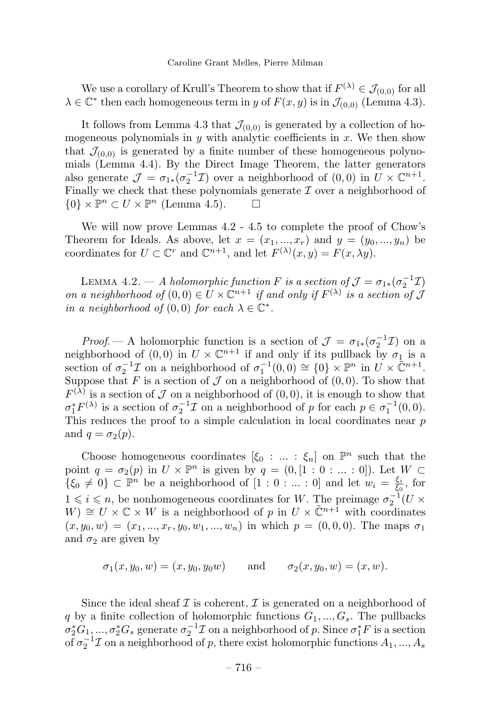We use a corollary of Krull's Theorem to show that if  $F^{(\lambda)} \in \mathcal{J}_{(0,0)}$  for all  $\lambda \in \mathbb{C}^*$  then each homogeneous term in *y* of  $F(x, y)$  is in  $\mathcal{J}_{(0,0)}$  (Lemma 4.3).

It follows from Lemma 4.3 that  $\mathcal{J}_{(0,0)}$  is generated by a collection of homogeneous polynomials in  $y$  with analytic coefficients in  $x$ . We then show that  $\mathcal{J}_{(0,0)}$  is generated by a finite number of these homogeneous polynomials (Lemma 4.4). By the Direct Image Theorem, the latter generators also generate  $\mathcal{J} = \sigma_{1*}(\sigma_2^{-1}\mathcal{I})$  over a neighborhood of  $(0,0)$  in  $U \times \mathbb{C}^{n+1}$ . Finally we check that these polynomials generate  $\mathcal I$  over a neighborhood of  ${0}$  ×  $\mathbb{P}^n$  ⊂ *U* ×  $\mathbb{P}^n$  (Lemma 4.5). □

We will now prove Lemmas 4.2 - 4.5 to complete the proof of Chow's Theorem for Ideals. As above, let  $x = (x_1, ..., x_r)$  and  $y = (y_0, ..., y_n)$  be coordinates for  $U \subset \mathbb{C}^r$  and  $\mathbb{C}^{n+1}$ , and let  $F^{(\lambda)}(x, y) = F(x, \lambda y)$ .

LEMMA  $4.2. - A$  holomorphic function *F* is a section of  $\mathcal{J} = \sigma_{1*}(\sigma_2^{-1}\mathcal{I})$ on a neighborhood of  $(0,0) \in U \times \mathbb{C}^{n+1}$  if and only if  $F^{(\lambda)}$  is a section of  $\mathcal J$ in a neighborhood of  $(0,0)$  for each  $\lambda \in \mathbb{C}^*$ .

*Proof.* — A holomorphic function is a section of  $\mathcal{J} = \sigma_{1*}(\sigma_2^{-1}\mathcal{I})$  on a neighborhood of  $(0,0)$  in  $U \times \mathbb{C}^{n+1}$  if and only if its pullback by  $\sigma_1$  is a section of  $\sigma_2^{-1} \mathcal{I}$  on a neighborhood of  $\sigma_1^{-1}(0,0) \cong \{0\} \times \mathbb{P}^n$  in  $U \times \mathbb{C}^{n+1}$ . Suppose that *F* is a section of  $J$  on a neighborhood of  $(0,0)$ . To show that  $F^{(\lambda)}$  is a section of  $\mathcal J$  on a neighborhood of  $(0,0)$ , it is enough to show that  $\sigma_1^* F^{(\lambda)}$  is a section of  $\sigma_2^{-1} \mathcal{I}$  on a neighborhood of *p* for each  $p \in \sigma_1^{-1}(0,0)$ . This reduces the proof to a simple calculation in local coordinates near *p* and  $q = \sigma_2(p)$ .

Choose homogeneous coordinates  $[\xi_0 : ... : \xi_n]$  on  $\mathbb{P}^n$  such that the point  $q = \sigma_2(p)$  in  $U \times \mathbb{P}^n$  is given by  $q = (0, [1 : 0 : ... : 0])$ . Let  $W \subset$  $\{\xi_0 \neq 0\} \subset \mathbb{P}^n$  be a neighborhood of  $[1:0:\dots:0]$  and let  $w_i = \frac{\xi_i}{\xi_0}$ , for  $1 ≤ i ≤ n$ , be nonhomogeneous coordinates for *W*. The preimage  $σ_2^{-1}(U \times$  $W \cong U \times \mathbb{C} \times W$  is a neighborhood of *p* in  $U \times \tilde{\mathbb{C}}^{n+1}$  with coordinates  $(x, y_0, w) = (x_1, ..., x_r, y_0, w_1, ..., w_n)$  in which  $p = (0, 0, 0)$ . The maps  $\sigma_1$ and  $\sigma_2$  are given by

$$
\sigma_1(x, y_0, w) = (x, y_0, y_0 w)
$$
 and  $\sigma_2(x, y_0, w) = (x, w)$ .

Since the ideal sheaf  $\mathcal I$  is coherent,  $\mathcal I$  is generated on a neighborhood of *q* by a finite collection of holomorphic functions  $G_1, ..., G_s$ . The pullbacks  $\sigma_2^* G_1, ..., \sigma_2^* G_s$  generate  $\sigma_2^{-1} \mathcal{I}$  on a neighborhood of *p*. Since  $\sigma_1^* F$  is a section of  $\sigma_2^{-1} \mathcal{I}$  on a neighborhood of  $p$ , there exist holomorphic functions  $A_1, ..., A_s$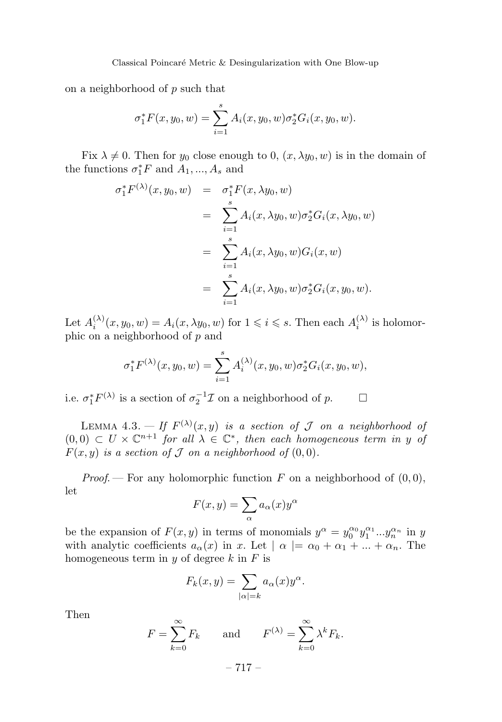on a neighborhood of *p* such that

$$
\sigma_1^* F(x, y_0, w) = \sum_{i=1}^s A_i(x, y_0, w) \sigma_2^* G_i(x, y_0, w).
$$

Fix  $\lambda \neq 0$ . Then for  $y_0$  close enough to 0,  $(x, \lambda y_0, w)$  is in the domain of the functions  $\sigma_1^* F$  and  $A_1, ..., A_s$  and

$$
\sigma_1^* F^{(\lambda)}(x, y_0, w) = \sigma_1^* F(x, \lambda y_0, w)
$$
  
\n
$$
= \sum_{i=1}^s A_i(x, \lambda y_0, w) \sigma_2^* G_i(x, \lambda y_0, w)
$$
  
\n
$$
= \sum_{i=1}^s A_i(x, \lambda y_0, w) G_i(x, w)
$$
  
\n
$$
= \sum_{i=1}^s A_i(x, \lambda y_0, w) \sigma_2^* G_i(x, y_0, w).
$$

Let  $A_i^{(\lambda)}(x, y_0, w) = A_i(x, \lambda y_0, w)$  for  $1 \leq i \leq s$ . Then each  $A_i^{(\lambda)}$  is holomorphic on a neighborhood of *p* and

$$
\sigma_1^* F^{(\lambda)}(x, y_0, w) = \sum_{i=1}^s A_i^{(\lambda)}(x, y_0, w) \sigma_2^* G_i(x, y_0, w),
$$

i.e.  $\sigma_1^* F^{(\lambda)}$  is a section of  $\sigma_2^{-1} \mathcal{I}$  on a neighborhood of *p*.  $\Box$ 

LEMMA 4.3.  $-$  If  $F^{(\lambda)}(x, y)$  is a section of  $\mathcal J$  on a neighborhood of  $(0,0) \subset U \times \mathbb{C}^{n+1}$  for all  $\lambda \in \mathbb{C}^*$ , then each homogeneous term in *y* of  $F(x, y)$  is a section of  $J$  on a neighborhood of  $(0, 0)$ .

*Proof.* — For any holomorphic function  $F$  on a neighborhood of  $(0,0)$ , let

$$
F(x,y) = \sum_{\alpha} a_{\alpha}(x) y^{\alpha}
$$

be the expansion of  $F(x, y)$  in terms of monomials  $y^{\alpha} = y_0^{\alpha_0} y_1^{\alpha_1} ... y_n^{\alpha_n}$  in *y* with analytic coefficients  $a_{\alpha}(x)$  in *x*. Let  $|\alpha| = \alpha_0 + \alpha_1 + ... + \alpha_n$ . The homogeneous term in *y* of degree *k* in *F* is

$$
F_k(x,y) = \sum_{|\alpha|=k} a_{\alpha}(x) y^{\alpha}.
$$

Then

$$
F = \sum_{k=0}^{\infty} F_k \quad \text{and} \quad F^{(\lambda)} = \sum_{k=0}^{\infty} \lambda^k F_k.
$$

– 717 –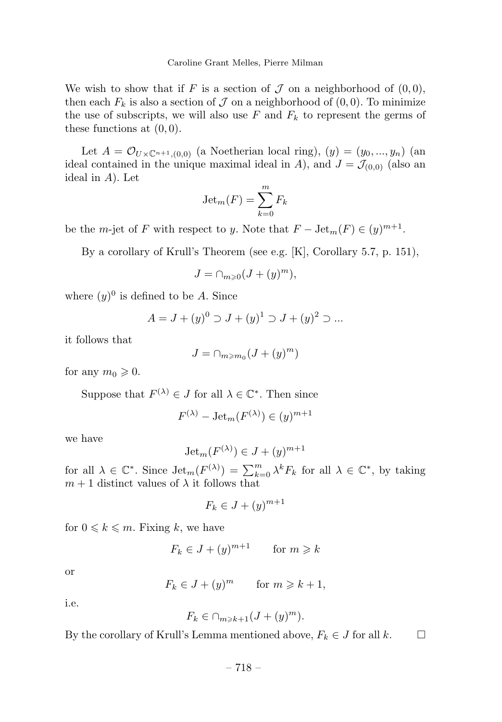We wish to show that if *F* is a section of  $\mathcal J$  on a neighborhood of  $(0,0)$ , then each  $F_k$  is also a section of  $\mathcal J$  on a neighborhood of  $(0,0)$ . To minimize the use of subscripts, we will also use  $F$  and  $F_k$  to represent the germs of these functions at (0*,* 0).

Let  $A = \mathcal{O}_{U \times \mathbb{C}^{n+1}, (0,0)}$  (a Noetherian local ring),  $(y) = (y_0, ..., y_n)$  (an ideal contained in the unique maximal ideal in *A*), and  $J = \mathcal{J}_{(0,0)}$  (also an ideal in *A*). Let

$$
\operatorname{Jet}_m(F) = \sum_{k=0}^m F_k
$$

be the *m*-jet of *F* with respect to *y*. Note that  $F - \text{Jet}_m(F) \in (y)^{m+1}$ .

By a corollary of Krull's Theorem (see e.g. [K], Corollary 5.7, p. 151),

$$
J = \cap_{m \geqslant 0} (J + (y)^m),
$$

where  $(y)^0$  is defined to be *A*. Since

$$
A = J + (y)^0 \supset J + (y)^1 \supset J + (y)^2 \supset \dots
$$

it follows that

$$
J=\cap_{m\geqslant m_0}(J+(y)^m)
$$

for any  $m_0 \geqslant 0$ .

Suppose that  $F^{(\lambda)} \in J$  for all  $\lambda \in \mathbb{C}^*$ . Then since

$$
F^{(\lambda)} - \text{Jet}_m(F^{(\lambda)}) \in (y)^{m+1}
$$

we have

$$
Jet_m(F^{(\lambda)}) \in J + (y)^{m+1}
$$

for all  $\lambda \in \mathbb{C}^*$ . Since  $\mathrm{Jet}_m(F^{(\lambda)}) = \sum_{k=0}^m \lambda^k F_k$  for all  $\lambda \in \mathbb{C}^*$ , by taking  $m+1$  distinct values of  $\lambda$  it follows that

$$
F_k \in J + (y)^{m+1}
$$

for  $0 \leq k \leq m$ . Fixing k, we have

$$
F_k \in J + (y)^{m+1} \qquad \text{for } m \geq k
$$

or

$$
F_k \in J + (y)^m \qquad \text{for } m \geq k+1,
$$

i.e.

$$
F_k \in \cap_{m \geq k+1} (J+(y)^m).
$$

By the corollary of Krull's Lemma mentioned above,  $F_k \in J$  for all  $k$ .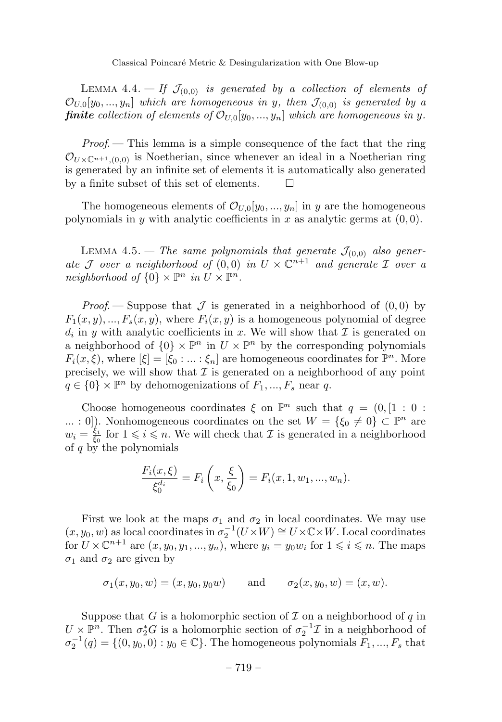LEMMA 4.4.  $-$  If  $\mathcal{J}_{(0,0)}$  is generated by a collection of elements of  $\mathcal{O}_{U,0}[y_0, ..., y_n]$  which are homogeneous in *y*, then  $\mathcal{J}_{(0,0)}$  is generated by a *finite* collection of elements of  $\mathcal{O}_{U,0}[y_0, ..., y_n]$  which are homogeneous in y.

Proof. — This lemma is a simple consequence of the fact that the ring  $\mathcal{O}_{U\times\mathbb{C}^{n+1}$ , (0,0) is Noetherian, since whenever an ideal in a Noetherian ring is generated by an infinite set of elements it is automatically also generated by a finite subset of this set of elements.

The homogeneous elements of  $\mathcal{O}_{U,0}[y_0, ..., y_n]$  in *y* are the homogeneous polynomials in *y* with analytic coefficients in *x* as analytic germs at  $(0, 0)$ .

LEMMA 4.5. – The same polynomials that generate  $\mathcal{J}_{(0,0)}$  also generate J over a neighborhood of  $(0,0)$  in  $U \times \mathbb{C}^{n+1}$  and generate I over a neighborhood of  $\{0\} \times \mathbb{P}^n$  in  $U \times \mathbb{P}^n$ .

*Proof.* — Suppose that  $\mathcal J$  is generated in a neighborhood of  $(0,0)$  by  $F_1(x, y), ..., F_s(x, y)$ , where  $F_i(x, y)$  is a homogeneous polynomial of degree  $d_i$  in *y* with analytic coefficients in *x*. We will show that  $\mathcal I$  is generated on a neighborhood of  $\{0\} \times \mathbb{P}^n$  in  $U \times \mathbb{P}^n$  by the corresponding polynomials  $F_i(x,\xi)$ , where  $[\xi] = [\xi_0 : \dots : \xi_n]$  are homogeneous coordinates for  $\mathbb{P}^n$ . More precisely, we will show that  $\mathcal I$  is generated on a neighborhood of any point  $q \in \{0\} \times \mathbb{P}^n$  by dehomogenizations of  $F_1, ..., F_s$  near *q*.

Choose homogeneous coordinates  $\xi$  on  $\mathbb{P}^n$  such that  $q = (0, \lceil 1 : 0 :$ *...* : 0]). Nonhomogeneous coordinates on the set  $W = \{\xi_0 \neq 0\} \subset \mathbb{P}^n$  are  $w_i = \frac{\xi_i}{\xi_0}$  for  $1 \leq i \leq n$ . We will check that *I* is generated in a neighborhood of *q* by the polynomials

$$
\frac{F_i(x,\xi)}{\xi_0^{d_i}} = F_i\left(x,\frac{\xi}{\xi_0}\right) = F_i(x,1,w_1,...,w_n).
$$

First we look at the maps  $\sigma_1$  and  $\sigma_2$  in local coordinates. We may use  $(x, y_0, w)$  as local coordinates in  $\sigma_2^{-1}(U \times W) \cong U \times \mathbb{C} \times W$ . Local coordinates for  $U \times \mathbb{C}^{n+1}$  are  $(x, y_0, y_1, ..., y_n)$ , where  $y_i = y_0 w_i$  for  $1 \leq i \leq n$ . The maps  $\sigma_1$  and  $\sigma_2$  are given by

$$
\sigma_1(x, y_0, w) = (x, y_0, y_0 w)
$$
 and  $\sigma_2(x, y_0, w) = (x, w)$ .

Suppose that *G* is a holomorphic section of  $\mathcal I$  on a neighborhood of  $q$  in  $U \times \mathbb{P}^n$ . Then  $\sigma_2^* G$  is a holomorphic section of  $\sigma_2^{-1} \mathcal{I}$  in a neighborhood of  $\sigma_2^{-1}(q) = \{(0, y_0, 0) : y_0 \in \mathbb{C}\}$ . The homogeneous polynomials  $F_1, ..., F_s$  that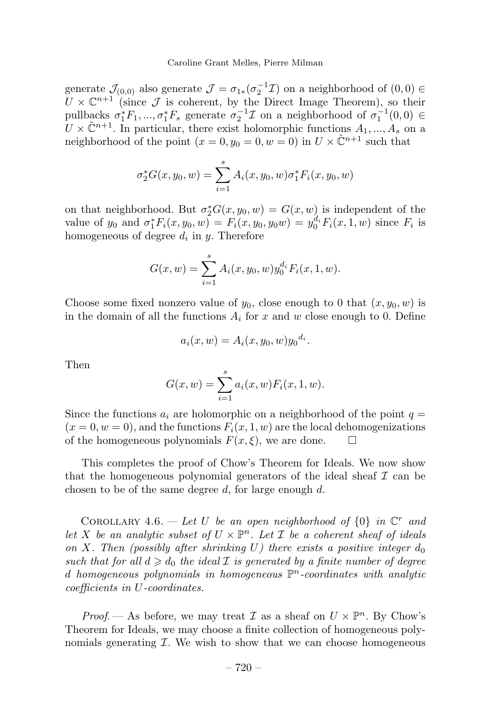generate  $\mathcal{J}_{(0,0)}$  also generate  $\mathcal{J} = \sigma_{1*}(\sigma_2^{-1}\mathcal{I})$  on a neighborhood of  $(0,0) \in$  $\tilde{U} \times \mathbb{C}^{n+1}$  (since  $\tilde{\mathcal{J}}$  is coherent, by the Direct Image Theorem), so their pullbacks  $\sigma_1^* F_1, ..., \sigma_1^* F_s$  generate  $\sigma_2^{-1} \mathcal{I}$  on a neighborhood of  $\sigma_1^{-1}(0,0) \in$  $U \times \tilde{\mathbb{C}}^{n+1}$ . In particular, there exist holomorphic functions  $A_1, ..., A_s$  on a neighborhood of the point  $(x = 0, y_0 = 0, w = 0)$  in  $U \times \tilde{C}^{n+1}$  such that

$$
\sigma_2^*G(x, y_0, w) = \sum_{i=1}^s A_i(x, y_0, w) \sigma_1^*F_i(x, y_0, w)
$$

on that neighborhood. But  $\sigma_2^*G(x, y_0, w) = G(x, w)$  is independent of the value of  $y_0$  and  $\sigma_1^* F_i(x, y_0, w) = F_i(x, y_0, y_0 w) = y_0^{d_i} F_i(x, 1, w)$  since  $F_i$  is homogeneous of degree *d<sup>i</sup>* in *y*. Therefore

$$
G(x, w) = \sum_{i=1}^{s} A_i(x, y_0, w) y_0^{d_i} F_i(x, 1, w).
$$

Choose some fixed nonzero value of  $y_0$ , close enough to 0 that  $(x, y_0, w)$  is in the domain of all the functions  $A_i$  for  $x$  and  $w$  close enough to 0. Define

$$
a_i(x, w) = A_i(x, y_0, w) y_0^{d_i}.
$$

Then

$$
G(x, w) = \sum_{i=1}^{s} a_i(x, w) F_i(x, 1, w).
$$

Since the functions  $a_i$  are holomorphic on a neighborhood of the point  $q =$  $(x = 0, w = 0)$ , and the functions  $F_i(x, 1, w)$  are the local dehomogenizations of the homogeneous polynomials  $F(x,\xi)$ , we are done.  $\square$ 

This completes the proof of Chow's Theorem for Ideals. We now show that the homogeneous polynomial generators of the ideal sheaf  $\mathcal I$  can be chosen to be of the same degree *d*, for large enough *d*.

COROLLARY 4.6. — Let *U* be an open neighborhood of  $\{0\}$  in  $\mathbb{C}^r$  and let *X* be an analytic subset of  $U \times \mathbb{P}^n$ . Let *I* be a coherent sheaf of ideals on *X*. Then (possibly after shrinking  $U$ ) there exists a positive integer  $d_0$ such that for all  $d \geq d_0$  the ideal  $\mathcal I$  is generated by a finite number of degree *d* homogeneous polynomials in homogeneous P*<sup>n</sup>*-coordinates with analytic coefficients in *U*-coordinates.

*Proof.* — As before, we may treat  $\mathcal I$  as a sheaf on  $U \times \mathbb P^n$ . By Chow's Theorem for Ideals, we may choose a finite collection of homogeneous polynomials generating  $I$ . We wish to show that we can choose homogeneous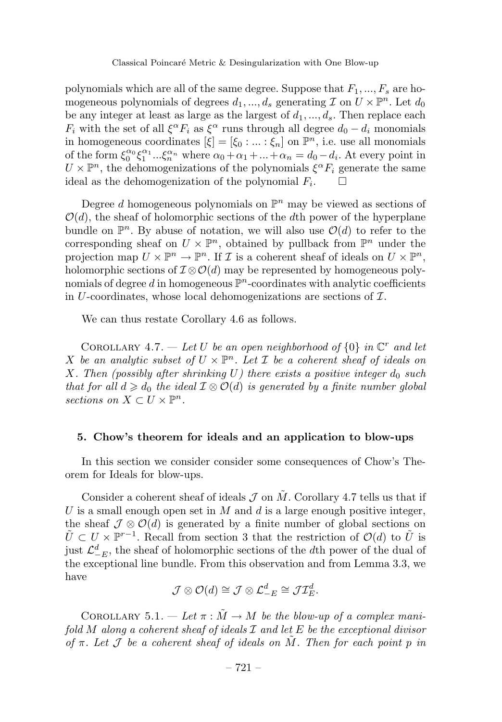polynomials which are all of the same degree. Suppose that  $F_1, ..., F_s$  are homogeneous polynomials of degrees  $d_1, ..., d_s$  generating  $\mathcal I$  on  $U \times \mathbb P^n$ . Let  $d_0$ be any integer at least as large as the largest of  $d_1, ..., d_s$ . Then replace each *F*<sup>*i*</sup> with the set of all  $\xi^{\alpha} F_i$  as  $\xi^{\alpha}$  runs through all degree  $d_0 - d_i$  monomials in homogeneous coordinates  $[\xi]=[\xi_0 : ... : \xi_n]$  on  $\mathbb{P}^n$ , i.e. use all monomials of the form  $\xi_0^{\alpha_0} \xi_1^{\alpha_1} \dots \xi_n^{\alpha_n}$  where  $\alpha_0 + \alpha_1 + \dots + \alpha_n = d_0 - d_i$ . At every point in  $U \times \mathbb{P}^n$ , the dehomogenizations of the polynomials  $\xi^{\alpha} F_i$  generate the same ideal as the dehomogenization of the polynomial  $F_i$ .  $\Box$ 

Degree *d* homogeneous polynomials on  $\mathbb{P}^n$  may be viewed as sections of  $\mathcal{O}(d)$ , the sheaf of holomorphic sections of the *d*th power of the hyperplane bundle on  $\mathbb{P}^n$ . By abuse of notation, we will also use  $\mathcal{O}(d)$  to refer to the corresponding sheaf on  $U \times \mathbb{P}^n$ , obtained by pullback from  $\mathbb{P}^n$  under the projection map  $U \times \mathbb{P}^n \to \mathbb{P}^n$ . If  $\mathcal I$  is a coherent sheaf of ideals on  $U \times \mathbb{P}^n$ , holomorphic sections of  $\mathcal{I}\otimes\mathcal{O}(d)$  may be represented by homogeneous polynomials of degree  $d$  in homogeneous  $\mathbb{P}^n$ -coordinates with analytic coefficients in *U*-coordinates, whose local dehomogenizations are sections of I.

We can thus restate Corollary 4.6 as follows.

COROLLARY 4.7. — Let *U* be an open neighborhood of  $\{0\}$  in  $\mathbb{C}^r$  and let *X* be an analytic subset of  $U \times \mathbb{P}^n$ . Let *I* be a coherent sheaf of ideals on *X*. Then (possibly after shrinking  $U$ ) there exists a positive integer  $d_0$  such that for all  $d \geq d_0$  the ideal  $\mathcal{I} \otimes \mathcal{O}(d)$  is generated by a finite number global sections on  $X \subset U \times \mathbb{P}^n$ .

#### **5. Chow's theorem for ideals and an application to blow-ups**

In this section we consider consider some consequences of Chow's Theorem for Ideals for blow-ups.

Consider a coherent sheaf of ideals  $\mathcal J$  on  $\tilde M$ . Corollary 4.7 tells us that if *U* is a small enough open set in *M* and *d* is a large enough positive integer, the sheaf  $\mathcal{J} \otimes \mathcal{O}(d)$  is generated by a finite number of global sections on  $U \subset U \times \mathbb{P}^{r-1}$ . Recall from section 3 that the restriction of  $\mathcal{O}(d)$  to *U* is just  $\mathcal{L}_{-E}^d$ , the sheaf of holomorphic sections of the *d*th power of the dual of the exceptional line bundle. From this observation and from Lemma 3.3, we have

$$
\mathcal{J}\otimes\mathcal{O}(d)\cong\mathcal{J}\otimes\mathcal{L}_{-E}^{d}\cong\mathcal{J}\mathcal{I}_{E}^{d}.
$$

COROLLARY 5.1. — Let  $\pi : \tilde{M} \to M$  be the blow-up of a complex manifold *M* along a coherent sheaf of ideals I and let *E* be the exceptional divisor of  $\pi$ . Let  $\mathcal I$  be a coherent sheaf of ideals on  $M$ . Then for each point  $p$  in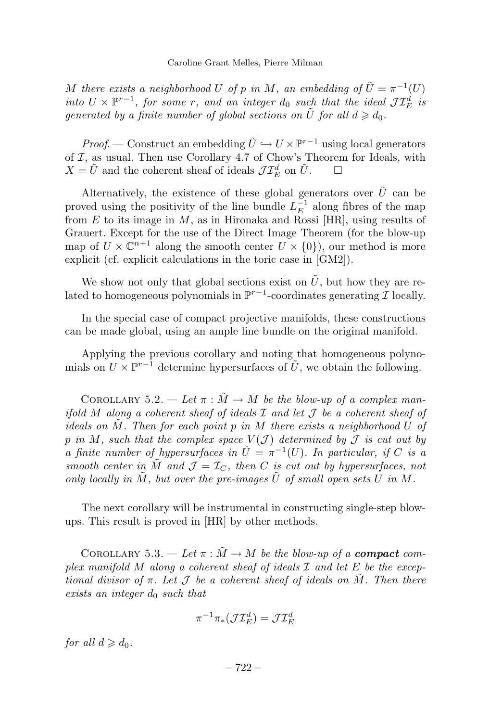*M* there exists a neighborhood *U* of *p* in *M*, an embedding of  $\tilde{U} = \pi^{-1}(U)$ into  $U \times \mathbb{P}^{r-1}$ , for some *r*, and an integer  $d_0$  such that the ideal  $\mathcal{JI}_E^d$  is generated by a finite number of global sections on  $\tilde{U}$  for all  $d \geq d_0$ .

*Proof.* — Construct an embedding  $\tilde{U} \hookrightarrow U \times \mathbb{P}^{r-1}$  using local generators of  $I$ , as usual. Then use Corollary 4.7 of Chow's Theorem for Ideals, with  $X = \tilde{U}$  and the coherent sheaf of ideals  $\mathcal{J} \mathcal{I}_{E}^{d}$  on  $\tilde{U}$ .

Alternatively, the existence of these global generators over  $\tilde{U}$  can be proved using the positivity of the line bundle  $L_E^{-1}$  along fibres of the map from *E* to its image in *M*, as in Hironaka and Rossi [HR], using results of Grauert. Except for the use of the Direct Image Theorem (for the blow-up map of  $U \times \mathbb{C}^{n+1}$  along the smooth center  $U \times \{0\}$ , our method is more explicit (cf. explicit calculations in the toric case in [GM2]).

We show not only that global sections exist on  $\tilde{U}$ , but how they are related to homogeneous polynomials in  $\mathbb{P}^{r-1}$ -coordinates generating *I* locally.

In the special case of compact projective manifolds, these constructions can be made global, using an ample line bundle on the original manifold.

Applying the previous corollary and noting that homogeneous polynomials on  $U \times \mathbb{P}^{r-1}$  determine hypersurfaces of  $\tilde{U}$ , we obtain the following.

COROLLARY 5.2. — Let  $\pi : \tilde{M} \to M$  be the blow-up of a complex manifold *M* along a coherent sheaf of ideals  $\mathcal I$  and let  $\mathcal J$  be a coherent sheaf of ideals on *M*˜ . Then for each point *p* in *M* there exists a neighborhood *U* of *p* in *M*, such that the complex space  $V(\mathcal{J})$  determined by  $\mathcal{J}$  is cut out by a finite number of hypersurfaces in  $\tilde{U} = \pi^{-1}(U)$ . In particular, if *C* is a smooth center in *M* and  $\mathcal{J} = \mathcal{I}_C$ , then *C* is cut out by hypersurfaces, not only locally in  $M$ , but over the pre-images  $U$  of small open sets  $U$  in  $M$ .

The next corollary will be instrumental in constructing single-step blowups. This result is proved in [HR] by other methods.

COROLLARY 5.3. — Let  $\pi : \tilde{M} \to M$  be the blow-up of a **compact** complex manifold *M* along a coherent sheaf of ideals I and let *E* be the exceptional divisor of  $\pi$ . Let  $\mathcal J$  be a coherent sheaf of ideals on  $M$ . Then there exists an integer *d*<sup>0</sup> such that

$$
\pi^{-1}\pi_*({\mathcal J}\mathcal I^d_E)={\mathcal J}\mathcal I^d_E
$$

for all  $d \geqslant d_0$ .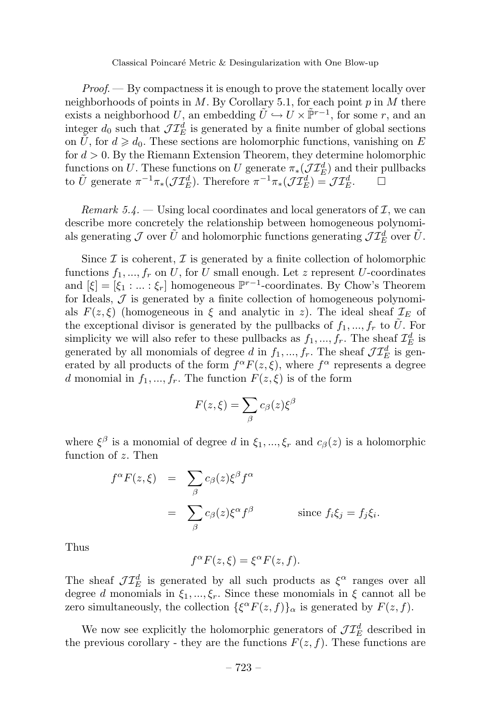#### Classical Poincaré Metric & Desingularization with One Blow-up

 $Proof.$  By compactness it is enough to prove the statement locally over neighborhoods of points in *M*. By Corollary 5.1, for each point *p* in *M* there exists a neighborhood  $U$ , an embedding  $\tilde{U} \hookrightarrow U \times \tilde{\mathbb{P}}^{r-1}$ , for some  $r$ , and an integer  $d_0$  such that  $\mathcal{JI}_E^d$  is generated by a finite number of global sections on *U*, for  $d \geq d_0$ . These sections are holomorphic functions, vanishing on *E* for *d >* 0. By the Riemann Extension Theorem, they determine holomorphic functions on *U*. These functions on *U* generate  $\pi_*(\mathcal{JI}_E^d)$  and their pullbacks to  $\tilde{U}$  generate  $\pi^{-1}\pi_*(\mathcal{J}\mathcal{I}_E^d)$ . Therefore  $\pi^{-1}\pi_*(\mathcal{J}\mathcal{I}_E^d) = \mathcal{J}\mathcal{I}_E^d$ .

Remark 5.4. — Using local coordinates and local generators of  $\mathcal{I}$ , we can describe more concretely the relationship between homogeneous polynomials generating  $\mathcal{J}$  over  $\tilde{U}$  and holomorphic functions generating  $\mathcal{JI}_{E}^{d}$  over  $\tilde{U}$ .

Since  $\mathcal I$  is coherent,  $\mathcal I$  is generated by a finite collection of holomorphic functions  $f_1, ..., f_r$  on *U*, for *U* small enough. Let *z* represent *U*-coordinates and  $[\xi]=[\xi_1 : ... : \xi_r]$  homogeneous  $\mathbb{P}^{r-1}$ -coordinates. By Chow's Theorem for Ideals,  $J$  is generated by a finite collection of homogeneous polynomials  $F(z,\xi)$  (homogeneous in  $\xi$  and analytic in *z*). The ideal sheaf  $\mathcal{I}_E$  of the exceptional divisor is generated by the pullbacks of  $f_1, ..., f_r$  to U. For simplicity we will also refer to these pullbacks as  $f_1, ..., f_r$ . The sheaf  $\mathcal{I}_E^d$  is generated by all monomials of degree *d* in  $f_1, ..., f_r$ . The sheaf  $\mathcal{JI}_E^d$  is generated by all products of the form  $f^{\alpha}F(z,\xi)$ , where  $f^{\alpha}$  represents a degree *d* monomial in  $f_1, ..., f_r$ . The function  $F(z, \xi)$  is of the form

$$
F(z,\xi) = \sum_{\beta} c_{\beta}(z)\xi^{\beta}
$$

where  $\xi^{\beta}$  is a monomial of degree *d* in  $\xi_1, ..., \xi_r$  and  $c_{\beta}(z)$  is a holomorphic function of *z*. Then

$$
f^{\alpha}F(z,\xi) = \sum_{\beta} c_{\beta}(z)\xi^{\beta}f^{\alpha}
$$
  
= 
$$
\sum_{\beta} c_{\beta}(z)\xi^{\alpha}f^{\beta}
$$
 since  $f_i\xi_j = f_j\xi_i$ .

Thus

$$
f^{\alpha}F(z,\xi) = \xi^{\alpha}F(z,f).
$$

The sheaf  $\mathcal{JI}_{E}^{d}$  is generated by all such products as  $\xi^{\alpha}$  ranges over all degree *d* monomials in  $\xi_1, ..., \xi_r$ . Since these monomials in  $\xi$  cannot all be zero simultaneously, the collection  $\{\xi^{\alpha}F(z,f)\}_\alpha$  is generated by  $F(z,f)$ .

We now see explicitly the holomorphic generators of  $\mathcal{JI}_{E}^{d}$  described in the previous corollary - they are the functions  $F(z, f)$ . These functions are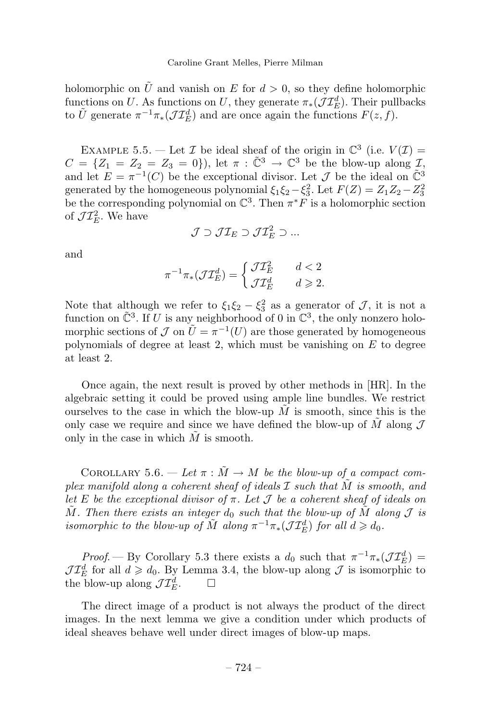holomorphic on  $\tilde{U}$  and vanish on *E* for  $d > 0$ , so they define holomorphic functions on *U*. As functions on *U*, they generate  $\pi_*(\mathcal{JI}_E^d)$ . Their pullbacks to  $\tilde{U}$  generate  $\pi^{-1}\pi_*(\mathcal{J}\mathcal{I}_E^d)$  and are once again the functions  $F(z, f)$ .

EXAMPLE 5.5. — Let  $\mathcal I$  be ideal sheaf of the origin in  $\mathbb C^3$  (i.e.  $V(\mathcal I)$ )  $C = \{Z_1 = Z_2 = Z_3 = 0\}$ , let  $\pi : \tilde{C}^3 \to \mathbb{C}^3$  be the blow-up along *I*, and let  $E = \pi^{-1}(C)$  be the exceptional divisor. Let  $\mathcal J$  be the ideal on  $\tilde{\mathbb C}^3$ generated by the homogeneous polynomial  $\xi_1 \xi_2 - \xi_3^2$ . Let  $F(Z) = Z_1 Z_2 - Z_3^2$ be the corresponding polynomial on  $\mathbb{C}^3$ . Then  $\pi^* F$  is a holomorphic section of  $\mathcal{J}\mathcal{I}_{E}^{2}$ . We have

$$
\mathcal{J} \supset \mathcal{J}\mathcal{I}_E \supset \mathcal{J}\mathcal{I}_E^2 \supset ...
$$

and

$$
\pi^{-1}\pi_*({\mathcal J}\mathcal I^d_E)=\left\{\begin{matrix} {\mathcal J}\mathcal I^2_E & d<2\\ {\mathcal J}\mathcal I^d_E & d\geqslant 2.\end{matrix}\right.
$$

Note that although we refer to  $\xi_1 \xi_2 - \xi_3^2$  as a generator of  $\mathcal{J}$ , it is not a function on  $\tilde{\mathbb{C}}^3$ . If *U* is any neighborhood of 0 in  $\mathbb{C}^3$ , the only nonzero holomorphic sections of  $\mathcal J$  on  $\tilde U = \pi^{-1}(U)$  are those generated by homogeneous polynomials of degree at least 2, which must be vanishing on *E* to degree at least 2.

Once again, the next result is proved by other methods in [HR]. In the algebraic setting it could be proved using ample line bundles. We restrict ourselves to the case in which the blow-up  $\tilde{M}$  is smooth, since this is the only case we require and since we have defined the blow-up of  $\tilde{M}$  along  $\mathcal J$ only in the case in which  $\tilde{M}$  is smooth.

COROLLARY 5.6. — Let  $\pi : \tilde{M} \to M$  be the blow-up of a compact complex manifold along a coherent sheaf of ideals I such that *M*˜ is smooth, and let *E* be the exceptional divisor of  $\pi$ . Let  $\mathcal J$  be a coherent sheaf of ideals on  $\tilde{M}$ . Then there exists an integer  $d_0$  such that the blow-up of  $\tilde{M}$  along  $\mathcal J$  is isomorphic to the blow-up of  $\tilde{M}$  along  $\pi^{-1}\pi_*(\mathcal{J}\mathcal{I}_E^d)$  for all  $d \geqslant d_0$ .

*Proof.* — By Corollary 5.3 there exists a  $d_0$  such that  $\pi^{-1}\pi_*(\mathcal{JI}_E^d)$  $J\mathcal{I}_{E}^{d}$  for all  $d \geqslant d_0$ . By Lemma 3.4, the blow-up along  $J$  is isomorphic to the blow-up along  $\mathcal{JI}_{E}^{d}$ .  $\square$ 

The direct image of a product is not always the product of the direct images. In the next lemma we give a condition under which products of ideal sheaves behave well under direct images of blow-up maps.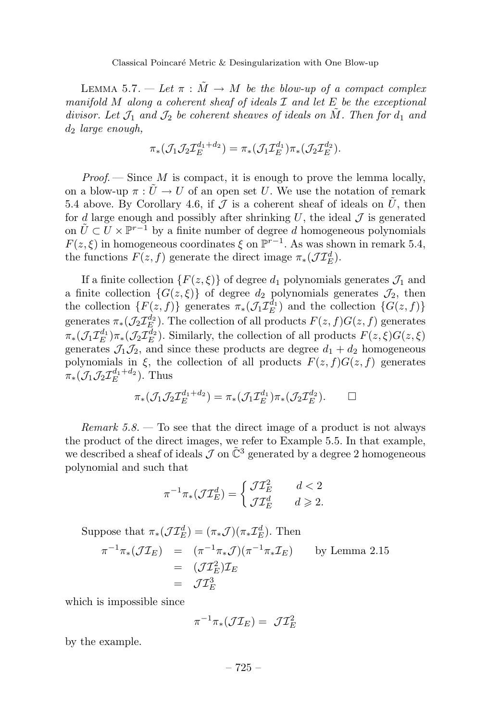LEMMA 5.7. — Let  $\pi : \tilde{M} \to M$  be the blow-up of a compact complex manifold *M* along a coherent sheaf of ideals I and let *E* be the exceptional divisor. Let  $\mathcal{J}_1$  and  $\mathcal{J}_2$  be coherent sheaves of ideals on  $\tilde{M}$ . Then for  $d_1$  and *d*<sup>2</sup> large enough,

$$
\pi_*(\mathcal{J}_1\mathcal{J}_2\mathcal{I}_E^{d_1+d_2})=\pi_*(\mathcal{J}_1\mathcal{I}_E^{d_1})\pi_*(\mathcal{J}_2\mathcal{I}_E^{d_2}).
$$

*Proof.* — Since  $M$  is compact, it is enough to prove the lemma locally, on a blow-up  $\pi : \tilde{U} \to U$  of an open set *U*. We use the notation of remark 5.4 above. By Corollary 4.6, if  $\mathcal{J}$  is a coherent sheaf of ideals on  $\tilde{U}$ , then for *d* large enough and possibly after shrinking U, the ideal  $\mathcal{J}$  is generated on  $\tilde{U}$  ⊂ *U* ×  $\mathbb{P}^{r-1}$  by a finite number of degree *d* homogeneous polynomials  $F(z,\xi)$  in homogeneous coordinates  $\xi$  on  $\mathbb{P}^{r-1}$ . As was shown in remark 5.4, the functions  $F(z, f)$  generate the direct image  $\pi_*(\mathcal{J}\mathcal{I}_{E}^d)$ .

If a finite collection  $\{F(z,\xi)\}\$  of degree  $d_1$  polynomials generates  $\mathcal{J}_1$  and a finite collection  $\{G(z,\xi)\}\$  of degree  $d_2$  polynomials generates  $\mathcal{J}_2$ , then the collection  $\{F(z, f)\}$  generates  $\pi_*(\mathcal{J}_1\mathcal{I}_E^{d_1})$  and the collection  $\{G(z, f)\}$ generates  $\pi_*(\mathcal{J}_2 \mathcal{I}_{E}^{d_2})$ . The collection of all products  $F(z, f)G(z, f)$  generates  $\pi_*(\mathcal{J}_1\mathcal{I}_E^{d_1})\pi_*(\mathcal{J}_2\mathcal{I}_E^{d_2})$ . Similarly, the collection of all products  $F(z,\xi)G(z,\xi)$ generates  $\mathcal{J}_1 \mathcal{J}_2$ , and since these products are degree  $d_1 + d_2$  homogeneous polynomials in  $\xi$ , the collection of all products  $F(z, f)G(z, f)$  generates  $\pi_*(\mathcal{J}_1\mathcal{J}_2\mathcal{I}_E^{d_1+d_2})$ . Thus

$$
\pi_*(\mathcal{J}_1 \mathcal{J}_2 \mathcal{I}_E^{d_1+d_2}) = \pi_*(\mathcal{J}_1 \mathcal{I}_E^{d_1}) \pi_*(\mathcal{J}_2 \mathcal{I}_E^{d_2}). \square
$$

*Remark*  $5.8$ .  $-$  To see that the direct image of a product is not always the product of the direct images, we refer to Example 5.5. In that example, we described a sheaf of ideals  $\mathcal J$  on  $\tilde{\mathbb{C}}^3$  generated by a degree 2 homogeneous polynomial and such that

$$
\pi^{-1}\pi_*({\mathcal J}\mathcal I^d_E)=\left\{\begin{matrix} {\mathcal J}\mathcal I^2_E & d<2\\ {\mathcal J}\mathcal I^d_E & d\geqslant 2. \end{matrix}\right.
$$

Suppose that 
$$
\pi_*(\mathcal{J}\mathcal{I}_E^d) = (\pi_*\mathcal{J})(\pi_*\mathcal{I}_E^d)
$$
. Then  
\n
$$
\pi^{-1}\pi_*(\mathcal{J}\mathcal{I}_E) = (\pi^{-1}\pi_*\mathcal{J})(\pi^{-1}\pi_*\mathcal{I}_E) \qquad \text{by Lemma 2.15}
$$
\n
$$
= (\mathcal{J}\mathcal{I}_E^2)\mathcal{I}_E
$$
\n
$$
= \mathcal{J}\mathcal{I}_E^3
$$

which is impossible since

$$
\pi^{-1}\pi_*({\mathcal J}\mathcal I_E)=\ {\mathcal J}\mathcal I_E^2
$$

by the example.

– 725 –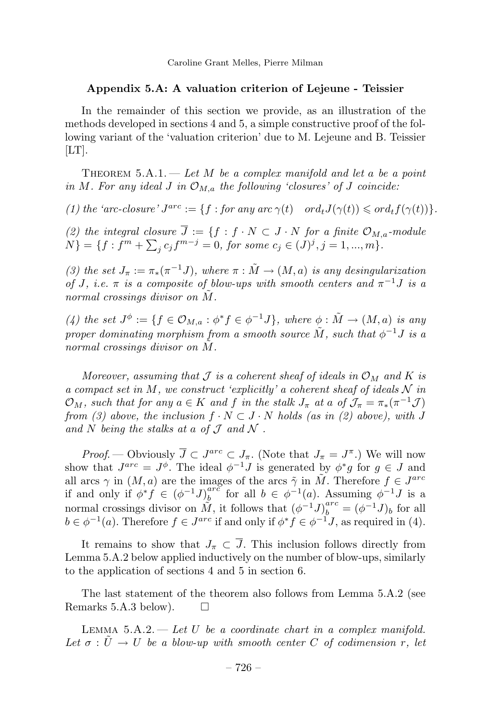# **Appendix 5.A: A valuation criterion of Lejeune - Teissier**

In the remainder of this section we provide, as an illustration of the methods developed in sections 4 and 5, a simple constructive proof of the following variant of the 'valuation criterion' due to M. Lejeune and B. Teissier  $[LT]$ .

THEOREM  $5.A.1.$  — Let  $M$  be a complex manifold and let a be a point in *M*. For any ideal *J* in  $\mathcal{O}_{M,a}$  the following 'closures' of *J* coincide:

 $(1)$  the 'arc-closure'  $J^{arc} := \{f : \text{for any arc } \gamma(t) \text{ or } d_t J(\gamma(t)) \leq \text{ord}_t f(\gamma(t))\}.$ 

(2) the integral closure  $\overline{J} := \{f : f \cdot N \subset J \cdot N \text{ for a finite } \mathcal{O}_{M,a} \text{-module} \}$  $N$ } = { $f : f<sup>m</sup> + \sum_j c_j f<sup>m-j</sup> = 0$ , for some  $c_j \in (J)<sup>j</sup>, j = 1, ..., m$  }.

(3) the set  $J_{\pi} := \pi_*(\pi^{-1}J)$ , where  $\pi : \tilde{M} \to (M, a)$  is any desingularization of *J*, i.e.  $\pi$  is a composite of blow-ups with smooth centers and  $\pi^{-1}J$  is a normal crossings divisor on M.

(4) the set  $J^{\phi} := \{ f \in \mathcal{O}_{M,a} : \phi^* f \in \phi^{-1} J \}$ , where  $\phi : \tilde{M} \to (M, a)$  is any proper dominating morphism from a smooth source  $\tilde{M}$ , such that  $\phi^{-1}J$  is a normal crossings divisor on M.

Moreover, assuming that  $\mathcal J$  is a coherent sheaf of ideals in  $\mathcal O_M$  and  $K$  is a compact set in  $M$ , we construct 'explicitly' a coherent sheaf of ideals  $N$  in  $\mathcal{O}_M$ , such that for any  $a \in K$  and  $f$  in the stalk  $J_\pi$  at  $a$  of  $\mathcal{J}_\pi = \pi_*(\pi^{-1}\mathcal{J})$ from (3) above, the inclusion  $f \cdot N \subset J \cdot N$  holds (as in (2) above), with *J* and  $N$  being the stalks at a of  $\mathcal J$  and  $\mathcal N$ .

*Proof.* — Obviously  $\overline{J} \subset J^{arc} \subset J_{\pi}$ . (Note that  $J_{\pi} = J^{\pi}$ .) We will now show that  $J^{arc} = J^{\phi}$ . The ideal  $\phi^{-1}J$  is generated by  $\phi^*g$  for  $g \in J$  and all arcs  $\gamma$  in  $(M, a)$  are the images of the arcs  $\tilde{\gamma}$  in  $\tilde{M}$ . Therefore  $f \in J^{arc}$ if and only if  $\phi^* f \in (\phi^{-1} J)_b^{arc}$  for all  $b \in \phi^{-1}(a)$ . Assuming  $\phi^{-1} J$  is a normal crossings divisor on  $\tilde{M}$ , it follows that  $(\phi^{-1}J)^{arc}_{b} = (\phi^{-1}J)_{b}$  for all  $b \in \phi^{-1}(a)$ . Therefore  $f \in J^{arc}$  if and only if  $\phi^* f \in \phi^{-1}J$ , as required in (4).

It remains to show that  $J_{\pi} \subset \overline{J}$ . This inclusion follows directly from Lemma 5.A.2 below applied inductively on the number of blow-ups, similarly to the application of sections 4 and 5 in section 6.

The last statement of the theorem also follows from Lemma 5.A.2 (see Remarks 5.A.3 below).  $\square$ 

LEMMA  $5.A.2$  — Let U be a coordinate chart in a complex manifold. Let  $\sigma : \tilde{U} \to U$  be a blow-up with smooth center *C* of codimension *r*, let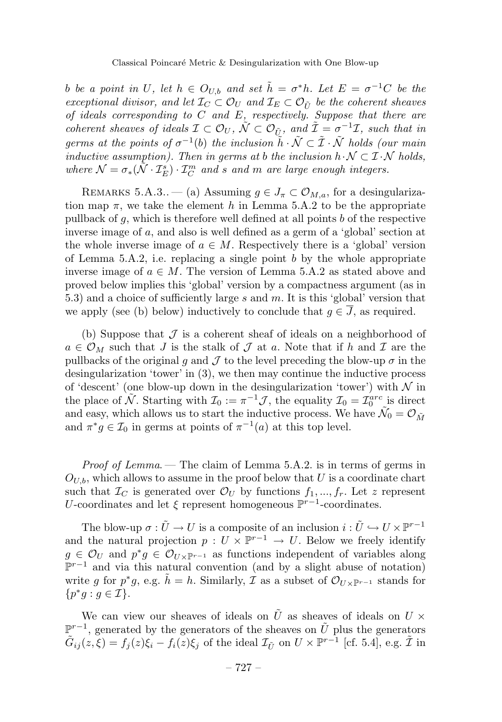*b* be a point in *U*, let  $h \in O_{U,b}$  and set  $\tilde{h} = \sigma^* h$ . Let  $E = \sigma^{-1} C$  be the exceptional divisor, and let  $\mathcal{I}_C \subset \mathcal{O}_U$  and  $\mathcal{I}_E \subset \mathcal{O}_{\tilde{U}}$  be the coherent sheaves of ideals corresponding to *C* and *E*, respectively. Suppose that there are coherent sheaves of ideals  $\mathcal{I} \subset \mathcal{O}_U$ ,  $\tilde{\mathcal{N}} \subset \mathcal{O}_{\tilde{U}}$ , and  $\tilde{\mathcal{I}} = \sigma^{-1}\mathcal{I}$ , such that in germs at the points of  $\sigma^{-1}(b)$  the inclusion  $\tilde{h} \cdot \tilde{\mathcal{N}} \subset \tilde{\mathcal{I}} \cdot \tilde{\mathcal{N}}$  holds (our main inductive assumption). Then in germs at *b* the inclusion  $h \cdot \mathcal{N} \subset \mathcal{I} \cdot \mathcal{N}$  holds, where  $\mathcal{N} = \sigma_*(\tilde{\mathcal{N}} \cdot \mathcal{I}_E^s) \cdot \mathcal{I}_C^m$  and *s* and *m* are large enough integers.

REMARKS 5.A.3.. — (a) Assuming  $g \in J_{\pi} \subset \mathcal{O}_{M,a}$ , for a desingularization map  $\pi$ , we take the element *h* in Lemma 5.A.2 to be the appropriate pullback of *g*, which is therefore well defined at all points *b* of the respective inverse image of *a*, and also is well defined as a germ of a 'global' section at the whole inverse image of  $a \in M$ . Respectively there is a 'global' version of Lemma 5.A.2, i.e. replacing a single point *b* by the whole appropriate inverse image of  $a \in M$ . The version of Lemma 5.A.2 as stated above and proved below implies this 'global' version by a compactness argument (as in 5.3) and a choice of sufficiently large *s* and *m*. It is this 'global' version that we apply (see (b) below) inductively to conclude that  $g \in \overline{J}$ , as required.

(b) Suppose that  $\mathcal J$  is a coherent sheaf of ideals on a neighborhood of  $a \in \mathcal{O}_M$  such that *J* is the stalk of *J* at *a*. Note that if *h* and *I* are the pullbacks of the original *g* and  $\mathcal J$  to the level preceding the blow-up  $\sigma$  in the desingularization 'tower' in (3), we then may continue the inductive process of 'descent' (one blow-up down in the desingularization 'tower') with  $\mathcal N$  in the place of  $\widetilde{\mathcal{N}}$ . Starting with  $\mathcal{I}_0 := \pi^{-1} \mathcal{J}$ , the equality  $\mathcal{I}_0 = \mathcal{I}_0^{arc}$  is direct and easy, which allows us to start the inductive process. We have  $\tilde{\mathcal{N}}_0 = \mathcal{O}_{\tilde{M}}$ and  $\pi^* g \in \mathcal{I}_0$  in germs at points of  $\pi^{-1}(a)$  at this top level.

*Proof of Lemma*. — The claim of Lemma 5.A.2. is in terms of germs in  $O_{U,b}$ , which allows to assume in the proof below that  $U$  is a coordinate chart such that  $\mathcal{I}_C$  is generated over  $\mathcal{O}_U$  by functions  $f_1, ..., f_r$ . Let *z* represent *U*-coordinates and let  $\xi$  represent homogeneous  $\mathbb{P}^{r-1}$ -coordinates.

The blow-up  $\sigma : \tilde{U} \to U$  is a composite of an inclusion  $i : \tilde{U} \hookrightarrow U \times \mathbb{P}^{r-1}$ and the natural projection  $p: U \times \mathbb{P}^{r-1} \to U$ . Below we freely identify  $g \in \mathcal{O}_U$  and  $p^*g \in \mathcal{O}_{U \times \mathbb{P}^{r-1}}$  as functions independent of variables along P*<sup>r</sup>*−<sup>1</sup> and via this natural convention (and by a slight abuse of notation) write *g* for  $p^*g$ , e.g.  $h = h$ . Similarly, *I* as a subset of  $\mathcal{O}_{U\times\mathbb{P}^{r-1}}$  stands for  $\{p^*g : g \in \mathcal{I}\}.$ 

We can view our sheaves of ideals on  $\tilde{U}$  as sheaves of ideals on  $U \times$  $\mathbb{P}^{r-1}$ , generated by the generators of the sheaves on  $\tilde{U}$  plus the generators  $\tilde{G}_{ij}(z,\xi) = f_j(z)\xi_i - f_i(z)\xi_j$  of the ideal  $\mathcal{I}_{\tilde{U}}$  on  $U \times \mathbb{P}^{r-1}$  [cf. 5.4], e.g.  $\tilde{\mathcal{I}}$  in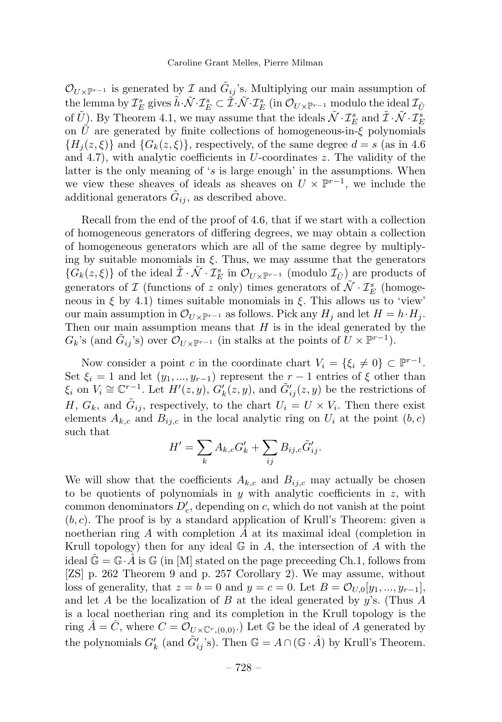$\mathcal{O}_{U\times\mathbb{P}^{r-1}}$  is generated by  $\mathcal I$  and  $\tilde G_{ij}$ 's. Multiplying our main assumption of  $\mathcal{L}_{\mathcal{E}}^{\mathcal{S}}$  gives  $\tilde{h} \cdot \tilde{\mathcal{N}} \cdot \mathcal{I}_{E}^{\mathcal{S}} \subset \tilde{\mathcal{I}} \cdot \tilde{\mathcal{N}} \cdot \mathcal{I}_{E}^{\mathcal{S}}$  (in  $\mathcal{O}_{U \times \mathbb{P}^{r-1}}$  modulo the ideal  $\mathcal{I}_{\tilde{U}}$ of  $\tilde{U}$ ). By Theorem 4.1, we may assume that the ideals  $\tilde{\mathcal{N}} \cdot \mathcal{I}_E^s$  and  $\tilde{\mathcal{I}} \cdot \tilde{\mathcal{N}} \cdot \mathcal{I}_E^s$ on  $\tilde{U}$  are generated by finite collections of homogeneous-in- $\xi$  polynomials  ${H<sub>i</sub>(z, \xi)}$  and  ${G<sub>k</sub>(z, \xi)}$ , respectively, of the same degree  $d = s$  (as in 4.6) and 4.7), with analytic coefficients in *U*-coordinates *z*. The validity of the latter is the only meaning of '*s* is large enough' in the assumptions. When we view these sheaves of ideals as sheaves on  $U \times \mathbb{P}^{r-1}$ , we include the additional generators  $\tilde{G}_{ij}$ , as described above.

Recall from the end of the proof of 4.6, that if we start with a collection of homogeneous generators of differing degrees, we may obtain a collection of homogeneous generators which are all of the same degree by multiplying by suitable monomials in *ξ*. Thus, we may assume that the generators  ${\{\hat{G}_k(z,\xi)\}}$  of the ideal  $\tilde{\mathcal{I}} \cdot \tilde{\mathcal{N}} \cdot \mathcal{I}_E^s$  in  $\mathcal{O}_{U \times \mathbb{P}^{r-1}}$  (modulo  $\mathcal{I}_{\tilde{U}})$  are products of generators of  $\mathcal I$  (functions of  $z$  only) times generators of  $\tilde{\mathcal N}\cdot{\mathcal I}_E^s$  (homogeneous in  $\xi$  by 4.1) times suitable monomials in  $\xi$ . This allows us to 'view' our main assumption in  $\mathcal{O}_{U\times\mathbb{P}^{r-1}}$  as follows. Pick any  $H_i$  and let  $H = h \cdot H_i$ . Then our main assumption means that *H* is in the ideal generated by the  $G_k$ 's (and  $\tilde{G}_{ij}$ 's) over  $\mathcal{O}_{U\times\mathbb{P}^{r-1}}$  (in stalks at the points of  $U\times\mathbb{P}^{r-1}$ ).

Now consider a point *c* in the coordinate chart  $V_i = \{\xi_i \neq 0\} \subset \mathbb{P}^{r-1}$ . Set  $\xi_i = 1$  and let  $(y_1, ..., y_{r-1})$  represent the  $r-1$  entries of  $\xi$  other than  $\xi_i$  on  $V_i \cong \mathbb{C}^{r-1}$ . Let  $H'(z, y)$ ,  $G'_k(z, y)$ , and  $\tilde{G}'_{ij}(z, y)$  be the restrictions of *H*,  $G_k$ , and  $\tilde{G}_{ij}$ , respectively, to the chart  $U_i = U \times V_i$ . Then there exist elements  $A_{k,c}$  and  $B_{ij,c}$  in the local analytic ring on  $U_i$  at the point  $(b, c)$ such that

$$
H' = \sum_{k} A_{k,c} G'_{k} + \sum_{ij} B_{ij,c} \tilde{G}'_{ij}.
$$

We will show that the coefficients  $A_{k,c}$  and  $B_{ij,c}$  may actually be chosen to be quotients of polynomials in *y* with analytic coefficients in *z*, with common denominators  $D'_{c}$ , depending on  $c$ , which do not vanish at the point  $(b, c)$ . The proof is by a standard application of Krull's Theorem: given a noetherian ring *A* with completion *A*ˆ at its maximal ideal (completion in Krull topology) then for any ideal G in *A*, the intersection of *A* with the ideal  $\mathbb{G} = \mathbb{G} \cdot \tilde{A}$  is  $\mathbb{G}$  (in [M] stated on the page preceeding Ch.1, follows from [ZS] p. 262 Theorem 9 and p. 257 Corollary 2). We may assume, without loss of generality, that  $z = b = 0$  and  $y = c = 0$ . Let  $B = O_{U,0}[y_1, ..., y_{r-1}]$ , and let *A* be the localization of *B* at the ideal generated by *y*'s. (Thus *A* is a local noetherian ring and its completion in the Krull topology is the ring  $\hat{A} = \hat{C}$ , where  $C = \mathcal{O}_{U \times \mathbb{C}^r,(0,0)}$ . Let G be the ideal of A generated by the polynomials  $G'_{k}$  (and  $\tilde{G}'_{ij}$ 's). Then  $\mathbb{G} = A \cap (\mathbb{G} \cdot \hat{A})$  by Krull's Theorem.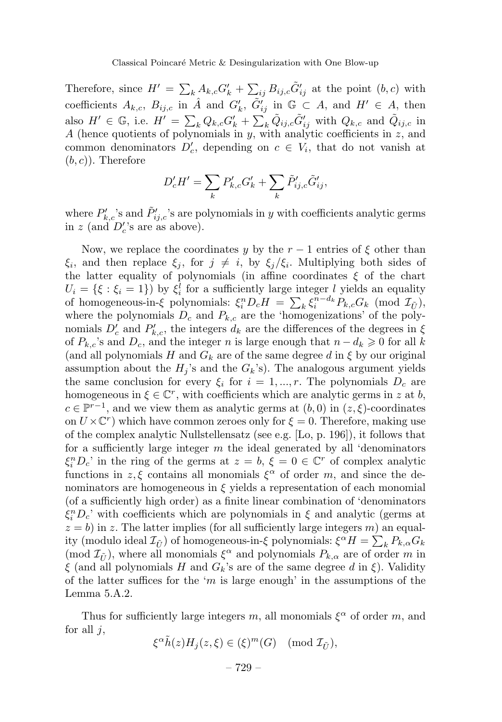Therefore, since  $H' = \sum_{k} A_{k,c} G'_{k} + \sum_{ij} B_{ij,c} \tilde{G}'_{ij}$  at the point  $(b, c)$  with coefficients  $A_{k,c}$ ,  $B_{ij,c}$  in  $\hat{A}$  and  $G'_{k}$ ,  $\tilde{G}'_{ij}$  in  $\mathbb{G} \subset A$ , and  $H' \in A$ , then also  $H' \in \mathbb{G}$ , i.e.  $H' = \sum_k Q_{k,c} G'_k + \sum_k \tilde{Q}_{ij,c} \tilde{G}'_{ij}$  with  $Q_{k,c}$  and  $\tilde{Q}_{ij,c}$  in *A* (hence quotients of polynomials in *y*, with analytic coefficients in *z*, and common denominators  $D'_c$ , depending on  $c \in V_i$ , that do not vanish at (*b, c*)). Therefore

$$
D'_{c}H' = \sum_{k} P'_{k,c}G'_{k} + \sum_{k} \tilde{P}'_{ij,c}\tilde{G}'_{ij},
$$

where  $P'_{k,c}$ 's and  $\tilde{P}'_{i,j,c}$ 's are polynomials in *y* with coefficients analytic germs in  $z$  (and  $D'_c$ 's are as above).

Now, we replace the coordinates *y* by the  $r-1$  entries of  $\xi$  other than *ξ*<sub>*i*</sub>, and then replace *ξ*<sub>*j*</sub>, for  $j \neq i$ , by *ξ*<sub>*j*</sub>/*ξ*<sub>*i*</sub>. Multiplying both sides of the latter equality of polynomials (in affine coordinates *ξ* of the chart  $U_i = \{\xi : \xi_i = 1\}$  by  $\xi_i^l$  for a sufficiently large integer *l* yields an equality of homogeneous-in-*ξ* polynomials:  $\xi_i^n D_c H = \sum_k \xi_i^{n-d_k} P_{k,c} G_k \pmod{\mathcal{I}_{\tilde{U}}}$ , where the polynomials  $D_c$  and  $P_{k,c}$  are the 'homogenizations' of the polynomials  $D'_c$  and  $P'_{k,c}$ , the integers  $d_k$  are the differences of the degrees in  $\xi$ of  $P_{k,c}$ 's and  $D_c$ , and the integer *n* is large enough that  $n - d_k \geq 0$  for all *k* (and all polynomials *H* and  $G_k$  are of the same degree *d* in  $\xi$  by our original assumption about the  $H_i$ 's and the  $G_k$ 's). The analogous argument yields the same conclusion for every  $\xi_i$  for  $i = 1, ..., r$ . The polynomials  $D_c$  are homogeneous in  $\xi \in \mathbb{C}^r$ , with coefficients which are analytic germs in *z* at *b*,  $c \in \mathbb{P}^{r-1}$ , and we view them as analytic germs at  $(b, 0)$  in  $(z, \xi)$ -coordinates on  $U \times \mathbb{C}^r$ ) which have common zeroes only for  $\xi = 0$ . Therefore, making use of the complex analytic Nullstellensatz (see e.g. [Lo, p. 196]), it follows that for a sufficiently large integer *m* the ideal generated by all 'denominators  $\xi_i^n D_c$ ' in the ring of the germs at  $z = b$ ,  $\xi = 0 \in \mathbb{C}^r$  of complex analytic functions in  $z, \xi$  contains all monomials  $\xi^{\alpha}$  of order *m*, and since the denominators are homogeneous in  $\xi$  yields a representation of each monomial (of a sufficiently high order) as a finite linear combination of 'denominators  $\xi_i^n D_c$ ' with coefficients which are polynomials in  $\xi$  and analytic (germs at  $z = b$ ) in *z*. The latter implies (for all sufficiently large integers *m*) an equality (modulo ideal  $\mathcal{I}_{\tilde{U}}$ ) of homogeneous-in-*ξ* polynomials:  $\xi^{\alpha}H = \sum_{k} P_{k,\alpha}G_{k}$ (mod  $\mathcal{I}_{\tilde{U}}$ ), where all monomials  $\xi^{\alpha}$  and polynomials  $P_{k,\alpha}$  are of order *m* in *ξ* (and all polynomials *H* and *Gk*'s are of the same degree *d* in *ξ*). Validity of the latter suffices for the '*m* is large enough' in the assumptions of the Lemma 5.A.2.

Thus for sufficiently large integers *m*, all monomials  $\xi^{\alpha}$  of order *m*, and for all *j*,

$$
\xi^\alpha \tilde{h}(z)H_j(z,\xi)\in (\xi)^m(G)\pmod{\mathcal{I}_{\tilde{U}}},
$$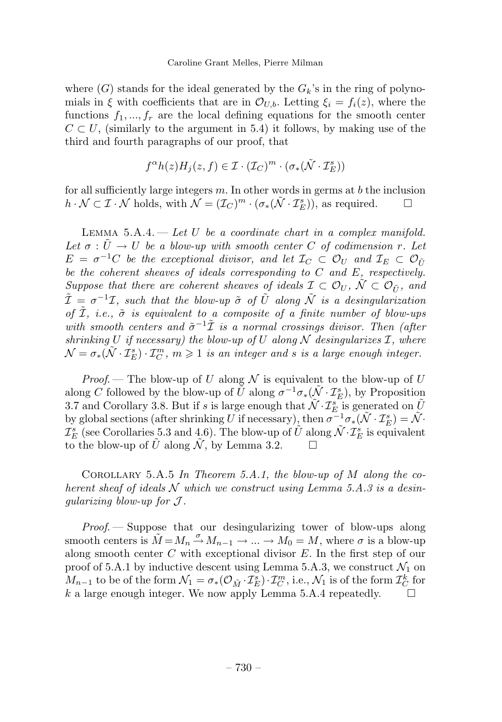where  $(G)$  stands for the ideal generated by the  $G_k$ 's in the ring of polynomials in *ξ* with coefficients that are in  $\mathcal{O}_{U,b}$ . Letting  $\xi_i = f_i(z)$ , where the functions  $f_1, ..., f_r$  are the local defining equations for the smooth center  $C \subset U$ , (similarly to the argument in 5.4) it follows, by making use of the third and fourth paragraphs of our proof, that

$$
f^{\alpha}h(z)H_j(z,f) \in \mathcal{I} \cdot (\mathcal{I}_C)^m \cdot (\sigma_*(\tilde{\mathcal{N}} \cdot \mathcal{I}_E^s))
$$

for all sufficiently large integers *m*. In other words in germs at *b* the inclusion  $h \cdot \mathcal{N} \subset \mathcal{I} \cdot \mathcal{N}$  holds, with  $\mathcal{N} = (\mathcal{I}_C)^m \cdot (\sigma_*(\tilde{\mathcal{N}} \cdot \mathcal{I}_E^s))$ , as required.  $\Box$ 

LEMMA  $5.A.4.$  — Let *U* be a coordinate chart in a complex manifold. Let  $\sigma: U \to U$  be a blow-up with smooth center *C* of codimension *r*. Let  $E = \sigma^{-1}C$  be the exceptional divisor, and let  $\mathcal{I}_C \subset \mathcal{O}_U$  and  $\mathcal{I}_E \subset \mathcal{O}_{\tilde{U}}$ be the coherent sheaves of ideals corresponding to *C* and *E*, respectively. Suppose that there are coherent sheaves of ideals  $\mathcal{I} \subset \mathcal{O}_U$ ,  $\mathcal{N} \subset \mathcal{O}_{\tilde{U}}$ , and  $\tilde{\mathcal{I}} = \sigma^{-1}\mathcal{I}$ , such that the blow-up  $\tilde{\sigma}$  of  $\tilde{U}$  along  $\tilde{\mathcal{N}}$  is a desingularization of  $\tilde{\mathcal{I}}$ , *i.e.*,  $\tilde{\sigma}$  *is equivalent to a composite of a finite number of blow-ups* with smooth centers and  $\tilde{\sigma}^{-1}\tilde{\mathcal{I}}$  is a normal crossings divisor. Then (after shrinking  $U$  if necessary) the blow-up of  $U$  along  $\mathcal N$  desingularizes  $\mathcal I$ , where  $\mathcal{N} = \sigma_*(\tilde{\mathcal{N}} \cdot \mathcal{I}_E^s) \cdot \mathcal{I}_C^m$ ,  $m \geqslant 1$  is an integer and *s* is a large enough integer.

*Proof.* – The blow-up of *U* along  $\mathcal N$  is equivalent to the blow-up of *U* along *C* followed by the blow-up of  $\tilde{U}$  along  $\sigma^{-1}\sigma_*(\tilde{N} \cdot \mathcal{I}_E^s)$ , by Proposition 3.7 and Corollary 3.8. But if *s* is large enough that  $\widetilde{\mathcal{N}} \cdot \mathcal{I}_E^s$  is generated on  $\widetilde{U}$ by global sections (after shrinking *U* if necessary), then  $\sigma^{-1} \sigma_*(\tilde{\mathcal{N}} \cdot \mathcal{I}_E^s) = \tilde{\mathcal{N}}$ .  $\mathcal{I}_E^s$  (see Corollaries 5.3 and 4.6). The blow-up of  $\tilde{U}$  along  $\tilde{\mathcal{N}} \cdot \mathcal{I}_E^s$  is equivalent to the blow-up of  $\tilde{U}$  along  $\tilde{\mathcal{N}}$ , by Lemma 3.2.

Corollary 5.A.5 In Theorem 5.A.1, the blow-up of *M* along the coherent sheaf of ideals  $N$  which we construct using Lemma 5.A.3 is a desinqularizing blow-up for  $\mathcal{J}$ .

Proof. — Suppose that our desingularizing tower of blow-ups along smooth centers is  $\tilde{M} = M_n \stackrel{\sigma}{\rightarrow} M_{n-1} \rightarrow \dots \rightarrow M_0 = M$ , where  $\sigma$  is a blow-up along smooth center *C* with exceptional divisor *E*. In the first step of our proof of 5.A.1 by inductive descent using Lemma 5.A.3, we construct  $\mathcal{N}_1$  on *M*<sub>*n*−1</sub> to be of the form  $\mathcal{N}_1 = \sigma_*(\mathcal{O}_{\tilde{M}} \cdot \mathcal{I}_{E}^s) \cdot \mathcal{I}_{C}^m$ , i.e.,  $\mathcal{N}_1$  is of the form  $\mathcal{I}_{C}^k$  for *k* a large enough integer. We now apply Lemma 5.A.4 repeatedly.  $\square$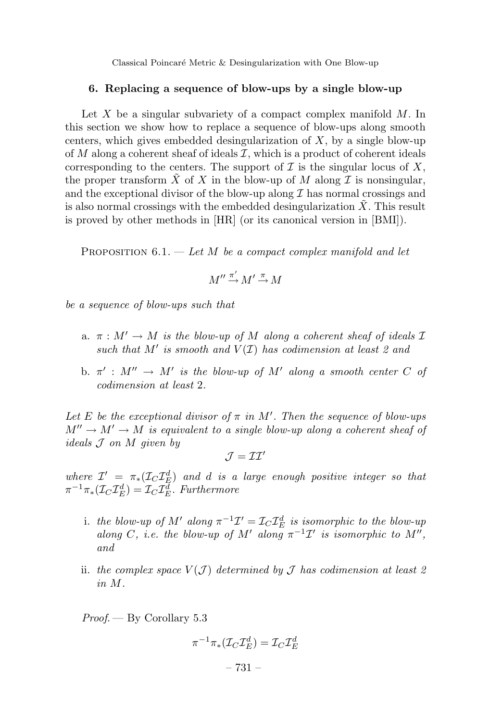Classical Poincaré Metric & Desingularization with One Blow-up

#### **6. Replacing a sequence of blow-ups by a single blow-up**

Let *X* be a singular subvariety of a compact complex manifold *M*. In this section we show how to replace a sequence of blow-ups along smooth centers, which gives embedded desingularization of *X*, by a single blow-up of  $M$  along a coherent sheaf of ideals  $\mathcal{I}$ , which is a product of coherent ideals corresponding to the centers. The support of  $\mathcal I$  is the singular locus of  $X$ , the proper transform  $\tilde{X}$  of *X* in the blow-up of *M* along *I* is nonsingular, and the exceptional divisor of the blow-up along  $\mathcal I$  has normal crossings and is also normal crossings with the embedded desingularization *X*˜. This result is proved by other methods in [HR] (or its canonical version in [BMI]).

PROPOSITION 6.1. — Let *M* be a compact complex manifold and let

$$
M'' \xrightarrow{\pi'} M' \xrightarrow{\pi} M
$$

be a sequence of blow-ups such that

- a.  $\pi : M' \to M$  is the blow-up of M along a coherent sheaf of ideals  $\mathcal I$ such that  $M'$  is smooth and  $V(\mathcal{I})$  has codimension at least 2 and
- b.  $\pi'$ :  $M'' \to M'$  is the blow-up of  $M'$  along a smooth center C of codimension at least 2.

Let *E* be the exceptional divisor of  $\pi$  in M'. Then the sequence of blow-ups  $M'' \to M' \to M$  is equivalent to a single blow-up along a coherent sheaf of ideals J on *M* given by

$$
\mathcal{J}=\mathcal{II}'
$$

where  $\mathcal{I}' = \pi_*(\mathcal{I}_C \mathcal{I}_{\mathcal{F}}^d)$  and *d* is a large enough positive integer so that  $\pi^{-1}\pi_*(\mathcal{I}_C\mathcal{I}_E^d) = \mathcal{I}_C\mathcal{I}_E^d$ . Furthermore

- i. the blow-up of  $M'$  along  $\pi^{-1}\mathcal{I}' = \mathcal{I}_C \mathcal{I}_E^d$  is isomorphic to the blow-up along *C*, i.e. the blow-up of *M'* along  $\pi^{-1}\mathcal{I}'$  is isomorphic to *M''*, and
- ii. the complex space  $V(\mathcal{J})$  determined by  $\mathcal J$  has codimension at least 2 in *M*.

Proof. — By Corollary 5.3

$$
\pi^{-1}\pi_*({\mathcal I}_C{\mathcal I}_E^d)={\mathcal I}_C{\mathcal I}_E^d
$$

– 731 –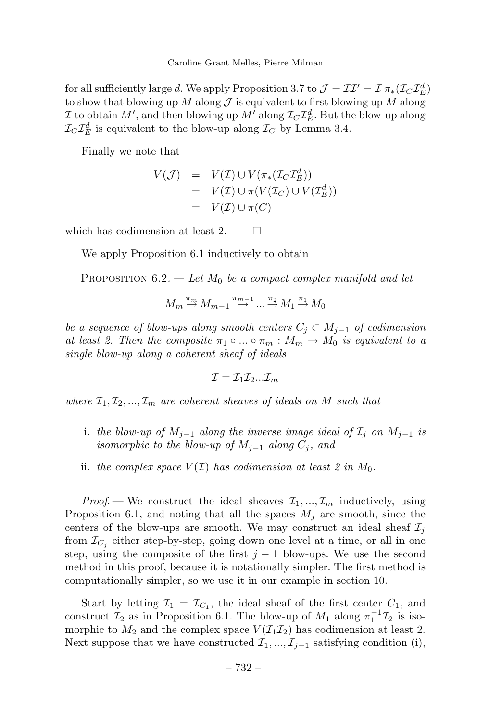Caroline Grant Melles, Pierre Milman

for all sufficiently large *d*. We apply Proposition 3.7 to  $\mathcal{J} = \mathcal{II}' = \mathcal{I} \pi_*(\mathcal{I}_C \mathcal{I}_E^d)$ to show that blowing up *M* along  $\mathcal J$  is equivalent to first blowing up *M* along I to obtain  $M'$ , and then blowing up  $M'$  along  $\mathcal{I}_C \mathcal{I}_E^d$ . But the blow-up along  $\mathcal{I}_C \mathcal{I}_E^d$  is equivalent to the blow-up along  $\mathcal{I}_C$  by Lemma 3.4.

Finally we note that

$$
V(\mathcal{J}) = V(\mathcal{I}) \cup V(\pi_*(\mathcal{I}_C \mathcal{I}_E^d))
$$
  
= 
$$
V(\mathcal{I}) \cup \pi(V(\mathcal{I}_C) \cup V(\mathcal{I}_E^d))
$$
  
= 
$$
V(\mathcal{I}) \cup \pi(C)
$$

which has codimension at least 2.  $\Box$ 

We apply Proposition 6.1 inductively to obtain

PROPOSITION  $6.2.$  — Let  $M_0$  be a compact complex manifold and let

$$
M_m \stackrel{\pi_m}{\rightarrow} M_{m-1} \stackrel{\pi_{m-1}}{\rightarrow} \dots \stackrel{\pi_2}{\rightarrow} M_1 \stackrel{\pi_1}{\rightarrow} M_0
$$

be a sequence of blow-ups along smooth centers  $C_j \subset M_{j-1}$  of codimension at least 2. Then the composite  $\pi_1 \circ ... \circ \pi_m : M_m \to M_0$  is equivalent to a single blow-up along a coherent sheaf of ideals

$$
\mathcal{I}=\mathcal{I}_1\mathcal{I}_2...\mathcal{I}_m
$$

where  $\mathcal{I}_1, \mathcal{I}_2, ..., \mathcal{I}_m$  are coherent sheaves of ideals on *M* such that

- i. the blow-up of  $M_{j-1}$  along the inverse image ideal of  $\mathcal{I}_j$  on  $M_{j-1}$  is isomorphic to the blow-up of  $M_{i-1}$  along  $C_i$ , and
- ii. the complex space  $V(\mathcal{I})$  has codimension at least 2 in  $M_0$ .

*Proof.* — We construct the ideal sheaves  $\mathcal{I}_1, \ldots, \mathcal{I}_m$  inductively, using Proposition 6.1, and noting that all the spaces *M<sup>j</sup>* are smooth, since the centers of the blow-ups are smooth. We may construct an ideal sheaf  $\mathcal{I}_j$ from  $\mathcal{I}_{C_i}$  either step-by-step, going down one level at a time, or all in one step, using the composite of the first  $j-1$  blow-ups. We use the second method in this proof, because it is notationally simpler. The first method is computationally simpler, so we use it in our example in section 10.

Start by letting  $\mathcal{I}_1 = \mathcal{I}_{C_1}$ , the ideal sheaf of the first center  $C_1$ , and construct  $\mathcal{I}_2$  as in Proposition 6.1. The blow-up of  $M_1$  along  $\pi_1^{-1}\mathcal{I}_2$  is isomorphic to  $M_2$  and the complex space  $V(\mathcal{I}_1 \mathcal{I}_2)$  has codimension at least 2. Next suppose that we have constructed  $\mathcal{I}_1, \ldots, \mathcal{I}_{j-1}$  satisfying condition (i),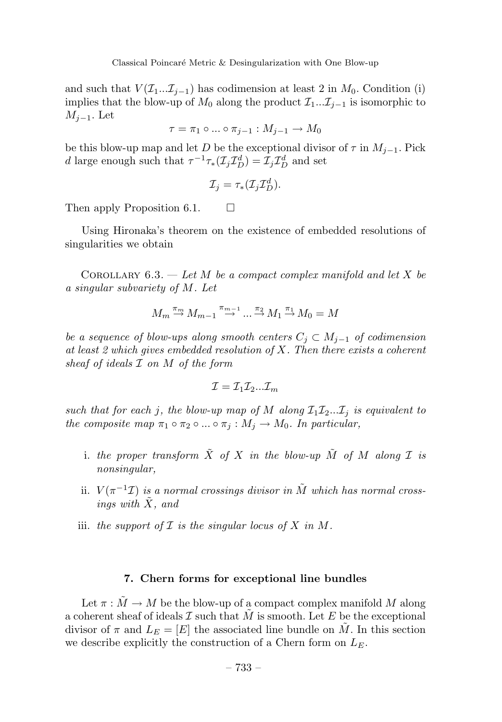and such that  $V(\mathcal{I}_1...\mathcal{I}_{j-1})$  has codimension at least 2 in  $M_0$ . Condition (i) implies that the blow-up of  $M_0$  along the product  $\mathcal{I}_1 \dots \mathcal{I}_{j-1}$  is isomorphic to *Mj*−1. Let

$$
\tau = \pi_1 \circ \dots \circ \pi_{j-1} : M_{j-1} \to M_0
$$

be this blow-up map and let *D* be the exceptional divisor of  $\tau$  in  $M_{i-1}$ . Pick *d* large enough such that  $\tau^{-1}\tau_*(\mathcal{I}_j\mathcal{I}_D^d) = \mathcal{I}_j\mathcal{I}_D^d$  and set

$$
\mathcal{I}_j = \tau_* (\mathcal{I}_j \mathcal{I}_D^d).
$$

Then apply Proposition 6.1.  $\Box$ 

Using Hironaka's theorem on the existence of embedded resolutions of singularities we obtain

COROLLARY  $6.3.$  — Let *M* be a compact complex manifold and let *X* be a singular subvariety of *M*. Let

$$
M_m \stackrel{\pi_m}{\rightarrow} M_{m-1} \stackrel{\pi_{m-1}}{\rightarrow} \dots \stackrel{\pi_2}{\rightarrow} M_1 \stackrel{\pi_1}{\rightarrow} M_0 = M
$$

be a sequence of blow-ups along smooth centers  $C_i \subset M_{i-1}$  of codimension at least 2 which gives embedded resolution of *X*. Then there exists a coherent sheaf of ideals I on *M* of the form

$$
\mathcal{I} = \mathcal{I}_1 \mathcal{I}_2 ... \mathcal{I}_m
$$

such that for each *j*, the blow-up map of *M* along  $\mathcal{I}_1 \mathcal{I}_2 \dots \mathcal{I}_j$  is equivalent to the composite map  $\pi_1 \circ \pi_2 \circ ... \circ \pi_j : M_j \to M_0$ . In particular,

- i. the proper transform  $\tilde{X}$  of  $X$  in the blow-up  $\tilde{M}$  of  $M$  along  $\mathcal I$  is nonsingular,
- ii.  $V(\pi^{-1}\mathcal{I})$  is a normal crossings divisor in  $\tilde{M}$  which has normal crossings with *X*˜, and
- iii. the support of  $I$  is the singular locus of  $X$  in  $M$ .

# **7. Chern forms for exceptional line bundles**

Let  $\pi : \tilde{M} \to M$  be the blow-up of a compact complex manifold M along a coherent sheaf of ideals  $\mathcal I$  such that  $M$  is smooth. Let  $E$  be the exceptional divisor of  $\pi$  and  $L_E = [E]$  the associated line bundle on M. In this section we describe explicitly the construction of a Chern form on *LE*.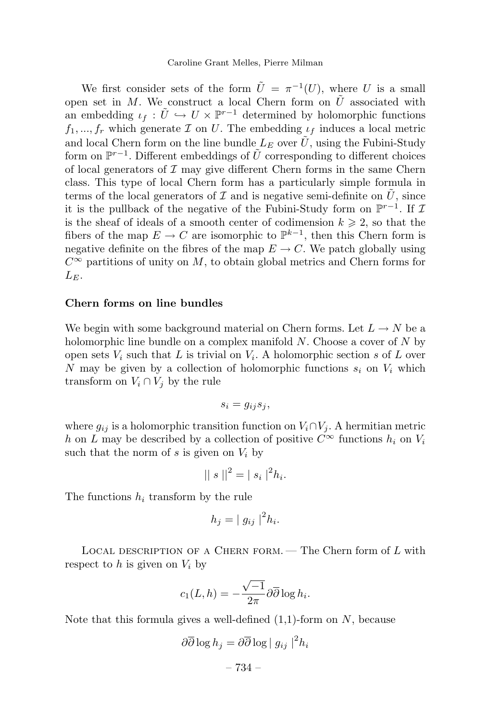We first consider sets of the form  $\tilde{U} = \pi^{-1}(U)$ , where *U* is a small open set in *M*. We construct a local Chern form on  $\tilde{U}$  associated with an embedding  $\iota_f : \tilde{U} \hookrightarrow U \times \mathbb{P}^{r-1}$  determined by holomorphic functions  $f_1, ..., f_r$  which generate  $\mathcal I$  on  $U$ . The embedding  $\iota_f$  induces a local metric and local Chern form on the line bundle  $L_E$  over  $\tilde{U}$ , using the Fubini-Study form on  $\mathbb{P}^{r-1}$ . Different embeddings of  $\tilde{U}$  corresponding to different choices of local generators of  $\mathcal I$  may give different Chern forms in the same Chern class. This type of local Chern form has a particularly simple formula in terms of the local generators of  $\mathcal I$  and is negative semi-definite on  $\tilde U$ , since it is the pullback of the negative of the Fubini-Study form on  $\mathbb{P}^{r-1}$ . If  $\mathcal I$ is the sheaf of ideals of a smooth center of codimension  $k \geq 2$ , so that the fibers of the map  $E \to C$  are isomorphic to  $\mathbb{P}^{k-1}$ , then this Chern form is negative definite on the fibres of the map  $E \to C$ . We patch globally using *C*<sup>∞</sup> partitions of unity on *M*, to obtain global metrics and Chern forms for  $L_F$ .

### **Chern forms on line bundles**

We begin with some background material on Chern forms. Let  $L \to N$  be a holomorphic line bundle on a complex manifold *N*. Choose a cover of *N* by open sets  $V_i$  such that  $L$  is trivial on  $V_i$ . A holomorphic section  $s$  of  $L$  over *N* may be given by a collection of holomorphic functions *s<sup>i</sup>* on *V<sup>i</sup>* which transform on  $V_i \cap V_j$  by the rule

$$
s_i = g_{ij} s_j,
$$

where  $g_{ij}$  is a holomorphic transition function on  $V_i \cap V_j$ . A hermitian metric *h* on *L* may be described by a collection of positive  $C^{\infty}$  functions  $h_i$  on  $V_i$ such that the norm of  $s$  is given on  $V_i$  by

$$
|| s ||^2 = | s_i |^2 h_i.
$$

The functions *h<sup>i</sup>* transform by the rule

$$
h_j = |g_{ij}|^2 h_i.
$$

Local description of a Chern form. — The Chern form of *L* with respect to  $h$  is given on  $V_i$  by

$$
c_1(L, h) = -\frac{\sqrt{-1}}{2\pi} \partial \overline{\partial} \log h_i.
$$

Note that this formula gives a well-defined (1,1)-form on *N*, because

$$
\partial \overline{\partial} \log h_j = \partial \overline{\partial} \log |g_{ij}|^2 h_i
$$

– 734 –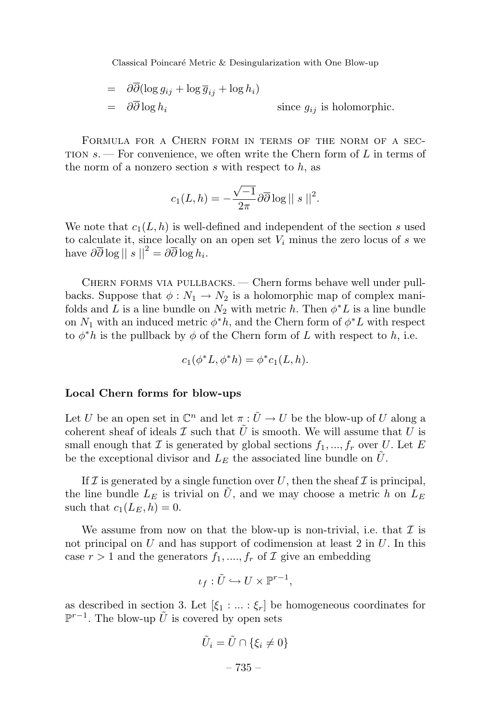Classical Poincaré Metric & Desingularization with One Blow-up

$$
= \frac{\partial \partial (\log g_{ij} + \log \overline{g}_{ij} + \log h_i)}{\partial \overline{\partial} \log h_i}
$$
  
=  $\frac{\partial \overline{\partial}}{\partial \overline{\partial}} h_i$  since  $g_{ij}$  is holomorphic.

FORMULA FOR A CHERN FORM IN TERMS OF THE NORM OF A SECtion *s*. — For convenience, we often write the Chern form of *L* in terms of the norm of a nonzero section *s* with respect to *h*, as

$$
c_1(L, h) = -\frac{\sqrt{-1}}{2\pi} \partial \overline{\partial} \log ||s||^2.
$$

We note that  $c_1(L, h)$  is well-defined and independent of the section *s* used to calculate it, since locally on an open set *V<sup>i</sup>* minus the zero locus of *s* we have  $\partial \overline{\partial} \log ||s||^2 = \partial \overline{\partial} \log h_i$ .

Chern forms via pullbacks. — Chern forms behave well under pullbacks. Suppose that  $\phi: N_1 \to N_2$  is a holomorphic map of complex manifolds and *L* is a line bundle on  $N_2$  with metric *h*. Then  $\phi^* L$  is a line bundle on  $N_1$  with an induced metric  $\phi^* h$ , and the Chern form of  $\phi^* L$  with respect to  $\phi^*h$  is the pullback by  $\phi$  of the Chern form of *L* with respect to *h*, i.e.

$$
c_1(\phi^* L, \phi^* h) = \phi^* c_1(L, h).
$$

#### **Local Chern forms for blow-ups**

Let *U* be an open set in  $\mathbb{C}^n$  and let  $\pi : \tilde{U} \to U$  be the blow-up of *U* along a coherent sheaf of ideals  $\mathcal I$  such that  $\tilde U$  is smooth. We will assume that  $U$  is small enough that  $\mathcal I$  is generated by global sections  $f_1, ..., f_r$  over  $U$ . Let  $E$ be the exceptional divisor and  $L<sub>E</sub>$  the associated line bundle on  $U$ .

If  $\mathcal I$  is generated by a single function over  $U$ , then the sheaf  $\mathcal I$  is principal, the line bundle  $L_E$  is trivial on U, and we may choose a metric h on  $L_E$ such that  $c_1(L_E, h) = 0$ .

We assume from now on that the blow-up is non-trivial, i.e. that  $\mathcal I$  is not principal on *U* and has support of codimension at least 2 in *U*. In this case  $r > 1$  and the generators  $f_1, ..., f_r$  of  $\mathcal I$  give an embedding

$$
\iota_f: \tilde U \hookrightarrow U \times {\mathbb P}^{r-1},
$$

as described in section 3. Let  $[\xi_1 : ... : \xi_r]$  be homogeneous coordinates for  $\mathbb{P}^{r-1}$ . The blow-up  $\hat{U}$  is covered by open sets

$$
\tilde{U}_i = \tilde{U} \cap \{\xi_i \neq 0\}
$$

$$
-735 -
$$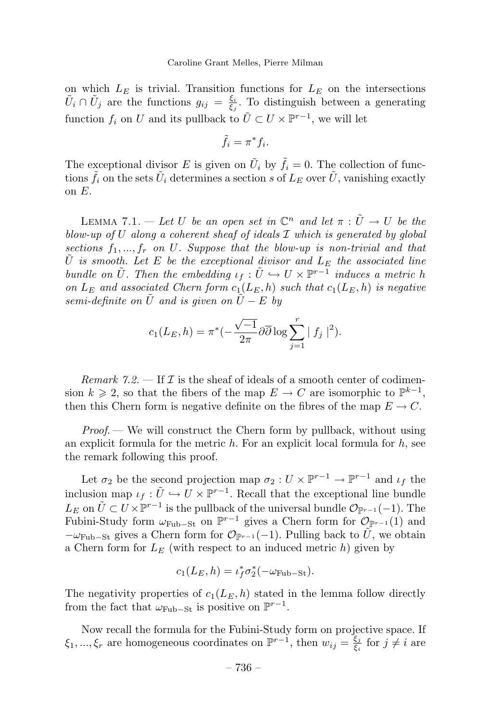on which  $L<sub>E</sub>$  is trivial. Transition functions for  $L<sub>E</sub>$  on the intersections  $\tilde{U}_i \cap \tilde{U}_j$  are the functions  $g_{ij} = \frac{\xi_i}{\xi_j}$ . To distinguish between a generating function  $f_i$  on *U* and its pullback to  $\tilde{U} \subset U \times \mathbb{P}^{r-1}$ , we will let

$$
\tilde{f}_i = \pi^* f_i.
$$

The exceptional divisor *E* is given on  $\tilde{U}_i$  by  $\tilde{f}_i = 0$ . The collection of functions  $\tilde{f}_i$  on the sets  $\tilde{U}_i$  determines a section *s* of  $L_E$  over  $\tilde{U}$ , vanishing exactly on *E*.

LEMMA 7.1. — Let *U* be an open set in  $\mathbb{C}^n$  and let  $\pi : \tilde{U} \to U$  be the blow-up of *U* along a coherent sheaf of ideals *I* which is generated by global sections  $f_1, ..., f_r$  on U. Suppose that the blow-up is non-trivial and that  $\tilde{U}$  is smooth. Let *E* be the exceptional divisor and  $L_E$  the associated line bundle on  $\tilde{U}$ . Then the embedding  $\iota_f : \tilde{U} \hookrightarrow U \times \mathbb{P}^{r-1}$  induces a metric *h* on  $L_E$  and associated Chern form  $c_1(L_E, h)$  such that  $c_1(L_E, h)$  is negative semi-definite on *U* and is given on  $U - E$  by

$$
c_1(L_E, h) = \pi^*(-\frac{\sqrt{-1}}{2\pi}\partial\overline{\partial}\log \sum_{j=1}^r |f_j|^2).
$$

Remark 7.2.  $\equiv$  If  $\mathcal I$  is the sheaf of ideals of a smooth center of codimension  $k \ge 2$ , so that the fibers of the map  $E \to C$  are isomorphic to  $\mathbb{P}^{k-1}$ , then this Chern form is negative definite on the fibres of the map  $E \to C$ .

*Proof.* — We will construct the Chern form by pullback, without using an explicit formula for the metric *h*. For an explicit local formula for *h*, see the remark following this proof.

Let  $\sigma_2$  be the second projection map  $\sigma_2: U \times \mathbb{P}^{r-1} \to \mathbb{P}^{r-1}$  and  $\iota_f$  the inclusion map  $\iota_f : \tilde{U} \hookrightarrow U \times \mathbb{P}^{r-1}$ . Recall that the exceptional line bundle *L*<sup>E</sup> on  $\tilde{U}$  ⊂ *U* ×  $\mathbb{P}^{r-1}$  is the pullback of the universal bundle  $\mathcal{O}_{\mathbb{P}^{r-1}}(-1)$ . The Fubini-Study form  $\omega_{\text{Fub}-\text{St}}$  on  $\mathbb{P}^{r-1}$  gives a Chern form for  $\mathcal{O}_{\mathbb{P}^{r-1}}(1)$  and  $-\omega_{\text{Fub}-\text{St}}$  gives a Chern form for  $\mathcal{O}_{p_{r-1}}(-1)$ . Pulling back to *U*, we obtain a Chern form for *L<sup>E</sup>* (with respect to an induced metric *h*) given by

$$
c_1(L_E, h) = \iota_f^* \sigma_2^* (-\omega_{\text{Fub}-\text{St}}).
$$

The negativity properties of  $c_1(L_E, h)$  stated in the lemma follow directly from the fact that  $\omega_{\text{Fub}-\text{St}}$  is positive on  $\mathbb{P}^{r-1}$ .

Now recall the formula for the Fubini-Study form on projective space. If  $\xi_1, ..., \xi_r$  are homogeneous coordinates on  $\mathbb{P}^{r-1}$ , then  $w_{ij} = \frac{\xi_j}{\xi_i}$  for  $j \neq i$  are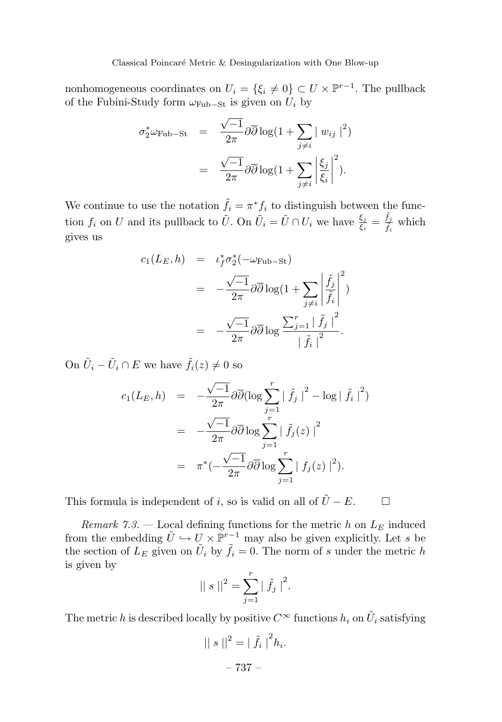nonhomogeneous coordinates on  $U_i = \{\xi_i \neq 0\} \subset U \times \mathbb{P}^{r-1}$ . The pullback of the Fubini-Study form  $\omega_{\text{Fub}-\text{St}}$  is given on  $U_i$  by

$$
\sigma_2^* \omega_{\text{Fub-St}} = \frac{\sqrt{-1}}{2\pi} \partial \overline{\partial} \log(1 + \sum_{j \neq i} |w_{ij}|^2)
$$

$$
= \frac{\sqrt{-1}}{2\pi} \partial \overline{\partial} \log(1 + \sum_{j \neq i} \left| \frac{\xi_j}{\xi_i} \right|^2).
$$

We continue to use the notation  $\tilde{f}_i = \pi^* f_i$  to distinguish between the function  $f_i$  on *U* and its pullback to  $\tilde{U}$ . On  $\tilde{U}_i = \tilde{U} \cap U_i$  we have  $\frac{\xi_j}{\xi_i} = \frac{\tilde{f}_j}{\tilde{f}_i}$  which gives us

$$
c_1(L_E, h) = \iota_f^* \sigma_2^* (-\omega_{\text{Fub}-\text{St}})
$$
  
= 
$$
-\frac{\sqrt{-1}}{2\pi} \partial \overline{\partial} \log(1 + \sum_{j \neq i} \left| \frac{\tilde{f}_j}{\tilde{f}_i} \right|^2)
$$
  
= 
$$
-\frac{\sqrt{-1}}{2\pi} \partial \overline{\partial} \log \frac{\sum_{j=1}^r |\tilde{f}_j|^2}{|\tilde{f}_i|^2}.
$$

On  $\tilde{U}_i - \tilde{U}_i \cap E$  we have  $\tilde{f}_i(z) \neq 0$  so

$$
c_1(L_E, h) = -\frac{\sqrt{-1}}{2\pi} \partial \overline{\partial} (\log \sum_{j=1}^r | \tilde{f}_j |^2 - \log | \tilde{f}_i |^2)
$$
  
= 
$$
-\frac{\sqrt{-1}}{2\pi} \partial \overline{\partial} \log \sum_{j=1}^r | \tilde{f}_j(z) |^2
$$
  
= 
$$
\pi^*(-\frac{\sqrt{-1}}{2\pi} \partial \overline{\partial} \log \sum_{j=1}^r | f_j(z) |^2).
$$

This formula is independent of *i*, so is valid on all of  $\tilde{U} - E$ .  $\Box$ 

Remark 7.3. — Local defining functions for the metric h on  $L<sub>E</sub>$  induced from the embedding  $\tilde{U} \hookrightarrow U \times \mathbb{P}^{r-1}$  may also be given explicitly. Let *s* be the section of  $L_E$  given on  $\tilde{U}_i$  by  $\tilde{f}_i = 0$ . The norm of *s* under the metric *h* is given by

$$
|| s ||^2 = \sum_{j=1}^r | \tilde{f}_j |^2.
$$

The metric *h* is described locally by positive  $C^{\infty}$  functions  $h_i$  on  $\tilde{U}_i$  satisfying

$$
\|s\|^2 = \left|\tilde{f}_i\right|^2 h_i.
$$

– 737 –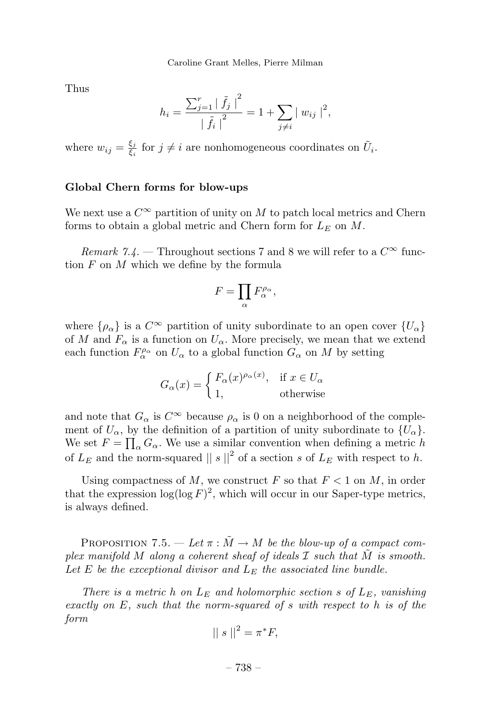Thus

$$
h_i = \frac{\sum_{j=1}^r | \tilde{f}_j |^2}{\left| \tilde{f}_i \right|^2} = 1 + \sum_{j \neq i} | w_{ij} |^2,
$$

where  $w_{ij} = \frac{\xi_j}{\xi_i}$  for  $j \neq i$  are nonhomogeneous coordinates on  $\tilde{U}_i$ .

### **Global Chern forms for blow-ups**

We next use a  $C^{\infty}$  partition of unity on M to patch local metrics and Chern forms to obtain a global metric and Chern form for *L<sup>E</sup>* on *M*.

*Remark* 7.4. — Throughout sections 7 and 8 we will refer to a  $C^{\infty}$  function *F* on *M* which we define by the formula

$$
F=\prod_\alpha F_\alpha^{\rho_\alpha},
$$

where  $\{\rho_{\alpha}\}\$ is a  $C^{\infty}$  partition of unity subordinate to an open cover  $\{U_{\alpha}\}\$ of *M* and  $F_\alpha$  is a function on  $U_\alpha$ . More precisely, we mean that we extend each function  $F^{\rho_{\alpha}}_{\alpha}$  on  $U_{\alpha}$  to a global function  $G_{\alpha}$  on  $M$  by setting

$$
G_{\alpha}(x) = \begin{cases} F_{\alpha}(x)^{\rho_{\alpha}(x)}, & \text{if } x \in U_{\alpha} \\ 1, & \text{otherwise} \end{cases}
$$

and note that  $G_{\alpha}$  is  $C^{\infty}$  because  $\rho_{\alpha}$  is 0 on a neighborhood of the complement of  $U_{\alpha}$ , by the definition of a partition of unity subordinate to  $\{U_{\alpha}\}.$ We set  $F = \prod_{\alpha} G_{\alpha}$ . We use a similar convention when defining a metric *h* of  $L<sub>E</sub>$  and the norm-squared  $||s||^2$  of a section *s* of  $L<sub>E</sub>$  with respect to *h*.

Using compactness of  $M$ , we construct  $F$  so that  $F < 1$  on  $M$ , in order that the expression  $\log(\log F)^2$ , which will occur in our Saper-type metrics, is always defined.

PROPOSITION 7.5. — Let  $\pi : \tilde{M} \to M$  be the blow-up of a compact complex manifold  $M$  along a coherent sheaf of ideals  $\mathcal I$  such that  $\tilde M$  is smooth. Let *E* be the exceptional divisor and  $L_E$  the associated line bundle.

There is a metric h on  $L_E$  and holomorphic section *s* of  $L_E$ , vanishing exactly on *E*, such that the norm-squared of *s* with respect to *h* is of the form

$$
||s||^2 = \pi^*F,
$$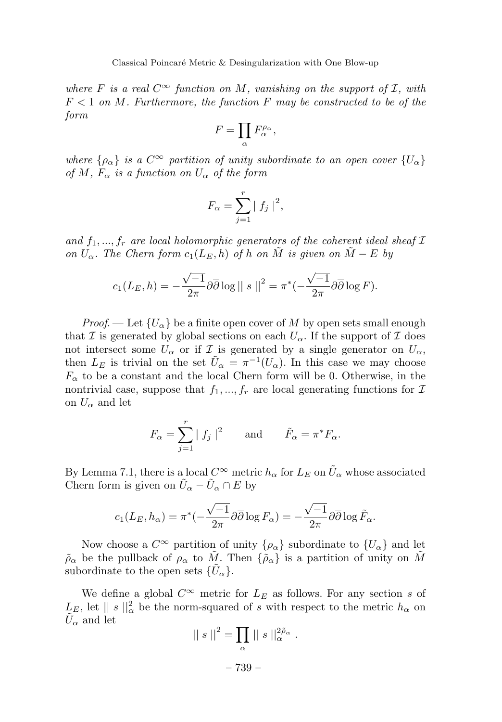where *F* is a real  $C^{\infty}$  function on *M*, vanishing on the support of *I*, with  $F < 1$  on *M*. Furthermore, the function  $F$  may be constructed to be of the form

$$
F=\prod_\alpha F_\alpha^{\rho_\alpha},
$$

where  $\{\rho_{\alpha}\}\$ is a  $C^{\infty}$  partition of unity subordinate to an open cover  $\{U_{\alpha}\}\$ of *M*,  $F_{\alpha}$  is a function on  $U_{\alpha}$  of the form

$$
F_{\alpha} = \sum_{j=1}^{r} |f_j|^2,
$$

and  $f_1, ..., f_r$  are local holomorphic generators of the coherent ideal sheaf  $\mathcal I$ on  $U_{\alpha}$ . The Chern form  $c_1(L_E, h)$  of *h* on  $\tilde{M}$  is given on  $\tilde{M} - E$  by

$$
c_1(L_E, h) = -\frac{\sqrt{-1}}{2\pi} \partial \overline{\partial} \log ||s||^2 = \pi^*(-\frac{\sqrt{-1}}{2\pi} \partial \overline{\partial} \log F).
$$

*Proof.* — Let  ${U_\alpha}$  be a finite open cover of M by open sets small enough that I is generated by global sections on each  $U_{\alpha}$ . If the support of I does not intersect some  $U_{\alpha}$  or if I is generated by a single generator on  $U_{\alpha}$ , then  $L_E$  is trivial on the set  $\tilde{U}_\alpha = \pi^{-1}(U_\alpha)$ . In this case we may choose  $F_{\alpha}$  to be a constant and the local Chern form will be 0. Otherwise, in the nontrivial case, suppose that  $f_1, ..., f_r$  are local generating functions for  $\mathcal I$ on  $U_{\alpha}$  and let

$$
F_{\alpha} = \sum_{j=1}^{r} |f_j|^2 \quad \text{and} \quad \tilde{F}_{\alpha} = \pi^* F_{\alpha}.
$$

By Lemma 7.1, there is a local  $C^{\infty}$  metric  $h_{\alpha}$  for  $L_E$  on  $\tilde{U}_{\alpha}$  whose associated Chern form is given on  $\tilde{U}_\alpha - \tilde{U}_\alpha \cap E$  by

$$
c_1(L_E, h_\alpha) = \pi^*(-\frac{\sqrt{-1}}{2\pi}\partial\overline{\partial}\log F_\alpha) = -\frac{\sqrt{-1}}{2\pi}\partial\overline{\partial}\log \tilde{F}_\alpha.
$$

Now choose a  $C^{\infty}$  partition of unity  $\{\rho_{\alpha}\}\$  subordinate to  $\{U_{\alpha}\}\$  and let  $\rho_{\alpha}$  be the pullback of  $\rho_{\alpha}$  to  $\tilde{M}$ . Then  $\{\tilde{\rho}_{\alpha}\}\)$  is a partition of unity on  $\tilde{M}$ subordinate to the open sets  $\{\tilde{U}_{\alpha}\}.$ 

We define a global  $C^{\infty}$  metric for  $L_E$  as follows. For any section *s* of  $L_{E}$ , let  $|| s ||_{\alpha}^{2}$  be the norm-squared of *s* with respect to the metric  $h_{\alpha}$  on  $U_{\alpha}$  and let

$$
\left\| s \right\|^2 = \prod_{\alpha} \| s \right\|_{\alpha}^{2\tilde{\rho}_{\alpha}}.
$$

– 739 –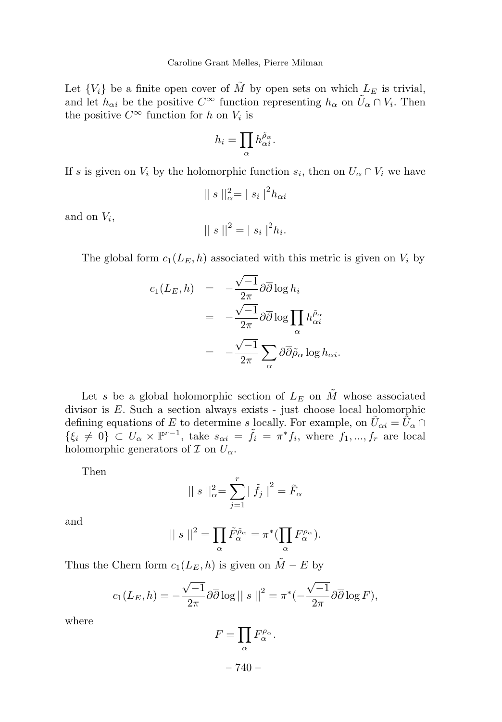Let  ${V_i}$  be a finite open cover of  $\tilde{M}$  by open sets on which  $L_E$  is trivial, and let  $h_{\alpha i}$  be the positive  $C^{\infty}$  function representing  $h_{\alpha}$  on  $\tilde{U}_{\alpha} \cap V_i$ . Then the positive  $C^{\infty}$  function for *h* on  $V_i$  is

$$
h_i=\prod_{\alpha} h_{\alpha i}^{\tilde{\rho}_{\alpha}}.
$$

If *s* is given on  $V_i$  by the holomorphic function  $s_i$ , then on  $U_\alpha \cap V_i$  we have

$$
|| s ||_{\alpha}^2 = | s_i |^2 h_{\alpha i}
$$

and on *Vi*,

$$
|| s ||^2 = | s_i |^2 h_i.
$$

The global form  $c_1(L_E, h)$  associated with this metric is given on  $V_i$  by

$$
c_1(L_E, h) = -\frac{\sqrt{-1}}{2\pi} \partial \overline{\partial} \log h_i
$$
  
=  $-\frac{\sqrt{-1}}{2\pi} \partial \overline{\partial} \log \prod_{\alpha} h_{\alpha i}^{\tilde{\rho}_{\alpha}}$   
=  $-\frac{\sqrt{-1}}{2\pi} \sum_{\alpha} \partial \overline{\partial} \tilde{\rho}_{\alpha} \log h_{\alpha i}.$ 

Let *s* be a global holomorphic section of  $L_E$  on  $\tilde{M}$  whose associated divisor is *E*. Such a section always exists - just choose local holomorphic defining equations of *E* to determine *s* locally. For example, on  $\tilde{U}_{\alpha i} = \tilde{U}_{\alpha} \cap$  $\{\xi_i \neq 0\} \subset U_\alpha \times \mathbb{P}^{r-1}$ , take  $s_{\alpha i} = \tilde{f}_i = \pi^* f_i$ , where  $f_1, ..., f_r$  are local holomorphic generators of  $\mathcal I$  on  $U_\alpha$ .

Then

$$
|| s ||_{\alpha}^{2} = \sum_{j=1}^{r} | \tilde{f}_{j} |^{2} = \tilde{F}_{\alpha}
$$

and

$$
|| s ||^2 = \prod_{\alpha} \tilde{F}_{\alpha}^{\tilde{\rho}_{\alpha}} = \pi^* (\prod_{\alpha} F_{\alpha}^{\rho_{\alpha}}).
$$

Thus the Chern form  $c_1(L_E, h)$  is given on  $\tilde{M} - E$  by

$$
c_1(L_E, h) = -\frac{\sqrt{-1}}{2\pi} \partial \overline{\partial} \log ||s||^2 = \pi^*(-\frac{\sqrt{-1}}{2\pi} \partial \overline{\partial} \log F),
$$

where

$$
F=\prod_{\alpha}F_{\alpha}^{\rho_{\alpha}}.
$$

 $-740-$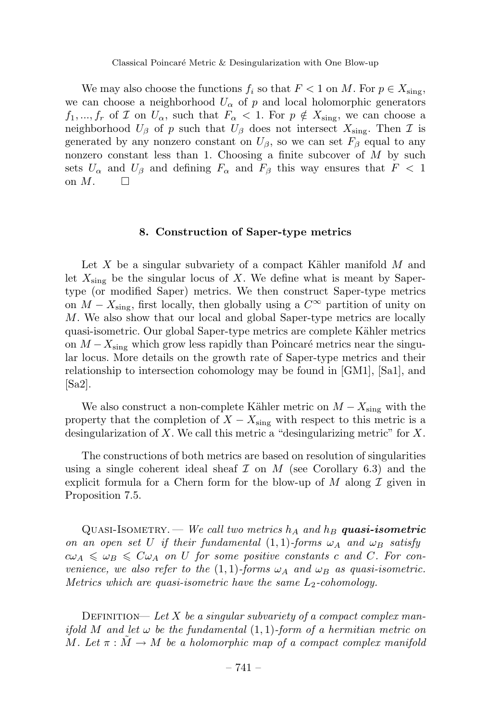We may also choose the functions  $f_i$  so that  $F < 1$  on M. For  $p \in X_{sing}$ , we can choose a neighborhood  $U_{\alpha}$  of p and local holomorphic generators *f*<sub>1</sub>, ..., *f<sub>r</sub>* of *I* on  $U_{\alpha}$ , such that  $F_{\alpha} < 1$ . For  $p \notin X_{\text{sing}}$ , we can choose a neighborhood  $U_{\beta}$  of *p* such that  $U_{\beta}$  does not intersect  $X_{\text{sing}}$ . Then  $\mathcal I$  is generated by any nonzero constant on  $U_{\beta}$ , so we can set  $F_{\beta}$  equal to any nonzero constant less than 1. Choosing a finite subcover of *M* by such sets  $U_{\alpha}$  and  $U_{\beta}$  and defining  $F_{\alpha}$  and  $F_{\beta}$  this way ensures that  $F < 1$ on  $M$ .  $\Box$ 

# **8. Construction of Saper-type metrics**

Let *X* be a singular subvariety of a compact Kähler manifold *M* and let  $X_{\text{sing}}$  be the singular locus of  $X$ . We define what is meant by Sapertype (or modified Saper) metrics. We then construct Saper-type metrics on  $M - X_{sing}$ , first locally, then globally using a  $C^{\infty}$  partition of unity on *M*. We also show that our local and global Saper-type metrics are locally quasi-isometric. Our global Saper-type metrics are complete Kähler metrics on  $M - X_{\text{sing}}$  which grow less rapidly than Poincaré metrics near the singular locus. More details on the growth rate of Saper-type metrics and their relationship to intersection cohomology may be found in [GM1], [Sa1], and [Sa2].

We also construct a non-complete Kähler metric on  $M - X_{\text{sing}}$  with the property that the completion of  $X - X_{\text{sing}}$  with respect to this metric is a desingularization of *X*. We call this metric a "desingularizing metric" for *X*.

The constructions of both metrics are based on resolution of singularities using a single coherent ideal sheaf  $\mathcal I$  on  $M$  (see Corollary 6.3) and the explicit formula for a Chern form for the blow-up of  $M$  along  $\mathcal I$  given in Proposition 7.5.

QUASI-ISOMETRY. — We call two metrics  $h_A$  and  $h_B$  **quasi-isometric** on an open set *U* if their fundamental  $(1,1)$ -forms  $\omega_A$  and  $\omega_B$  satisfy  $c\omega_A \leq \omega_B \leq C\omega_A$  on *U* for some positive constants *c* and *C*. For convenience, we also refer to the  $(1,1)$ -forms  $\omega_A$  and  $\omega_B$  as quasi-isometric. Metrics which are quasi-isometric have the same *L*2-cohomology.

DEFINITION— Let X be a singular subvariety of a compact complex manifold *M* and let  $\omega$  be the fundamental  $(1,1)$ -form of a hermitian metric on *M*. Let  $\pi : M \to M$  be a holomorphic map of a compact complex manifold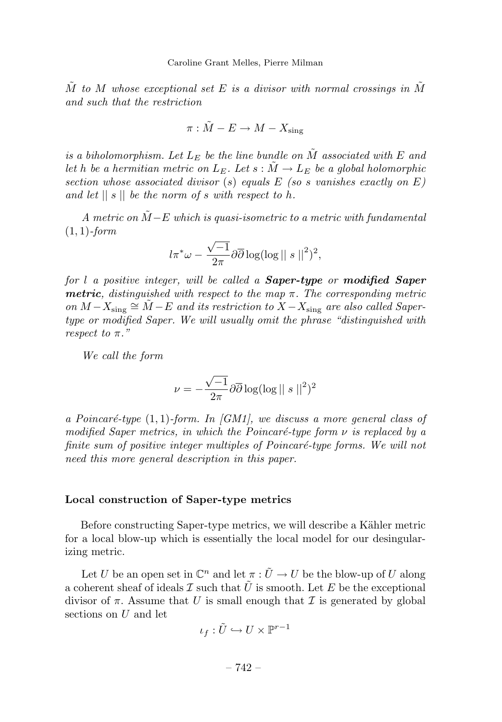$\tilde{M}$  to  $M$  whose exceptional set  $E$  is a divisor with normal crossings in  $\tilde{M}$ and such that the restriction

$$
\pi:\tilde{M}-E\rightarrow M-X_\text{sing}
$$

is a biholomorphism. Let  $L_E$  be the line bundle on  $\tilde{M}$  associated with  $E$  and let *h* be a hermitian metric on  $L_E$ . Let  $s : \tilde{M} \to L_E$  be a global holomorphic section whose associated divisor (*s*) equals *E* (so *s* vanishes exactly on *E*) and let || *s* || be the norm of *s* with respect to *h*.

A metric on  $\tilde{M}-E$  which is quasi-isometric to a metric with fundamental (1*,* 1)-form

$$
l\pi^*\omega - \frac{\sqrt{-1}}{2\pi}\partial\overline{\partial}\log(\log||s||^2)^2,
$$

for *l* a positive integer, will be called a *Saper-type* or *modified Saper metric*, distinguished with respect to the map *π*. The corresponding metric on  $M - X_{sing} \cong \overline{M} - E$  and its restriction to  $X - X_{sing}$  are also called Sapertype or modified Saper. We will usually omit the phrase "distinguished with respect to *π*."

We call the form

$$
\nu = -\frac{\sqrt{-1}}{2\pi} \partial \overline{\partial} \log(\log ||s||^2)^2
$$

a Poincaré-type  $(1,1)$ -form. In  $\overline{[GM1]}$ , we discuss a more general class of modified Saper metrics, in which the Poincaré-type form  $\nu$  is replaced by a finite sum of positive integer multiples of Poincaré-type forms. We will not need this more general description in this paper.

# **Local construction of Saper-type metrics**

Before constructing Saper-type metrics, we will describe a Kähler metric for a local blow-up which is essentially the local model for our desingularizing metric.

Let *U* be an open set in  $\mathbb{C}^n$  and let  $\pi : \tilde{U} \to U$  be the blow-up of *U* along a coherent sheaf of ideals  $\mathcal I$  such that  $\tilde U$  is smooth. Let  $E$  be the exceptional divisor of  $\pi$ . Assume that *U* is small enough that *I* is generated by global sections on *U* and let

$$
\iota_f: \tilde U \hookrightarrow U \times \mathbb{P}^{r-1}
$$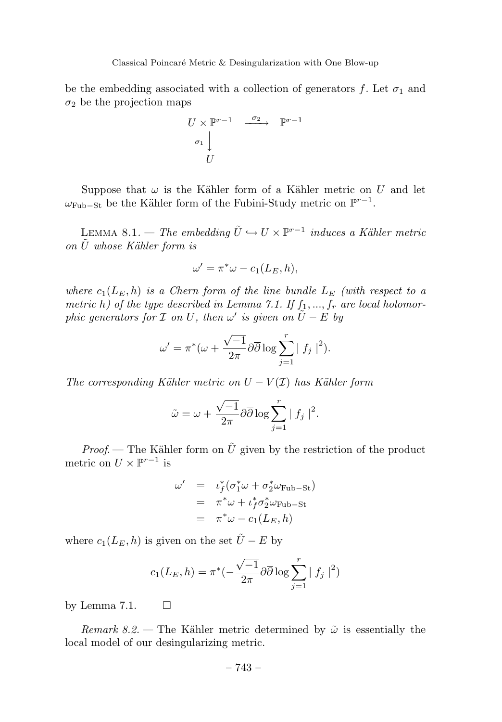be the embedding associated with a collection of generators  $f$ . Let  $\sigma_1$  and  $\sigma_2$  be the projection maps

$$
U \times \mathbb{P}^{r-1} \xrightarrow{\sigma_2} \mathbb{P}^{r-1}
$$
  

$$
\sigma_1 \downarrow
$$
  

$$
U
$$

Suppose that  $\omega$  is the Kähler form of a Kähler metric on *U* and let  $ω_{Fub-St}$  be the Kähler form of the Fubini-Study metric on  $\mathbb{P}^{r-1}$ .

LEMMA 8.1. — The embedding  $\tilde{U} \hookrightarrow U \times \mathbb{P}^{r-1}$  induces a Kähler metric on *U*˜ whose K¨ahler form is

$$
\omega' = \pi^* \omega - c_1(L_E, h),
$$

where  $c_1(L_E, h)$  is a Chern form of the line bundle  $L_E$  (with respect to a metric *h*) of the type described in Lemma 7.1. If  $f_1, ..., f_r$  are local holomorphic generators for  $\mathcal I$  on  $U$ , then  $\omega'$  is given on  $U - E$  by

$$
\omega' = \pi^*(\omega + \frac{\sqrt{-1}}{2\pi} \partial \overline{\partial} \log \sum_{j=1}^r |f_j|^2).
$$

The corresponding Kähler metric on  $U - V(\mathcal{I})$  has Kähler form

$$
\tilde{\omega} = \omega + \frac{\sqrt{-1}}{2\pi} \partial \overline{\partial} \log \sum_{j=1}^r |f_j|^2.
$$

*Proof.* — The Kähler form on  $\tilde{U}$  given by the restriction of the product metric on  $U \times \mathbb{P}^{r-1}$  is

$$
\begin{array}{rcl}\n\omega' & = & \iota_f^*(\sigma_1^*\omega + \sigma_2^*\omega_{\text{Fub}-\text{St}}) \\
& = & \pi^*\omega + \iota_f^*\sigma_2^*\omega_{\text{Fub}-\text{St}} \\
& = & \pi^*\omega - c_1(L_E, h)\n\end{array}
$$

where  $c_1(L_E, h)$  is given on the set  $\tilde{U} - E$  by

$$
c_1(L_E, h) = \pi^*(-\frac{\sqrt{-1}}{2\pi}\partial\overline{\partial}\log\sum_{j=1}^r |f_j|^2)
$$

by Lemma 7.1.  $\square$ 

Remark 8.2. — The Kähler metric determined by  $\tilde{\omega}$  is essentially the local model of our desingularizing metric.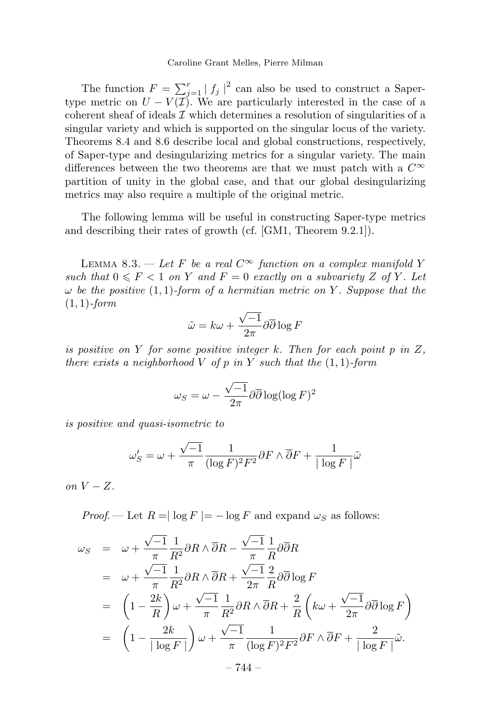The function  $F = \sum_{j=1}^r |f_j|^2$  can also be used to construct a Sapertype metric on  $U - V(\mathcal{I})$ . We are particularly interested in the case of a coherent sheaf of ideals  $\mathcal I$  which determines a resolution of singularities of a singular variety and which is supported on the singular locus of the variety. Theorems 8.4 and 8.6 describe local and global constructions, respectively, of Saper-type and desingularizing metrics for a singular variety. The main differences between the two theorems are that we must patch with a *C*<sup>∞</sup> partition of unity in the global case, and that our global desingularizing metrics may also require a multiple of the original metric.

The following lemma will be useful in constructing Saper-type metrics and describing their rates of growth (cf. [GM1, Theorem 9.2.1]).

LEMMA 8.3. — Let *F* be a real  $C^{\infty}$  function on a complex manifold *Y* such that  $0 \leq F < 1$  on *Y* and  $F = 0$  exactly on a subvariety *Z* of *Y*. Let *ω* be the positive (1*,* 1)-form of a hermitian metric on *Y* . Suppose that the (1*,* 1)-form

$$
\tilde{\omega} = k\omega + \frac{\sqrt{-1}}{2\pi} \partial \overline{\partial} \log F
$$

is positive on *Y* for some positive integer *k*. Then for each point *p* in *Z*, there exists a neighborhood *V* of *p* in *Y* such that the  $(1, 1)$ -form

$$
\omega_S = \omega - \frac{\sqrt{-1}}{2\pi} \partial \overline{\partial} \log(\log F)^2
$$

is positive and quasi-isometric to

$$
\omega'_{S} = \omega + \frac{\sqrt{-1}}{\pi} \frac{1}{(\log F)^2 F^2} \partial F \wedge \overline{\partial} F + \frac{1}{|\log F|} \tilde{\omega}
$$

on  $V - Z$ .

*Proof.* — Let  $R = \log F = -\log F$  and expand  $\omega_S$  as follows:

$$
\omega_S = \omega + \frac{\sqrt{-1}}{\pi} \frac{1}{R^2} \partial R \wedge \overline{\partial} R - \frac{\sqrt{-1}}{\pi} \frac{1}{R} \partial \overline{\partial} R
$$
  
\n
$$
= \omega + \frac{\sqrt{-1}}{\pi} \frac{1}{R^2} \partial R \wedge \overline{\partial} R + \frac{\sqrt{-1}}{2\pi} \frac{2}{R} \partial \overline{\partial} \log F
$$
  
\n
$$
= \left(1 - \frac{2k}{R}\right) \omega + \frac{\sqrt{-1}}{\pi} \frac{1}{R^2} \partial R \wedge \overline{\partial} R + \frac{2}{R} \left(k\omega + \frac{\sqrt{-1}}{2\pi} \partial \overline{\partial} \log F\right)
$$
  
\n
$$
= \left(1 - \frac{2k}{|\log F|}\right) \omega + \frac{\sqrt{-1}}{\pi} \frac{1}{(\log F)^2 F^2} \partial F \wedge \overline{\partial} F + \frac{2}{|\log F|} \tilde{\omega}.
$$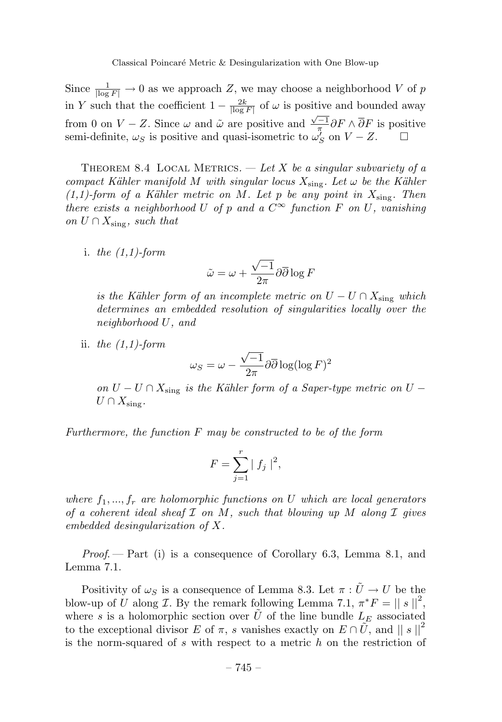Since  $\frac{1}{|\log F|} \to 0$  as we approach *Z*, we may choose a neighborhood *V* of *p* in *Y* such that the coefficient  $1 - \frac{2k}{\lceil \log F \rceil}$  of  $\omega$  is positive and bounded away from 0 on *V* − *Z*. Since  $\omega$  and  $\tilde{\omega}$  are positive and  $\frac{\sqrt{-1}}{\pi}\partial F \wedge \overline{\partial} F$  is positive semi-definite,  $\omega_S$  is positive and quasi-isometric to  $\omega'_S$  on  $V - Z$ .  $\Box$ 

THEOREM 8.4 LOCAL METRICS.  $-\text{Let } X$  be a singular subvariety of a compact Kähler manifold *M* with singular locus  $X_{sing}$ . Let  $\omega$  be the Kähler  $(1,1)$ -form of a Kähler metric on *M*. Let *p* be any point in  $X_{sing}$ . Then there exists a neighborhood *U* of *p* and a  $C^{\infty}$  function *F* on *U*, vanishing on  $U \cap X_{\text{sing}}$ , such that

i. the  $(1,1)$ -form

$$
\tilde{\omega} = \omega + \frac{\sqrt{-1}}{2\pi} \partial \overline{\partial} \log F
$$

is the Kähler form of an incomplete metric on  $U - U \cap X_{\text{sing}}$  which determines an embedded resolution of singularities locally over the neighborhood *U*, and

ii. the  $(1,1)$ -form

$$
\omega_S = \omega - \frac{\sqrt{-1}}{2\pi} \partial \overline{\partial} \log(\log F)^2
$$

on  $U - U \cap X_{\text{sing}}$  is the Kähler form of a Saper-type metric on  $U U \cap X_{\text{sing}}$ .

Furthermore, the function *F* may be constructed to be of the form

$$
F = \sum_{j=1}^{r} |f_j|^2,
$$

where  $f_1, ..., f_r$  are holomorphic functions on *U* which are local generators of a coherent ideal sheaf I on *M*, such that blowing up *M* along I gives embedded desingularization of *X*.

Proof. — Part (i) is a consequence of Corollary 6.3, Lemma 8.1, and Lemma 7.1.

Positivity of  $\omega_S$  is a consequence of Lemma 8.3. Let  $\pi : \tilde{U} \to U$  be the blow-up of *U* along *I*. By the remark following Lemma 7.1,  $\pi^*F = ||s||^2$ , where *s* is a holomorphic section over  $\tilde{U}$  of the line bundle  $L_E$  associated to the exceptional divisor *E* of  $\pi$ , *s* vanishes exactly on  $E \cap U$ , and  $||s||^2$ is the norm-squared of *s* with respect to a metric *h* on the restriction of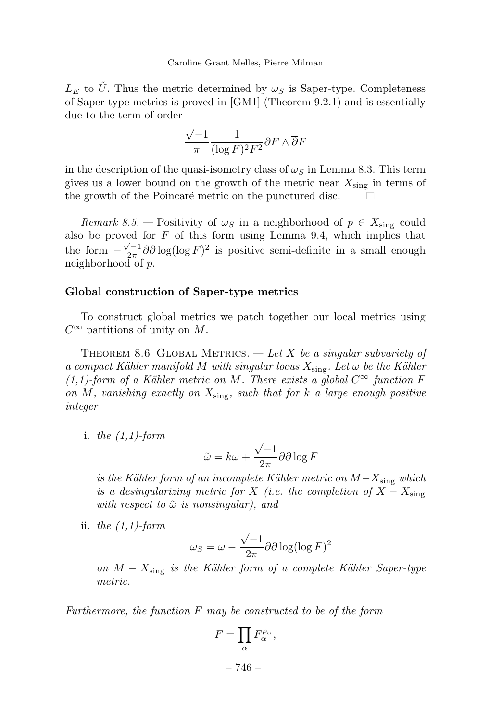$L<sub>E</sub>$  to  $\tilde{U}$ . Thus the metric determined by  $\omega<sub>S</sub>$  is Saper-type. Completeness of Saper-type metrics is proved in [GM1] (Theorem 9.2.1) and is essentially due to the term of order

$$
\frac{\sqrt{-1}}{\pi} \frac{1}{(\log F)^2 F^2} \partial F \wedge \overline{\partial} F
$$

in the description of the quasi-isometry class of  $\omega$ <sup>*S*</sup> in Lemma 8.3. This term gives us a lower bound on the growth of the metric near *X*sing in terms of the growth of the Poincaré metric on the punctured disc.  $\Box$ 

Remark 8.5. – Positivity of  $\omega_S$  in a neighborhood of  $p \in X_{\text{sing}}$  could also be proved for  $F$  of this form using Lemma 9.4, which implies that the form  $-\frac{\sqrt{-1}}{2\pi}\partial\overline{\partial}\log(\log F)^2$  is positive semi-definite in a small enough neighborhood of *p*.

### **Global construction of Saper-type metrics**

To construct global metrics we patch together our local metrics using *C*<sup>∞</sup> partitions of unity on *M*.

THEOREM 8.6 GLOBAL METRICS.  $-\text{Let } X$  be a singular subvariety of a compact Kähler manifold *M* with singular locus  $X_{\text{sing}}$ . Let  $\omega$  be the Kähler  $(1,1)$ -form of a Kähler metric on *M*. There exists a global  $C^{\infty}$  function *F* on *M*, vanishing exactly on *X*sing, such that for *k* a large enough positive integer

i. the  $(1,1)$ -form

$$
\tilde{\omega} = k\omega + \frac{\sqrt{-1}}{2\pi} \partial \overline{\partial} \log F
$$

is the Kähler form of an incomplete Kähler metric on  $M-X_{\text{sing}}$  which is a desingularizing metric for *X* (i.e. the completion of  $X - X_{\text{sing}}$ ) with respect to  $\tilde{\omega}$  is nonsingular), and

ii. the  $(1,1)$ -form

$$
\omega_S = \omega - \frac{\sqrt{-1}}{2\pi} \partial \overline{\partial} \log(\log F)^2
$$

on  $M - X_{\text{sing}}$  is the Kähler form of a complete Kähler Saper-type metric.

Furthermore, the function *F* may be constructed to be of the form

$$
F=\prod_{\alpha}F_{\alpha}^{\rho_{\alpha}},
$$

– 746 –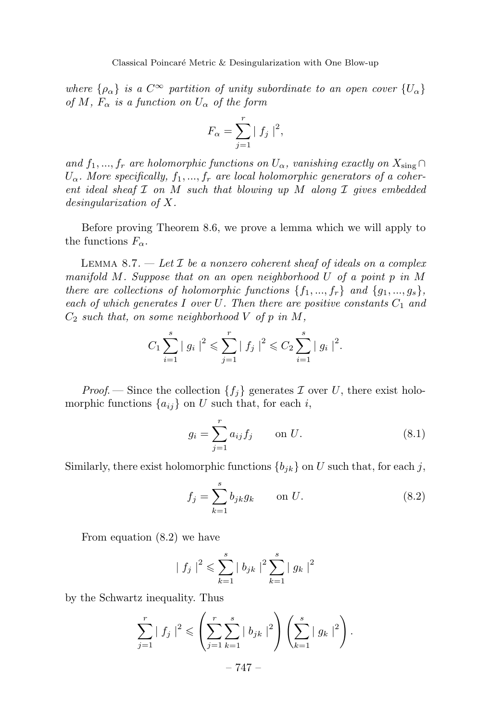where  $\{\rho_{\alpha}\}\$ is a  $C^{\infty}$  partition of unity subordinate to an open cover  $\{U_{\alpha}\}\$ of *M*,  $F_{\alpha}$  is a function on  $U_{\alpha}$  of the form

$$
F_{\alpha} = \sum_{j=1}^{r} |f_j|^2,
$$

and  $f_1, ..., f_r$  are holomorphic functions on  $U_\alpha$ , vanishing exactly on  $X_{\text{sing}} \cap$ *Uα*. More specifically, *f*1*, ..., f<sup>r</sup>* are local holomorphic generators of a coherent ideal sheaf I on *M* such that blowing up *M* along I gives embedded desingularization of *X*.

Before proving Theorem 8.6, we prove a lemma which we will apply to the functions  $F_\alpha$ .

LEMMA 8.7.  $\vdash$  Let  $\mathcal I$  be a nonzero coherent sheaf of ideals on a complex manifold *M*. Suppose that on an open neighborhood *U* of a point *p* in *M* there are collections of holomorphic functions  $\{f_1, ..., f_r\}$  and  $\{g_1, ..., g_s\}$ , each of which generates  $I$  over  $U$ . Then there are positive constants  $C_1$  and *C*<sup>2</sup> such that, on some neighborhood *V* of *p* in *M*,

$$
C_1 \sum_{i=1}^s |g_i|^2 \leqslant \sum_{j=1}^r |f_j|^2 \leqslant C_2 \sum_{i=1}^s |g_i|^2.
$$

*Proof.* — Since the collection  $\{f_j\}$  generates  $\mathcal I$  over  $U$ , there exist holomorphic functions  $\{a_{ij}\}\$  on *U* such that, for each *i*,

$$
g_i = \sum_{j=1}^{r} a_{ij} f_j \qquad \text{on } U.
$$
 (8.1)

Similarly, there exist holomorphic functions  ${b_{ik}}$  on *U* such that, for each *j*,

$$
f_j = \sum_{k=1}^{s} b_{jk} g_k \qquad \text{on } U.
$$
 (8.2)

From equation (8.2) we have

$$
|f_j|^2 \leqslant \sum_{k=1}^s |b_{jk}|^2 \sum_{k=1}^s |g_k|^2
$$

by the Schwartz inequality. Thus

$$
\sum_{j=1}^{r} |f_j|^2 \leqslant \left( \sum_{j=1}^{r} \sum_{k=1}^{s} |b_{jk}|^2 \right) \left( \sum_{k=1}^{s} |g_k|^2 \right).
$$

$$
-747 -
$$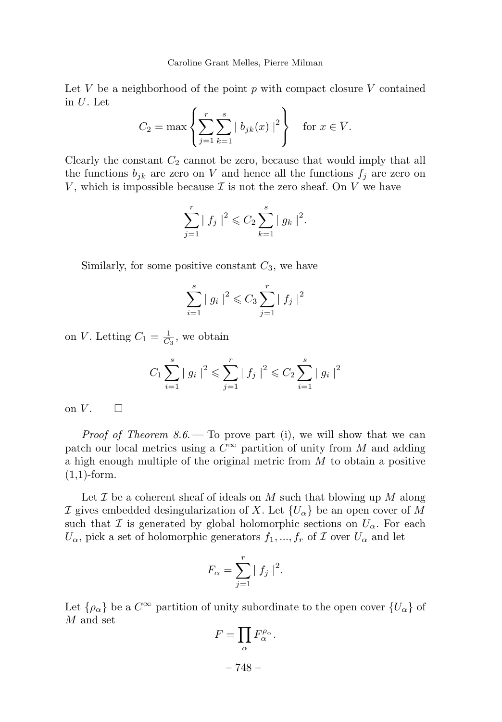Let *V* be a neighborhood of the point *p* with compact closure  $\overline{V}$  contained in *U*. Let

$$
C_2 = \max\left\{ \sum_{j=1}^r \sum_{k=1}^s |b_{jk}(x)|^2 \right\} \quad \text{for } x \in \overline{V}.
$$

Clearly the constant  $C_2$  cannot be zero, because that would imply that all the functions  $b_{jk}$  are zero on *V* and hence all the functions  $f_j$  are zero on *V*, which is impossible because  $\mathcal I$  is not the zero sheaf. On  $V$  we have

$$
\sum_{j=1}^r |f_j|^2 \leqslant C_2 \sum_{k=1}^s |g_k|^2.
$$

Similarly, for some positive constant  $C_3$ , we have

$$
\sum_{i=1}^{s} |g_i|^2 \leq C_3 \sum_{j=1}^{r} |f_j|^2
$$

on *V*. Letting  $C_1 = \frac{1}{C_3}$ , we obtain

$$
C_1 \sum_{i=1}^{s} |g_i|^2 \leqslant \sum_{j=1}^{r} |f_j|^2 \leqslant C_2 \sum_{i=1}^{s} |g_i|^2
$$

on  $V$ .  $\Box$ 

*Proof of Theorem 8.6.* — To prove part (i), we will show that we can patch our local metrics using a  $C^{\infty}$  partition of unity from *M* and adding a high enough multiple of the original metric from *M* to obtain a positive  $(1,1)$ -form.

Let  $\mathcal I$  be a coherent sheaf of ideals on  $M$  such that blowing up  $M$  along I gives embedded desingularization of X. Let  ${U_\alpha}$  be an open cover of M such that  $\mathcal I$  is generated by global holomorphic sections on  $U_\alpha$ . For each  $U_{\alpha}$ , pick a set of holomorphic generators  $f_1, ..., f_r$  of  $\mathcal I$  over  $U_{\alpha}$  and let

$$
F_{\alpha} = \sum_{j=1}^{r} |f_j|^2.
$$

Let  $\{\rho_{\alpha}\}\$ be a  $C^{\infty}$  partition of unity subordinate to the open cover  $\{U_{\alpha}\}\$  of *M* and set

$$
F=\prod_{\alpha}F_{\alpha}^{\rho_{\alpha}}.
$$

– 748 –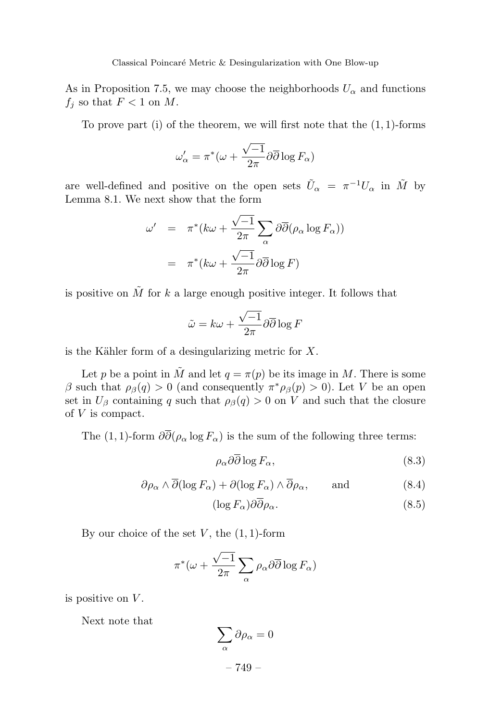As in Proposition 7.5, we may choose the neighborhoods  $U_{\alpha}$  and functions  $f_i$  so that  $F < 1$  on  $M$ .

To prove part (i) of the theorem, we will first note that the (1*,* 1)-forms

$$
\omega'_{\alpha} = \pi^*(\omega + \frac{\sqrt{-1}}{2\pi} \partial \overline{\partial} \log F_{\alpha})
$$

are well-defined and positive on the open sets  $\tilde{U}_{\alpha} = \pi^{-1} U_{\alpha}$  in  $\tilde{M}$  by Lemma 8.1. We next show that the form

$$
\omega' = \pi^* (k\omega + \frac{\sqrt{-1}}{2\pi} \sum_{\alpha} \partial \overline{\partial} (\rho_{\alpha} \log F_{\alpha}))
$$

$$
= \pi^* (k\omega + \frac{\sqrt{-1}}{2\pi} \partial \overline{\partial} \log F)
$$

is positive on  $\tilde{M}$  for  $k$  a large enough positive integer. It follows that

$$
\tilde{\omega} = k\omega + \frac{\sqrt{-1}}{2\pi} \partial \overline{\partial} \log F
$$

is the Kähler form of a desingularizing metric for X.

Let *p* be a point in  $\tilde{M}$  and let  $q = \pi(p)$  be its image in  $M$ . There is some *β* such that  $ρ_β(q) > 0$  (and consequently  $π^*ρ_β(p) > 0$ ). Let *V* be an open set in  $U_{\beta}$  containing *q* such that  $\rho_{\beta}(q) > 0$  on *V* and such that the closure of *V* is compact.

The (1, 1)-form  $\partial \overline{\partial}(\rho_{\alpha} \log F_{\alpha})$  is the sum of the following three terms:

$$
\rho_{\alpha}\partial\partial\log F_{\alpha},\tag{8.3}
$$

$$
\partial \rho_{\alpha} \wedge \overline{\partial}(\log F_{\alpha}) + \partial(\log F_{\alpha}) \wedge \overline{\partial} \rho_{\alpha}, \quad \text{and} \quad (8.4)
$$

$$
(\log F_{\alpha})\partial\partial\rho_{\alpha}.\tag{8.5}
$$

By our choice of the set *V* , the (1*,* 1)-form

$$
\pi^*(\omega + \frac{\sqrt{-1}}{2\pi} \sum_{\alpha} \rho_{\alpha} \partial \overline{\partial} \log F_{\alpha})
$$

is positive on *V* .

Next note that

$$
\sum_{\alpha} \partial \rho_{\alpha} = 0
$$
  
- 749 -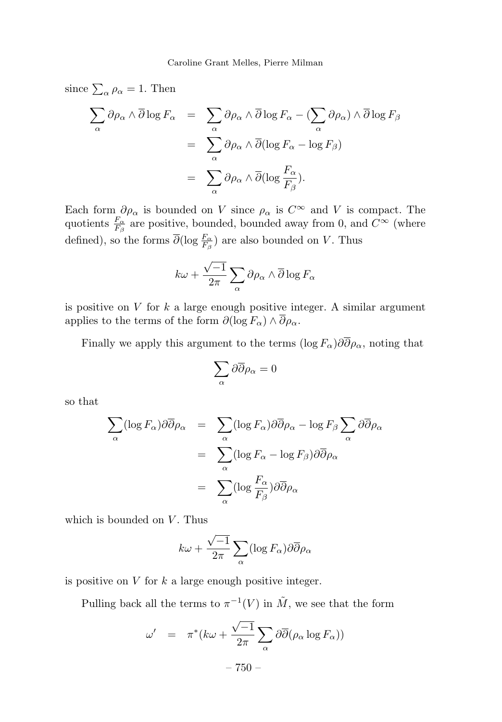since  $\sum_{\alpha} \rho_{\alpha} = 1$ . Then

$$
\sum_{\alpha} \partial \rho_{\alpha} \wedge \overline{\partial} \log F_{\alpha} = \sum_{\alpha} \partial \rho_{\alpha} \wedge \overline{\partial} \log F_{\alpha} - (\sum_{\alpha} \partial \rho_{\alpha}) \wedge \overline{\partial} \log F_{\beta}
$$

$$
= \sum_{\alpha} \partial \rho_{\alpha} \wedge \overline{\partial} (\log F_{\alpha} - \log F_{\beta})
$$

$$
= \sum_{\alpha} \partial \rho_{\alpha} \wedge \overline{\partial} (\log \frac{F_{\alpha}}{F_{\beta}}).
$$

Each form  $\partial \rho_{\alpha}$  is bounded on *V* since  $\rho_{\alpha}$  is  $C^{\infty}$  and *V* is compact. The quotients  $\frac{F_{\alpha}}{F_{\beta}}$  are positive, bounded, bounded away from 0, and  $C^{\infty}$  (where defined), so the forms  $\overline{\partial}(\log \frac{F_{\alpha}}{F_{\beta}})$  are also bounded on *V*. Thus

$$
k\omega + \frac{\sqrt{-1}}{2\pi} \sum_{\alpha} \partial \rho_{\alpha} \wedge \overline{\partial} \log F_{\alpha}
$$

is positive on *V* for *k* a large enough positive integer. A similar argument applies to the terms of the form  $\partial(\log F_{\alpha}) \wedge \overline{\partial}\rho_{\alpha}$ .

Finally we apply this argument to the terms (log  $F_{\alpha}$ ) $\partial \overline{\partial} \rho_{\alpha}$ , noting that

$$
\sum_{\alpha} \partial \overline{\partial} \rho_{\alpha} = 0
$$

so that

$$
\sum_{\alpha} (\log F_{\alpha}) \partial \overline{\partial} \rho_{\alpha} = \sum_{\alpha} (\log F_{\alpha}) \partial \overline{\partial} \rho_{\alpha} - \log F_{\beta} \sum_{\alpha} \partial \overline{\partial} \rho_{\alpha}
$$

$$
= \sum_{\alpha} (\log F_{\alpha} - \log F_{\beta}) \partial \overline{\partial} \rho_{\alpha}
$$

$$
= \sum_{\alpha} (\log \frac{F_{\alpha}}{F_{\beta}}) \partial \overline{\partial} \rho_{\alpha}
$$

which is bounded on *V*. Thus

$$
k\omega + \frac{\sqrt{-1}}{2\pi} \sum_{\alpha} (\log F_{\alpha}) \partial \overline{\partial} \rho_{\alpha}
$$

is positive on *V* for *k* a large enough positive integer.

Pulling back all the terms to  $\pi^{-1}(V)$  in  $\tilde{M}$ , we see that the form

$$
\omega' = \pi^* (k\omega + \frac{\sqrt{-1}}{2\pi} \sum_{\alpha} \partial \overline{\partial} (\rho_{\alpha} \log F_{\alpha}))
$$

– 750 –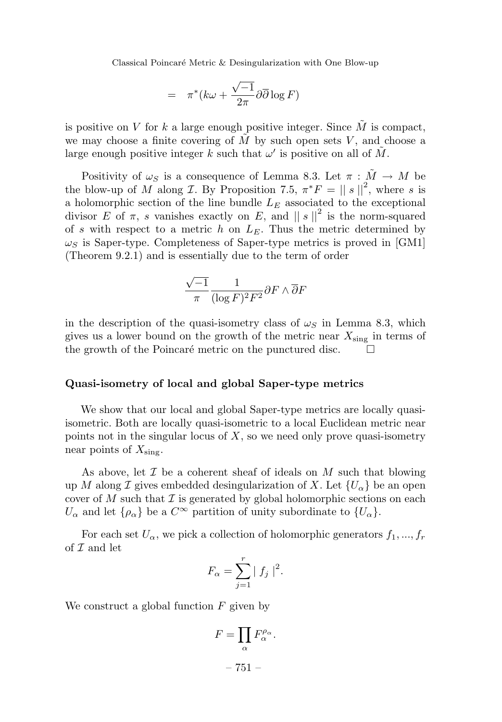Classical Poincaré Metric & Desingularization with One Blow-up

$$
= \pi^*(k\omega + \frac{\sqrt{-1}}{2\pi}\partial\overline{\partial}\log F)
$$

is positive on *V* for *k* a large enough positive integer. Since  $\tilde{M}$  is compact, we may choose a finite covering of  $\tilde{M}$  by such open sets *V*, and choose a large enough positive integer *k* such that  $\omega'$  is positive on all of  $\tilde{M}$ .

Positivity of  $\omega_S$  is a consequence of Lemma 8.3. Let  $\pi : \tilde{M} \to M$  be the blow-up of *M* along *I*. By Proposition 7.5,  $\pi^*F = ||s||^2$ , where *s* is a holomorphic section of the line bundle  $L_E$  associated to the exceptional divisor *E* of  $\pi$ , *s* vanishes exactly on *E*, and  $||s||^2$  is the norm-squared of *s* with respect to a metric  $h$  on  $L<sub>E</sub>$ . Thus the metric determined by  $\omega$ *S* is Saper-type. Completeness of Saper-type metrics is proved in [GM1] (Theorem 9.2.1) and is essentially due to the term of order

$$
\frac{\sqrt{-1}}{\pi} \frac{1}{(\log F)^2 F^2} \partial F \wedge \overline{\partial} F
$$

in the description of the quasi-isometry class of  $\omega<sub>S</sub>$  in Lemma 8.3, which gives us a lower bound on the growth of the metric near  $X_{\text{sing}}$  in terms of the growth of the Poincaré metric on the punctured disc.

# **Quasi-isometry of local and global Saper-type metrics**

We show that our local and global Saper-type metrics are locally quasiisometric. Both are locally quasi-isometric to a local Euclidean metric near points not in the singular locus of *X*, so we need only prove quasi-isometry near points of *X*sing.

As above, let I be a coherent sheaf of ideals on *M* such that blowing up *M* along *I* gives embedded desingularization of *X*. Let  ${U_\alpha}$  be an open cover of *M* such that  $\mathcal I$  is generated by global holomorphic sections on each  $U_{\alpha}$  and let  $\{\rho_{\alpha}\}\)$  be a  $C^{\infty}$  partition of unity subordinate to  $\{U_{\alpha}\}\)$ .

For each set  $U_{\alpha}$ , we pick a collection of holomorphic generators  $f_1, ..., f_r$ of  $\mathcal I$  and let

$$
F_{\alpha} = \sum_{j=1}^{r} |f_j|^2.
$$

We construct a global function *F* given by

$$
F = \prod_{\alpha} F_{\alpha}^{\rho_{\alpha}}.
$$

– 751 –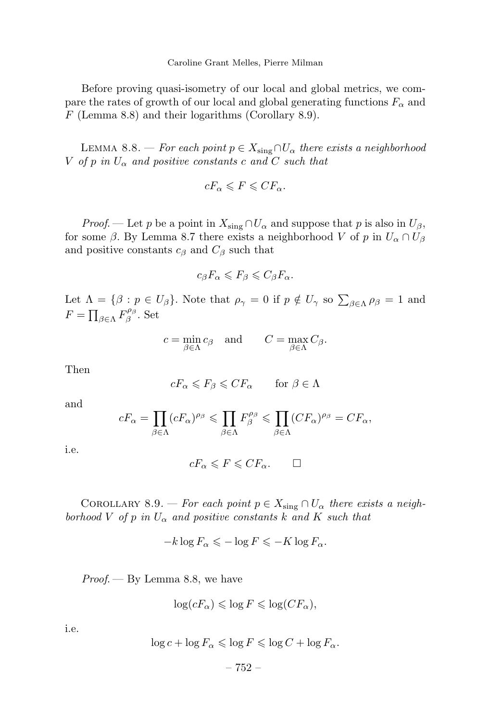Before proving quasi-isometry of our local and global metrics, we compare the rates of growth of our local and global generating functions  $F_\alpha$  and *F* (Lemma 8.8) and their logarithms (Corollary 8.9).

LEMMA 8.8. — For each point  $p \in X_{\text{sing}} \cap U_\alpha$  there exists a neighborhood *V* of *p* in  $U_{\alpha}$  and positive constants *c* and *C* such that

$$
cF_{\alpha} \leqslant F \leqslant CF_{\alpha}.
$$

*Proof.* — Let *p* be a point in  $X_{\text{sing}} \cap U_{\alpha}$  and suppose that *p* is also in  $U_{\beta}$ , for some  $\beta$ . By Lemma 8.7 there exists a neighborhood *V* of *p* in  $U_{\alpha} \cap U_{\beta}$ and positive constants  $c_{\beta}$  and  $C_{\beta}$  such that

$$
c_{\beta}F_{\alpha}\leqslant F_{\beta}\leqslant C_{\beta}F_{\alpha}.
$$

Let  $\Lambda = {\beta : p \in U_\beta}$ . Note that  $\rho_\gamma = 0$  if  $p \notin U_\gamma$  so  $\sum_{\beta \in \Lambda} \rho_\beta = 1$  and  $F = \prod_{\beta \in \Lambda} F^{\rho_{\beta}}_{\beta}$ . Set

$$
c = \min_{\beta \in \Lambda} c_{\beta} \quad \text{and} \quad C = \max_{\beta \in \Lambda} C_{\beta}.
$$

Then

$$
cF_{\alpha} \leqslant F_{\beta} \leqslant CF_{\alpha} \qquad \text{for } \beta \in \Lambda
$$

and

$$
cF_{\alpha} = \prod_{\beta \in \Lambda} (cF_{\alpha})^{\rho_{\beta}} \leq \prod_{\beta \in \Lambda} F_{\beta}^{\rho_{\beta}} \leq \prod_{\beta \in \Lambda} (CF_{\alpha})^{\rho_{\beta}} = CF_{\alpha},
$$

i.e.

$$
cF_{\alpha} \leqslant F \leqslant CF_{\alpha}.\qquad \Box
$$

COROLLARY 8.9. — For each point  $p \in X_{sing} \cap U_\alpha$  there exists a neighborhood *V* of *p* in  $U_{\alpha}$  and positive constants *k* and *K* such that

$$
-k\log F_{\alpha} \leqslant -\log F \leqslant -K\log F_{\alpha}.
$$

 $Proof.$  — By Lemma 8.8, we have

$$
\log(cF_{\alpha}) \leqslant \log F \leqslant \log(CF_{\alpha}),
$$

i.e.

$$
\log c + \log F_{\alpha} \leqslant \log F \leqslant \log C + \log F_{\alpha}.
$$

$$
-752-
$$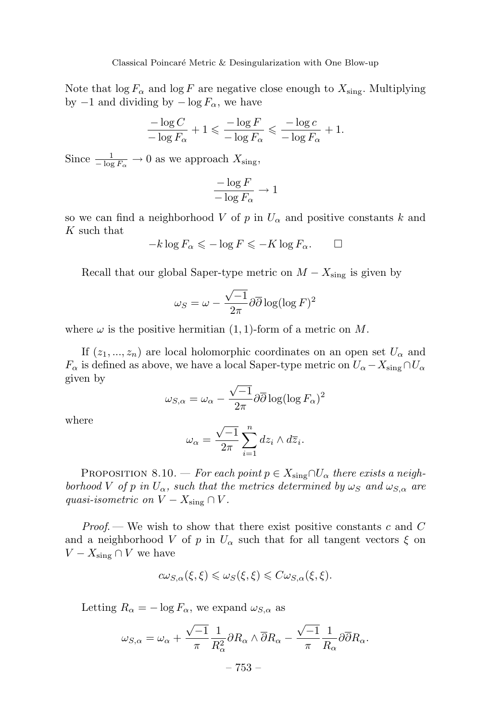Note that  $\log F_{\alpha}$  and  $\log F$  are negative close enough to  $X_{\text{sing}}$ . Multiplying by  $-1$  and dividing by  $-\log F_\alpha$ , we have

$$
\frac{-\log C}{-\log F_{\alpha}}+1 \leqslant \frac{-\log F}{-\log F_{\alpha}} \leqslant \frac{-\log c}{-\log F_{\alpha}}+1.
$$

Since  $\frac{1}{-\log F_\alpha} \to 0$  as we approach  $X_{\text{sing}}$ ,

$$
\frac{-\log F}{-\log F_{\alpha}} \to 1
$$

so we can find a neighborhood *V* of *p* in  $U_{\alpha}$  and positive constants *k* and *K* such that

$$
-k\log F_{\alpha} \leqslant -\log F \leqslant -K\log F_{\alpha}.\qquad \Box
$$

Recall that our global Saper-type metric on  $M - X_{\text{sing}}$  is given by

$$
\omega_S = \omega - \frac{\sqrt{-1}}{2\pi} \partial \overline{\partial} \log(\log F)^2
$$

where  $\omega$  is the positive hermitian  $(1, 1)$ -form of a metric on M.

If  $(z_1, ..., z_n)$  are local holomorphic coordinates on an open set  $U_\alpha$  and  $F_{\alpha}$  is defined as above, we have a local Saper-type metric on  $U_{\alpha} - X_{\text{sing}} \cap U_{\alpha}$ given by

$$
\omega_{S,\alpha} = \omega_{\alpha} - \frac{\sqrt{-1}}{2\pi} \partial \overline{\partial} \log(\log F_{\alpha})^2
$$

where

$$
\omega_{\alpha} = \frac{\sqrt{-1}}{2\pi} \sum_{i=1}^{n} dz_i \wedge d\overline{z}_i.
$$

PROPOSITION 8.10. — For each point  $p \in X_{sing} \cap U_\alpha$  there exists a neighborhood *V* of *p* in  $U_{\alpha}$ , such that the metrics determined by  $\omega_S$  and  $\omega_{S,\alpha}$  are quasi-isometric on  $V - X_{\text{sing}} \cap V$ .

Proof. — We wish to show that there exist positive constants *c* and *C* and a neighborhood *V* of *p* in  $U_{\alpha}$  such that for all tangent vectors  $\xi$  on  $V - X_{\text{sing}} \cap V$  we have

$$
c\omega_{S,\alpha}(\xi,\xi) \leq \omega_S(\xi,\xi) \leq C\omega_{S,\alpha}(\xi,\xi).
$$

Letting  $R_{\alpha} = -\log F_{\alpha}$ , we expand  $\omega_{S,\alpha}$  as

$$
\omega_{S,\alpha} = \omega_{\alpha} + \frac{\sqrt{-1}}{\pi} \frac{1}{R_{\alpha}^2} \partial R_{\alpha} \wedge \overline{\partial} R_{\alpha} - \frac{\sqrt{-1}}{\pi} \frac{1}{R_{\alpha}} \partial \overline{\partial} R_{\alpha}.
$$

$$
-753 -
$$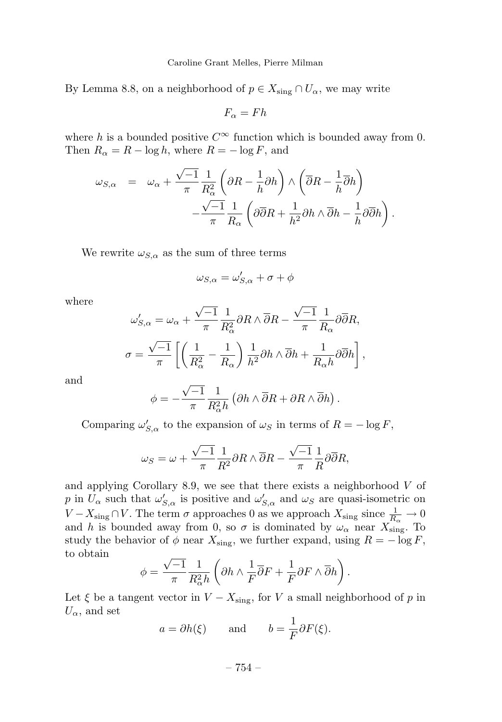Caroline Grant Melles, Pierre Milman

By Lemma 8.8, on a neighborhood of  $p \in X_{sing} \cap U_\alpha$ , we may write

$$
F_{\alpha}=Fh
$$

where *h* is a bounded positive  $C^{\infty}$  function which is bounded away from 0. Then  $R_{\alpha} = R - \log h$ , where  $R = - \log F$ , and

$$
\begin{array}{rcl} \displaystyle \omega_{S,\alpha}&=&\displaystyle \omega_{\alpha}+\frac{\sqrt{-1}}{\pi}\frac{1}{R^2_{\alpha}}\left(\partial R-\frac{1}{h}\partial h\right)\wedge\left(\overline{\partial}R-\frac{1}{h}\overline{\partial}h\right)\\ & & \displaystyle -\frac{\sqrt{-1}}{\pi}\frac{1}{R_{\alpha}}\left(\partial\overline{\partial}R+\frac{1}{h^2}\partial h\wedge\overline{\partial}h-\frac{1}{h}\partial\overline{\partial}h\right). \end{array}
$$

We rewrite  $\omega_{S,\alpha}$  as the sum of three terms

$$
\omega_{S,\alpha} = \omega'_{S,\alpha} + \sigma + \phi
$$

where

$$
\omega'_{S,\alpha} = \omega_{\alpha} + \frac{\sqrt{-1}}{\pi} \frac{1}{R_{\alpha}^2} \partial R \wedge \overline{\partial} R - \frac{\sqrt{-1}}{\pi} \frac{1}{R_{\alpha}} \partial \overline{\partial} R,
$$
  

$$
\sigma = \frac{\sqrt{-1}}{\pi} \left[ \left( \frac{1}{R_{\alpha}^2} - \frac{1}{R_{\alpha}} \right) \frac{1}{h^2} \partial h \wedge \overline{\partial} h + \frac{1}{R_{\alpha}h} \partial \overline{\partial} h \right],
$$

and

$$
\phi = -\frac{\sqrt{-1}}{\pi} \frac{1}{R_{\alpha}^2 h} \left( \partial h \wedge \overline{\partial} R + \partial R \wedge \overline{\partial} h \right).
$$

Comparing  $\omega'_{S,\alpha}$  to the expansion of  $\omega_S$  in terms of  $R = -\log F$ ,

$$
\omega_S = \omega + \frac{\sqrt{-1}}{\pi} \frac{1}{R^2} \partial R \wedge \overline{\partial} R - \frac{\sqrt{-1}}{\pi} \frac{1}{R} \partial \overline{\partial} R,
$$

and applying Corollary 8.9, we see that there exists a neighborhood *V* of *p* in  $U_{\alpha}$  such that  $\omega'_{S,\alpha}$  is positive and  $\omega'_{S,\alpha}$  and  $\omega_S$  are quasi-isometric on *V* −  $X_{\text{sing}} \cap V$ . The term  $\sigma$  approaches 0 as we approach  $X_{\text{sing}}$  since  $\frac{1}{R_{\alpha}} \to 0$ and *h* is bounded away from 0, so  $\sigma$  is dominated by  $\omega_{\alpha}$  near  $X_{\text{sing}}^{\alpha}$ . To study the behavior of  $\phi$  near  $X_{\text{sing}}$ , we further expand, using  $R = -\log F$ , to obtain

$$
\phi = \frac{\sqrt{-1}}{\pi} \frac{1}{R_{\alpha}^2 h} \left( \partial h \wedge \frac{1}{F} \overline{\partial} F + \frac{1}{F} \partial F \wedge \overline{\partial} h \right).
$$

Let  $\xi$  be a tangent vector in  $V - X_{sing}$ , for *V* a small neighborhood of *p* in  $U_{\alpha}$ , and set

$$
a = \partial h(\xi)
$$
 and  $b = \frac{1}{F} \partial F(\xi)$ .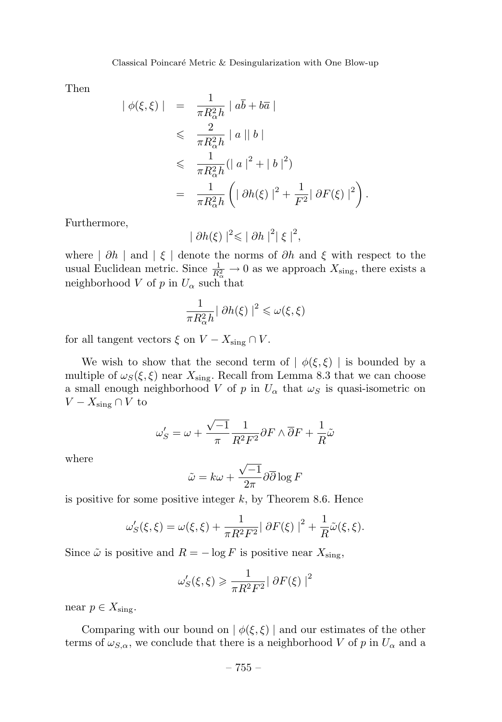Then

$$
\begin{array}{rcl} \left| \; \phi(\xi,\xi) \; \right| & = & \frac{1}{\pi R_{\alpha}^2 h} \; \left| \; a\overline{b} + b\overline{a} \; \right| \\ & \leqslant & \frac{2}{\pi R_{\alpha}^2 h} \; \left| \; a \; \right| \; b \; \right| \\ & \leqslant & \frac{1}{\pi R_{\alpha}^2 h} \left( \left| \; a \; \right|^2 + \left| \; b \; \right|^2 \right) \\ & = & \frac{1}{\pi R_{\alpha}^2 h} \left( \left| \; \partial h(\xi) \; \right|^2 + \frac{1}{F^2} \left| \; \partial F(\xi) \; \right|^2 \right). \end{array}
$$

Furthermore,

$$
|\partial h(\xi)|^2 \leqslant |\partial h|^2 |\xi|^2,
$$

where | *∂h* | and | *ξ* | denote the norms of *∂h* and *ξ* with respect to the usual Euclidean metric. Since  $\frac{1}{R^2_{\alpha}} \to 0$  as we approach  $X_{\text{sing}}$ , there exists a neighborhood *V* of *p* in  $U_{\alpha}$  such that

$$
\frac{1}{\pi R_{\alpha}^2 h} |\partial h(\xi)|^2 \leq \omega(\xi, \xi)
$$

for all tangent vectors  $\xi$  on  $V - X_{sing} \cap V$ .

We wish to show that the second term of  $\phi(\xi, \xi)$  is bounded by a multiple of  $\omega_S(\xi, \xi)$  near  $X_{\text{sing}}$ . Recall from Lemma 8.3 that we can choose a small enough neighborhood *V* of *p* in  $U_{\alpha}$  that  $\omega_S$  is quasi-isometric on *V* −  $X_{\text{sing}}$  ∩ *V* to

$$
\omega'_{S} = \omega + \frac{\sqrt{-1}}{\pi} \frac{1}{R^2 F^2} \partial F \wedge \overline{\partial} F + \frac{1}{R} \tilde{\omega}
$$

where

$$
\tilde{\omega} = k\omega + \frac{\sqrt{-1}}{2\pi} \partial \overline{\partial} \log F
$$

is positive for some positive integer *k*, by Theorem 8.6. Hence

$$
\omega'_{S}(\xi,\xi) = \omega(\xi,\xi) + \frac{1}{\pi R^2 F^2} |\partial F(\xi)|^2 + \frac{1}{R}\tilde{\omega}(\xi,\xi).
$$

Since  $\tilde{\omega}$  is positive and  $R = -\log F$  is positive near  $X_{\text{sing}}$ ,

$$
\omega'_{S}(\xi,\xi) \geqslant \frac{1}{\pi R^2 F^2} |\partial F(\xi)|^2
$$

near  $p \in X_{\text{sing}}$ .

Comparing with our bound on  $|\phi(\xi, \xi)|$  and our estimates of the other terms of  $\omega_{S,\alpha}$ , we conclude that there is a neighborhood *V* of *p* in  $U_{\alpha}$  and a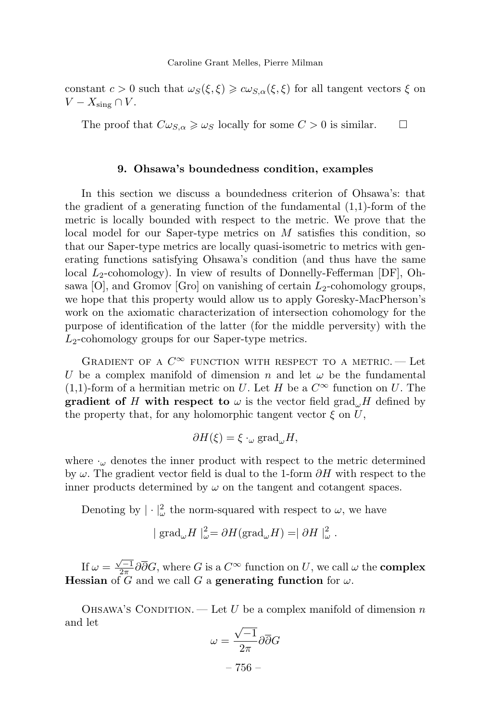constant  $c > 0$  such that  $\omega_S(\xi, \xi) \geq c \omega_{S,\alpha}(\xi, \xi)$  for all tangent vectors  $\xi$  on *V* −  $X_{\text{sing}} \cap V$ .

The proof that  $C\omega_{S,\alpha} \geq \omega_S$  locally for some  $C > 0$  is similar.  $\square$ 

# **9. Ohsawa's boundedness condition, examples**

In this section we discuss a boundedness criterion of Ohsawa's: that the gradient of a generating function of the fundamental (1,1)-form of the metric is locally bounded with respect to the metric. We prove that the local model for our Saper-type metrics on *M* satisfies this condition, so that our Saper-type metrics are locally quasi-isometric to metrics with generating functions satisfying Ohsawa's condition (and thus have the same local *L*2-cohomology). In view of results of Donnelly-Fefferman [DF], Ohsawa [O], and Gromov [Gro] on vanishing of certain *L*2-cohomology groups, we hope that this property would allow us to apply Goresky-MacPherson's work on the axiomatic characterization of intersection cohomology for the purpose of identification of the latter (for the middle perversity) with the *L*2-cohomology groups for our Saper-type metrics.

GRADIENT OF A  $C^{\infty}$  function with respect to a metric. — Let *U* be a complex manifold of dimension *n* and let  $\omega$  be the fundamental (1,1)-form of a hermitian metric on *U*. Let *H* be a  $C^{\infty}$  function on *U*. The **gradient of** *H* with respect to  $\omega$  is the vector field grad<sub> $\omega$ </sub>*H* defined by the property that, for any holomorphic tangent vector  $\xi$  on  $U$ ,

$$
\partial H(\xi) = \xi \cdot_{\omega} \text{grad}_{\omega} H,
$$

where  $\cdot_{\omega}$  denotes the inner product with respect to the metric determined by *ω*. The gradient vector field is dual to the 1-form *∂H* with respect to the inner products determined by  $\omega$  on the tangent and cotangent spaces.

Denoting by  $|\cdot|^2_{\omega}$  the norm-squared with respect to  $\omega$ , we have

$$
|\operatorname{grad}_{\omega} H|_{\omega}^2 = \partial H(\operatorname{grad}_{\omega} H) = |\partial H|_{\omega}^2.
$$

If  $\omega = \frac{\sqrt{-1}}{2\pi} \partial \overline{\partial} G$ , where *G* is a  $C^{\infty}$  function on *U*, we call  $\omega$  the **complex Hessian** of  $\tilde{G}$  and we call  $G$  a **generating function** for  $\omega$ .

OHSAWA'S CONDITION. — Let *U* be a complex manifold of dimension *n* and let

$$
\omega = \frac{\sqrt{-1}}{2\pi} \partial \overline{\partial} G
$$

– 756 –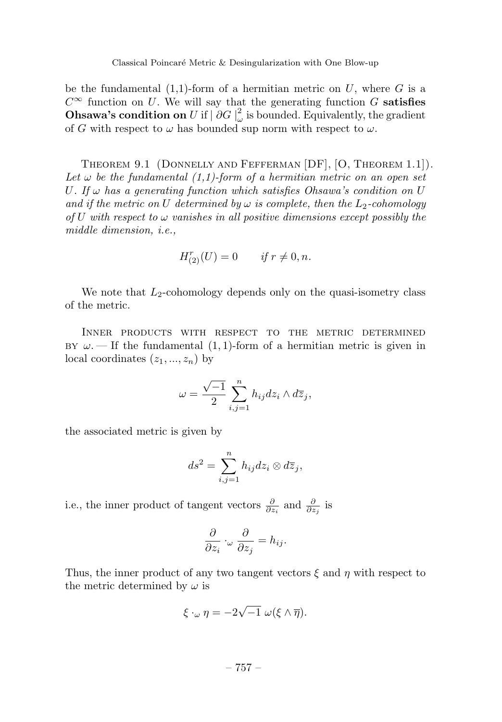be the fundamental (1,1)-form of a hermitian metric on *U*, where *G* is a *C*<sup>∞</sup> function on *U*. We will say that the generating function *G* **satisfies Ohsawa's condition on** *U* if  $|\partial G|_{\omega}^2$  is bounded. Equivalently, the gradient of *G* with respect to  $\omega$  has bounded sup norm with respect to  $\omega$ .

Theorem 9.1 (Donnelly and Fefferman [DF], [O, Theorem 1.1]). Let  $\omega$  be the fundamental (1,1)-form of a hermitian metric on an open set *U*. If *ω* has a generating function which satisfies Ohsawa's condition on *U* and if the metric on *U* determined by  $\omega$  is complete, then the  $L_2$ -cohomology of *U* with respect to  $\omega$  vanishes in all positive dimensions except possibly the middle dimension, i.e.,

$$
H^{r}_{(2)}(U) = 0 \qquad \text{if } r \neq 0, n.
$$

We note that *L*<sub>2</sub>-cohomology depends only on the quasi-isometry class of the metric.

Inner products with respect to the metric determined  $BY \omega$ . — If the fundamental  $(1, 1)$ -form of a hermitian metric is given in local coordinates  $(z_1, ..., z_n)$  by

$$
\omega = \frac{\sqrt{-1}}{2} \sum_{i,j=1}^{n} h_{ij} dz_i \wedge d\overline{z}_j,
$$

the associated metric is given by

$$
ds^2 = \sum_{i,j=1}^n h_{ij} dz_i \otimes d\overline{z}_j,
$$

i.e., the inner product of tangent vectors  $\frac{\partial}{\partial z_i}$  and  $\frac{\partial}{\partial z_j}$  is

$$
\frac{\partial}{\partial z_i} \cdot_\omega \frac{\partial}{\partial z_j} = h_{ij}.
$$

Thus, the inner product of any two tangent vectors *ξ* and *η* with respect to the metric determined by *ω* is

$$
\xi \cdot_{\omega} \eta = -2\sqrt{-1} \; \omega(\xi \wedge \overline{\eta}).
$$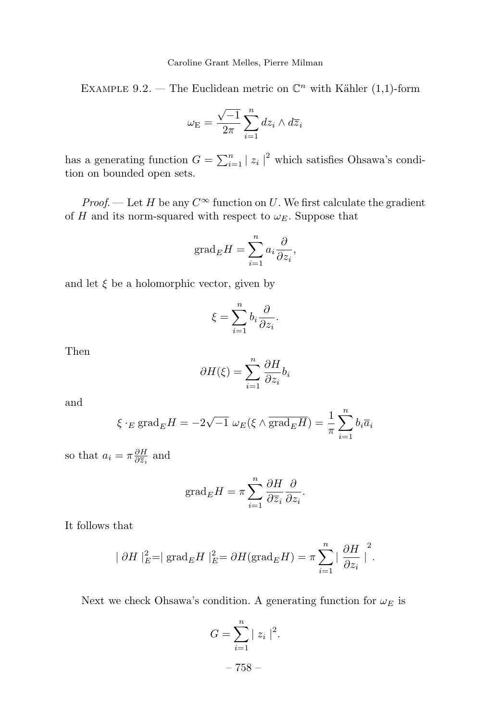Caroline Grant Melles, Pierre Milman

EXAMPLE 9.2. — The Euclidean metric on  $\mathbb{C}^n$  with Kähler (1,1)-form

$$
\omega_{\rm E} = \frac{\sqrt{-1}}{2\pi} \sum_{i=1}^{n} dz_i \wedge d\overline{z}_i
$$

has a generating function  $G = \sum_{i=1}^{n} |z_i|^2$  which satisfies Ohsawa's condition on bounded open sets.

*Proof.* — Let *H* be any  $C^{\infty}$  function on *U*. We first calculate the gradient of *H* and its norm-squared with respect to  $\omega_E$ . Suppose that

$$
\mathrm{grad}_E H = \sum_{i=1}^n a_i \frac{\partial}{\partial z_i},
$$

and let  $\xi$  be a holomorphic vector, given by

$$
\xi = \sum_{i=1}^n b_i \frac{\partial}{\partial z_i}.
$$

Then

$$
\partial H(\xi) = \sum_{i=1}^{n} \frac{\partial H}{\partial z_i} b_i
$$

and

$$
\xi \cdot_E \text{grad}_E H = -2\sqrt{-1} \omega_E (\xi \wedge \overline{\text{grad}_E H}) = \frac{1}{\pi} \sum_{i=1}^n b_i \overline{a}_i
$$

so that  $a_i = \pi \frac{\partial H}{\partial \overline{z}_i}$  and

$$
\mathrm{grad}_E H = \pi \sum_{i=1}^n \frac{\partial H}{\partial \overline{z}_i} \frac{\partial}{\partial z_i}.
$$

It follows that

$$
|\partial H|_{E}^{2} = |\operatorname{grad}_{E} H|_{E}^{2} = \partial H(\operatorname{grad}_{E} H) = \pi \sum_{i=1}^{n} |\frac{\partial H}{\partial z_{i}}|^{2}.
$$

Next we check Ohsawa's condition. A generating function for  $\omega_E$  is

$$
G = \sum_{i=1}^{n} |z_i|^2.
$$
  
- 758 -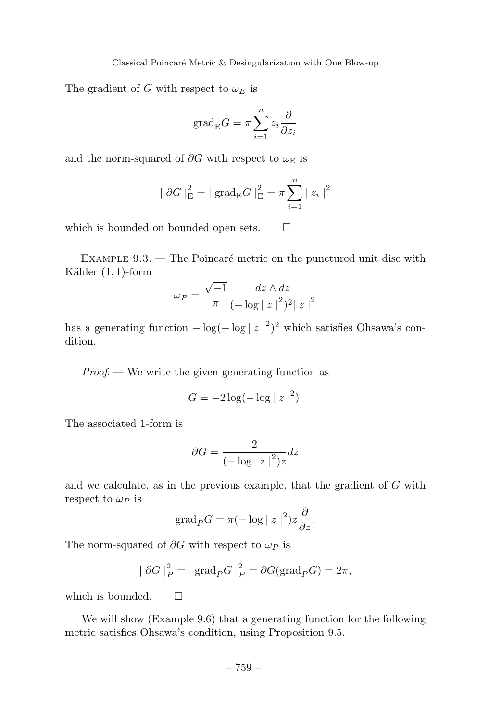The gradient of *G* with respect to  $\omega_E$  is

$$
\mathrm{grad}_{\mathrm{E}}G = \pi \sum_{i=1}^{n} z_i \frac{\partial}{\partial z_i}
$$

and the norm-squared of  $\partial G$  with respect to  $\omega_{\rm E}$  is

$$
|\partial G|_{\text{E}}^{2} = |\text{grad}_{\text{E}}G|_{\text{E}}^{2} = \pi \sum_{i=1}^{n} |z_{i}|^{2}
$$

which is bounded on bounded open sets.  $\Box$ 

EXAMPLE  $9.3.$  — The Poincaré metric on the punctured unit disc with Kähler  $(1, 1)$ -form

$$
\omega_P = \frac{\sqrt{-1}}{\pi} \frac{dz \wedge d\overline{z}}{(-\log|z|^2)^2 |z|^2}
$$

has a generating function  $-\log(-\log |z|^2)^2$  which satisfies Ohsawa's condition.

 $Proof.$  We write the given generating function as

$$
G = -2\log(-\log|z|^2).
$$

The associated 1-form is

$$
\partial G = \frac{2}{\left(-\log|z|^2\right)z}dz
$$

and we calculate, as in the previous example, that the gradient of *G* with respect to  $\omega_P$  is

$$
\mathrm{grad}_P G = \pi (-\log |z|^2) z \frac{\partial}{\partial z}.
$$

The norm-squared of *∂G* with respect to *ω<sup>P</sup>* is

$$
|\partial G|_P^2 = |\operatorname{grad}_P G|_P^2 = \partial G(\operatorname{grad}_P G) = 2\pi,
$$

which is bounded.  $\square$ 

We will show (Example 9.6) that a generating function for the following metric satisfies Ohsawa's condition, using Proposition 9.5.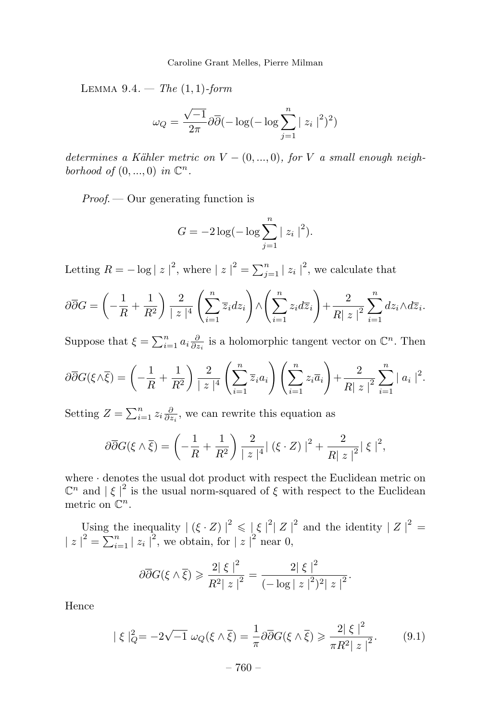Lemma 9.4. — The (1*,* 1)-form

$$
\omega_Q = \frac{\sqrt{-1}}{2\pi} \partial \overline{\partial} (-\log(-\log \sum_{j=1}^n |z_i|^2)^2)
$$

determines a Kähler metric on  $V = (0, ..., 0)$ , for *V* a small enough neighborhood of  $(0, ..., 0)$  in  $\mathbb{C}^n$ .

 $Proof.$  — Our generating function is

$$
G = -2\log(-\log \sum_{j=1}^{n} |z_i|^2).
$$

Letting  $R = -\log |z|^2$ , where  $|z|^2 = \sum_{j=1}^n |z_j|^2$ , we calculate that

$$
\partial \overline{\partial}G = \left(-\frac{1}{R} + \frac{1}{R^2}\right) \frac{2}{|z|^4} \left(\sum_{i=1}^n \overline{z}_i dz_i\right) \wedge \left(\sum_{i=1}^n z_i d\overline{z}_i\right) + \frac{2}{|R|z|^2} \sum_{i=1}^n dz_i \wedge d\overline{z}_i.
$$

Suppose that  $\xi = \sum_{i=1}^{n} a_i \frac{\partial}{\partial z_i}$  is a holomorphic tangent vector on  $\mathbb{C}^n$ . Then

$$
\partial \overline{\partial}G(\xi \wedge \overline{\xi}) = \left(-\frac{1}{R} + \frac{1}{R^2}\right) \frac{2}{|z|^4} \left(\sum_{i=1}^n \overline{z}_i a_i\right) \left(\sum_{i=1}^n z_i \overline{a}_i\right) + \frac{2}{R|z|^2} \sum_{i=1}^n |a_i|^2.
$$

Setting  $Z = \sum_{i=1}^{n} z_i \frac{\partial}{\partial z_i}$ , we can rewrite this equation as

$$
\partial \overline{\partial} G(\xi \wedge \overline{\xi}) = \left(-\frac{1}{R} + \frac{1}{R^2}\right) \frac{2}{|z|^4} |(\xi \cdot Z)|^2 + \frac{2}{|R|z|^2} |\xi|^2,
$$

where · denotes the usual dot product with respect the Euclidean metric on  $\mathbb{C}^n$  and  $|\xi|^2$  is the usual norm-squared of  $\xi$  with respect to the Euclidean metric on C*<sup>n</sup>*.

Using the inequality  $| (\xi \cdot Z) |^2 \leq | \xi |^2 | Z |^2$  and the identity  $| Z |^2 =$  $|z|^2 = \sum_{i=1}^n |z_i|^2$ , we obtain, for  $|z|^2$  near 0,

$$
\partial \overline{\partial} G(\xi \wedge \overline{\xi}) \geqslant \frac{2|\xi|^2}{R^2|\,z|^2} = \frac{2|\xi|^2}{(-\log|\,z\,|^2)^2|\,z|^2}.
$$

Hence

$$
|\xi|_Q^2 = -2\sqrt{-1}\,\omega_Q(\xi \wedge \overline{\xi}) = \frac{1}{\pi}\partial\overline{\partial}G(\xi \wedge \overline{\xi}) \ge \frac{2|\xi|^2}{\pi R^2|\,z|^2}.\tag{9.1}
$$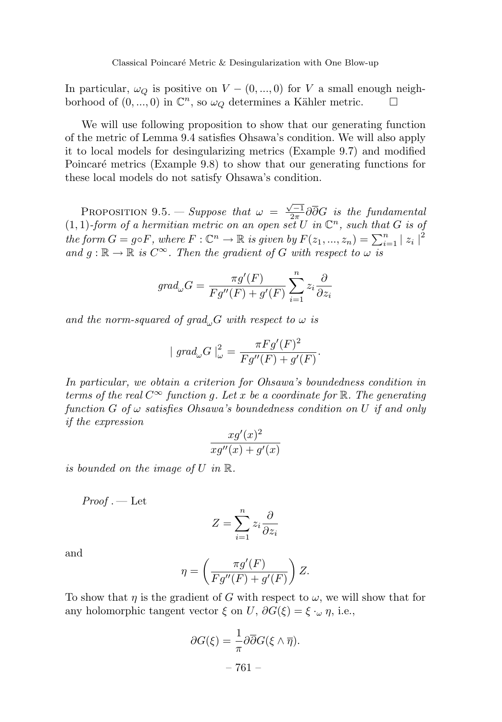In particular,  $\omega_{\mathcal{O}}$  is positive on  $V - (0, ..., 0)$  for *V* a small enough neighborhood of  $(0, ..., 0)$  in  $\mathbb{C}^n$ , so  $\omega_{\mathcal{O}}$  determines a Kähler metric.  $\square$ 

We will use following proposition to show that our generating function of the metric of Lemma 9.4 satisfies Ohsawa's condition. We will also apply it to local models for desingularizing metrics (Example 9.7) and modified Poincaré metrics (Example 9.8) to show that our generating functions for these local models do not satisfy Ohsawa's condition.

PROPOSITION 9.5. — Suppose that  $\omega = \frac{\sqrt{-1}}{2\pi} \partial \overline{\partial} G$  is the fundamental  $(1,1)$ -form of a hermitian metric on an open set U in  $\mathbb{C}^n$ , such that *G* is of the form  $G = g \circ F$ , where  $F : \mathbb{C}^n \to \mathbb{R}$  is given by  $F(z_1, ..., z_n) = \sum_{i=1}^n |z_i|^2$ and  $g : \mathbb{R} \to \mathbb{R}$  is  $C^{\infty}$ . Then the gradient of *G* with respect to  $\omega$  is

$$
grad_{\omega}G = \frac{\pi g'(F)}{Fg''(F) + g'(F)} \sum_{i=1}^{n} z_i \frac{\partial}{\partial z_i}
$$

and the norm-squared of grad<sub> $\omega$ </sub>*G* with respect to  $\omega$  is

$$
|grad_{\omega}G|_{\omega}^{2} = \frac{\pi Fg'(F)^{2}}{Fg''(F) + g'(F)}.
$$

In particular, we obtain a criterion for Ohsawa's boundedness condition in terms of the real  $C^{\infty}$  function q. Let x be a coordinate for R. The generating function  $G$  of  $\omega$  satisfies Ohsawa's boundedness condition on  $U$  if and only if the expression

$$
\frac{xg'(x)^2}{xg''(x)+g'(x)}
$$

is bounded on the image of *U* in R.

$$
\mathit{Proof} \, . - \, \mathrm{Let}
$$

$$
Z = \sum_{i=1}^{n} z_i \frac{\partial}{\partial z_i}
$$

and

$$
\eta = \left(\frac{\pi g'(F)}{Fg''(F) + g'(F)}\right)Z.
$$

To show that  $\eta$  is the gradient of *G* with respect to  $\omega$ , we will show that for any holomorphic tangent vector  $\xi$  on  $U$ ,  $\partial G(\xi) = \xi \cdot_{\omega} \eta$ , i.e.,

$$
\partial G(\xi) = \frac{1}{\pi} \partial \overline{\partial} G(\xi \wedge \overline{\eta}).
$$
  
- 761 -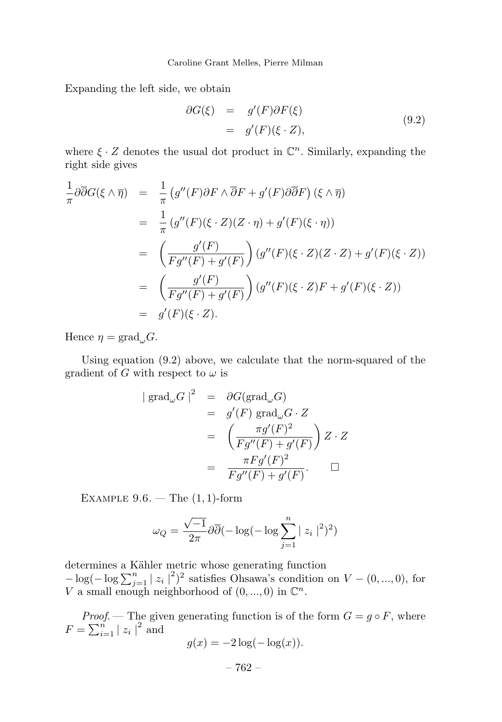Expanding the left side, we obtain

$$
\begin{aligned}\n\partial G(\xi) &= g'(F)\partial F(\xi) \\
&= g'(F)(\xi \cdot Z),\n\end{aligned} \tag{9.2}
$$

where  $\xi \cdot Z$  denotes the usual dot product in  $\mathbb{C}^n$ . Similarly, expanding the right side gives

$$
\frac{1}{\pi} \partial \overline{\partial} G(\xi \wedge \overline{\eta}) = \frac{1}{\pi} \left( g''(F) \partial F \wedge \overline{\partial} F + g'(F) \partial \overline{\partial} F \right) (\xi \wedge \overline{\eta})
$$
\n
$$
= \frac{1}{\pi} \left( g''(F)(\xi \cdot Z)(Z \cdot \eta) + g'(F)(\xi \cdot \eta) \right)
$$
\n
$$
= \left( \frac{g'(F)}{Fg''(F) + g'(F)} \right) \left( g''(F)(\xi \cdot Z)(Z \cdot Z) + g'(F)(\xi \cdot Z) \right)
$$
\n
$$
= \left( \frac{g'(F)}{Fg''(F) + g'(F)} \right) \left( g''(F)(\xi \cdot Z)F + g'(F)(\xi \cdot Z) \right)
$$
\n
$$
= g'(F)(\xi \cdot Z).
$$

Hence  $\eta = \text{grad}_{\omega} G$ .

Using equation (9.2) above, we calculate that the norm-squared of the gradient of *G* with respect to  $\omega$  is

$$
\begin{array}{rcl}\n|\operatorname{grad}_{\omega} G|^2 & = & \partial G(\operatorname{grad}_{\omega} G) \\
& = & g'(F) \operatorname{grad}_{\omega} G \cdot Z \\
& = & \left( \frac{\pi g'(F)^2}{Fg''(F) + g'(F)} \right) Z \cdot Z \\
& = & \frac{\pi F g'(F)^2}{Fg''(F) + g'(F)}.\n\end{array}
$$

Example 9.6. — The (1*,* 1)-form

$$
\omega_Q = \frac{\sqrt{-1}}{2\pi} \partial \overline{\partial} (-\log(-\log \sum_{j=1}^n |z_i|^2)^2)
$$

determines a Kähler metric whose generating function  $-\log(-\log\sum_{j=1}^{n} |z_i|^2)^2$  satisfies Ohsawa's condition on  $V - (0, ..., 0)$ , for *V* a small enough neighborhood of  $(0, ..., 0)$  in  $\mathbb{C}^n$ .

*Proof.* — The given generating function is of the form  $G = g \circ F$ , where  $F = \sum_{i=1}^{n} |z_i|^2$  and

$$
g(x) = -2\log(-\log(x)).
$$

$$
-762-
$$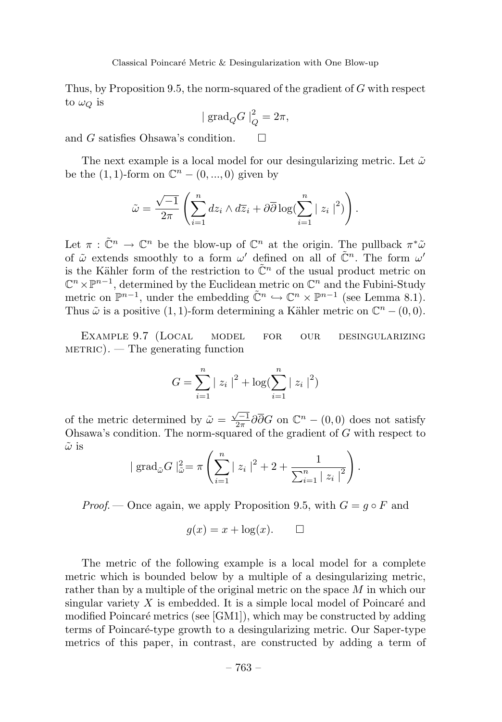Thus, by Proposition 9.5, the norm-squared of the gradient of *G* with respect to  $\omega_Q$  is

$$
|\operatorname{grad}_Q G|_Q^2 = 2\pi,
$$

and *G* satisfies Ohsawa's condition.  $\square$ 

The next example is a local model for our desingularizing metric. Let  $\tilde{\omega}$ be the  $(1, 1)$ -form on  $\mathbb{C}^n$  –  $(0, ..., 0)$  given by

$$
\tilde{\omega} = \frac{\sqrt{-1}}{2\pi} \left( \sum_{i=1}^n dz_i \wedge d\overline{z}_i + \partial \overline{\partial} \log \left( \sum_{i=1}^n |z_i|^2 \right) \right).
$$

Let  $\pi : \tilde{\mathbb{C}}^n \to \mathbb{C}^n$  be the blow-up of  $\mathbb{C}^n$  at the origin. The pullback  $\pi^*\tilde{\omega}$ of ˜*ω* extends smoothly to a form *ω* defined on all of C˜ *<sup>n</sup>*. The form *ω* is the Kähler form of the restriction to  $\tilde{\mathbb{C}}^n$  of the usual product metric on  $\mathbb{C}^n \times \mathbb{P}^{n-1}$ , determined by the Euclidean metric on  $\mathbb{C}^n$  and the Fubini-Study metric on  $\mathbb{P}^{n-1}$ , under the embedding  $\tilde{\mathbb{C}}^n \hookrightarrow \mathbb{C}^n \times \mathbb{P}^{n-1}$  (see Lemma 8.1). Thus  $\tilde{\omega}$  is a positive (1, 1)-form determining a Kähler metric on  $\mathbb{C}^n - (0,0)$ .

Example 9.7 (Local model for our desingularizing $METRIC$ ). — The generating function

$$
G = \sum_{i=1}^{n} |z_i|^2 + \log(\sum_{i=1}^{n} |z_i|^2)
$$

of the metric determined by  $\tilde{\omega} = \frac{\sqrt{-1}}{2\pi} \partial \overline{\partial} G$  on  $\mathbb{C}^n - (0,0)$  does not satisfy Ohsawa's condition. The norm-squared of the gradient of *G* with respect to *ω*˜ is

$$
|\operatorname{grad}_{\tilde{\omega}}G|_{\tilde{\omega}}^{2} = \pi \left( \sum_{i=1}^{n} |z_{i}|^{2} + 2 + \frac{1}{\sum_{i=1}^{n} |z_{i}|^{2}} \right).
$$

*Proof.* — Once again, we apply Proposition 9.5, with  $G = q \circ F$  and

$$
g(x) = x + \log(x). \qquad \Box
$$

The metric of the following example is a local model for a complete metric which is bounded below by a multiple of a desingularizing metric, rather than by a multiple of the original metric on the space *M* in which our singular variety  $X$  is embedded. It is a simple local model of Poincaré and modified Poincaré metrics (see  $[GM1]$ ), which may be constructed by adding terms of Poincaré-type growth to a desingularizing metric. Our Saper-type metrics of this paper, in contrast, are constructed by adding a term of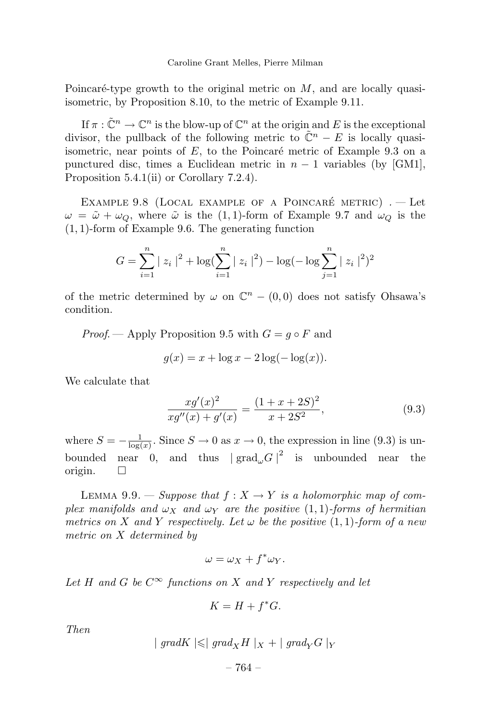Poincaré-type growth to the original metric on  $M$ , and are locally quasiisometric, by Proposition 8.10, to the metric of Example 9.11.

If  $\pi : \tilde{\mathbb{C}}^n \to \mathbb{C}^n$  is the blow-up of  $\mathbb{C}^n$  at the origin and *E* is the exceptional divisor, the pullback of the following metric to  $\tilde{\mathbb{C}}^n - E$  is locally quasiisometric, near points of  $E$ , to the Poincaré metric of Example 9.3 on a punctured disc, times a Euclidean metric in  $n-1$  variables (by [GM1], Proposition 5.4.1(ii) or Corollary 7.2.4).

EXAMPLE 9.8 (LOCAL EXAMPLE OF A POINCARÉ METRIC)  $. -$  Let  $\omega = \tilde{\omega} + \omega_Q$ , where  $\tilde{\omega}$  is the (1,1)-form of Example 9.7 and  $\omega_Q$  is the (1*,* 1)-form of Example 9.6. The generating function

$$
G = \sum_{i=1}^{n} |z_i|^2 + \log(\sum_{i=1}^{n} |z_i|^2) - \log(-\log \sum_{j=1}^{n} |z_i|^2)^2
$$

of the metric determined by  $\omega$  on  $\mathbb{C}^n - (0,0)$  does not satisfy Ohsawa's condition.

*Proof.* — Apply Proposition 9.5 with  $G = q \circ F$  and

$$
g(x) = x + \log x - 2\log(-\log(x)).
$$

We calculate that

$$
\frac{xg'(x)^2}{xg''(x) + g'(x)} = \frac{(1+x+2S)^2}{x+2S^2},
$$
\n(9.3)

where  $S = -\frac{1}{\log(x)}$ . Since  $S \to 0$  as  $x \to 0$ , the expression in line (9.3) is unbounded near 0, and thus  $|\text{ grad}_{\omega} G|^2$  is unbounded near the origin.  $\square$ 

LEMMA 9.9. — Suppose that  $f: X \to Y$  is a holomorphic map of complex manifolds and  $\omega_X$  and  $\omega_Y$  are the positive  $(1,1)$ -forms of hermitian metrics on *X* and *Y* respectively. Let  $\omega$  be the positive (1, 1)-form of a new metric on *X* determined by

$$
\omega = \omega_X + f^* \omega_Y.
$$

Let *H* and *G* be  $C^{\infty}$  functions on *X* and *Y* respectively and let

$$
K = H + f^*G.
$$

Then

$$
| \text{ grad } K \mid \leqslant | \text{ grad }_X H |_X + | \text{ grad }_Y G |_Y
$$

– 764 –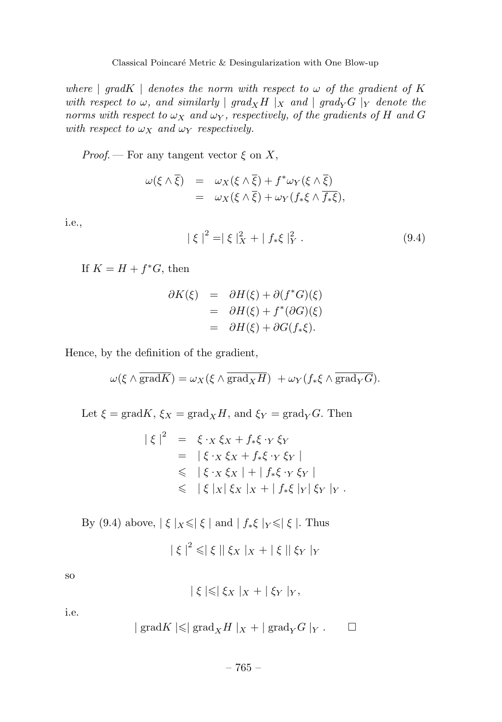Classical Poincaré Metric & Desingularization with One Blow-up

where |  $gradK$  | denotes the norm with respect to  $\omega$  of the gradient of K with respect to  $\omega$ , and similarly | grad<sub>X</sub>H |<sub>X</sub> and | grad<sub>Y</sub>G |<sub>Y</sub> denote the norms with respect to  $\omega_X$  and  $\omega_Y$ , respectively, of the gradients of *H* and *G* with respect to  $\omega_X$  and  $\omega_Y$  respectively.

*Proof.* — For any tangent vector  $\xi$  on X,

$$
\begin{array}{rcl}\n\omega(\xi \wedge \overline{\xi}) & = & \omega_X(\xi \wedge \overline{\xi}) + f^* \omega_Y(\xi \wedge \overline{\xi}) \\
& = & \omega_X(\xi \wedge \overline{\xi}) + \omega_Y(f_*\xi \wedge \overline{f_*\xi}),\n\end{array}
$$

i.e.,

$$
|\xi|^2 = |\xi|_X^2 + |f_*\xi|_Y^2.
$$
 (9.4)

If  $K = H + f^*G$ , then

$$
\partial K(\xi) = \partial H(\xi) + \partial (f^*G)(\xi)
$$
  
= 
$$
\partial H(\xi) + f^*(\partial G)(\xi)
$$
  
= 
$$
\partial H(\xi) + \partial G(f_*\xi).
$$

Hence, by the definition of the gradient,

$$
\omega(\xi \wedge \overline{\text{grad}K}) = \omega_X(\xi \wedge \overline{\text{grad}_X H}) + \omega_Y(f_*\xi \wedge \overline{\text{grad}_Y G}).
$$

Let  $\xi = \text{grad}K$ ,  $\xi_X = \text{grad}_X H$ , and  $\xi_Y = \text{grad}_Y G$ . Then

$$
\begin{array}{rcl} \n|\xi|^2 & = & \xi \cdot x \, \xi_X + f_* \xi \cdot_Y \, \xi_Y \\ \n& = & |\xi \cdot x \, \xi_X + f_* \xi \cdot_Y \, \xi_Y \, | \\ \n& \leq & |\xi \cdot x \, \xi_X \, | + | f_* \xi \cdot_Y \, \xi_Y \, | \\ \n& \leq & |\xi \, |x| \, \xi_X \, |x + | f_* \xi \, |Y| \, \xi_Y \, |Y \, . \n\end{array}
$$

By (9.4) above,  $|\xi|_X \leqslant |\xi|$  and  $|f_*\xi|_Y \leqslant |\xi|$ . Thus

$$
|\xi|^2 \leqslant |\xi| |\xi_X|_X + |\xi| |\xi_Y|_Y
$$

so

$$
|\xi| \leqslant |\xi_X|_X + |\xi_Y|_Y,
$$

i.e.

$$
| \operatorname{grad} K | \leqslant | \operatorname{grad}_X H |_X + | \operatorname{grad}_Y G |_Y . \square
$$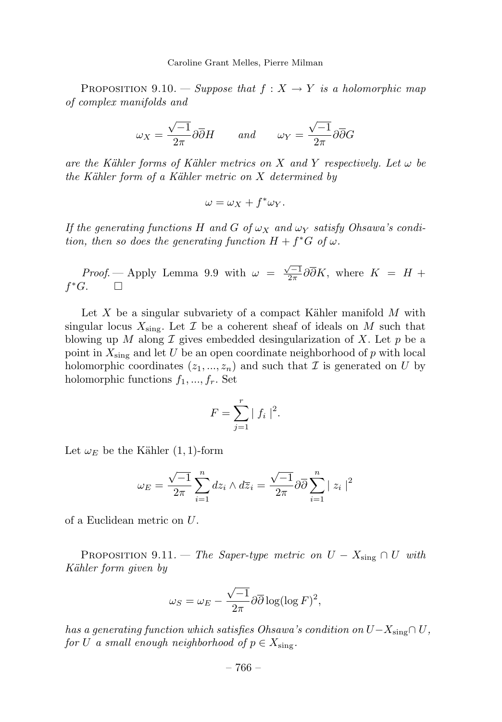Caroline Grant Melles, Pierre Milman

PROPOSITION 9.10. — Suppose that  $f: X \rightarrow Y$  is a holomorphic map of complex manifolds and

$$
\omega_X = \frac{\sqrt{-1}}{2\pi} \partial \overline{\partial} H \qquad and \qquad \omega_Y = \frac{\sqrt{-1}}{2\pi} \partial \overline{\partial} G
$$

are the K¨ahler forms of K¨ahler metrics on *X* and *Y* respectively. Let *ω* be the K¨ahler form of a K¨ahler metric on *X* determined by

$$
\omega = \omega_X + f^* \omega_Y.
$$

If the generating functions *H* and *G* of *ω<sup>X</sup>* and *ω<sup>Y</sup>* satisfy Ohsawa's condition, then so does the generating function  $H + f^*G$  of  $\omega$ .

Proof. — Apply Lemma 9.9 with  $\omega = \frac{\sqrt{-1}}{2\pi} \partial \overline{\partial} K$ , where  $K = H +$  $f^*G$ . □

Let  $X$  be a singular subvariety of a compact Kähler manifold  $M$  with singular locus  $X_{sing}$ . Let  $\mathcal I$  be a coherent sheaf of ideals on  $M$  such that blowing up *M* along  $\mathcal I$  gives embedded desingularization of  $X$ . Let  $p$  be a point in *X*sing and let *U* be an open coordinate neighborhood of *p* with local holomorphic coordinates  $(z_1, ..., z_n)$  and such that  $\mathcal I$  is generated on  $U$  by holomorphic functions *f*1*, ..., fr*. Set

$$
F = \sum_{j=1}^{r} |f_i|^2.
$$

Let  $\omega_E$  be the Kähler  $(1, 1)$ -form

$$
\omega_E = \frac{\sqrt{-1}}{2\pi} \sum_{i=1}^n dz_i \wedge d\overline{z}_i = \frac{\sqrt{-1}}{2\pi} \partial \overline{\partial} \sum_{i=1}^n |z_i|^2
$$

of a Euclidean metric on *U*.

PROPOSITION 9.11. — The Saper-type metric on  $U - X_{\text{sing}} \cap U$  with Kähler form given by

$$
\omega_S = \omega_E - \frac{\sqrt{-1}}{2\pi} \partial \overline{\partial} \log(\log F)^2,
$$

has a generating function which satisfies Ohsawa's condition on  $U - X_{sing} ∩ U$ , for *U* a small enough neighborhood of  $p \in X_{\text{sing}}$ .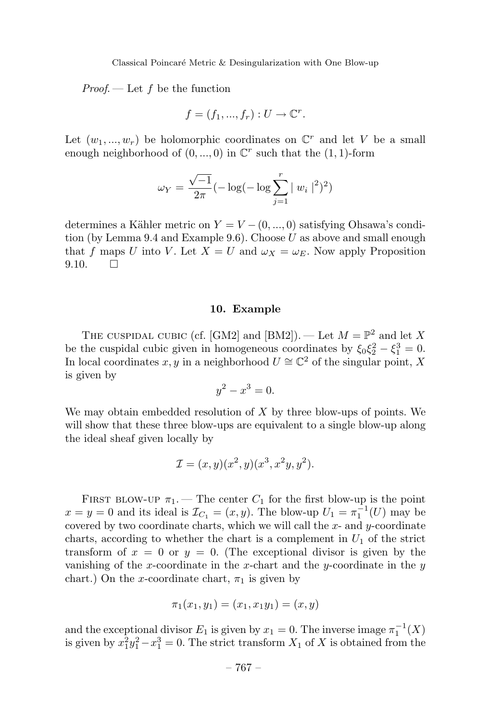Proof. — Let *f* be the function

$$
f = (f_1, ..., f_r) : U \to \mathbb{C}^r.
$$

Let  $(w_1, ..., w_r)$  be holomorphic coordinates on  $\mathbb{C}^r$  and let *V* be a small enough neighborhood of  $(0, ..., 0)$  in  $\mathbb{C}^r$  such that the  $(1, 1)$ -form

$$
\omega_Y = \frac{\sqrt{-1}}{2\pi} (-\log(-\log\sum_{j=1}^r |w_i|^2)^2)
$$

determines a Kähler metric on  $Y = V - (0, ..., 0)$  satisfying Ohsawa's condition (by Lemma 9.4 and Example 9.6). Choose *U* as above and small enough that *f* maps *U* into *V*. Let  $X = U$  and  $\omega_X = \omega_E$ . Now apply Proposition  $9.10.$   $\Box$ 

## **10. Example**

THE CUSPIDAL CUBIC (cf. [GM2] and [BM2]). — Let  $M = \mathbb{P}^2$  and let X be the cuspidal cubic given in homogeneous coordinates by  $\xi_0 \xi_2^2 - \xi_1^3 = 0$ . In local coordinates *x*, *y* in a neighborhood  $U \cong \mathbb{C}^2$  of the singular point, *X* is given by

$$
y^2 - x^3 = 0.
$$

We may obtain embedded resolution of *X* by three blow-ups of points. We will show that these three blow-ups are equivalent to a single blow-up along the ideal sheaf given locally by

$$
\mathcal{I} = (x, y)(x^2, y)(x^3, x^2y, y^2).
$$

FIRST BLOW-UP  $\pi_1$ . — The center  $C_1$  for the first blow-up is the point  $x = y = 0$  and its ideal is  $\mathcal{I}_{C_1} = (x, y)$ . The blow-up  $U_1 = \pi_1^{-1}(U)$  may be covered by two coordinate charts, which we will call the *x*- and *y*-coordinate charts, according to whether the chart is a complement in  $U_1$  of the strict transform of  $x = 0$  or  $y = 0$ . (The exceptional divisor is given by the vanishing of the *x*-coordinate in the *x*-chart and the *y*-coordinate in the *y* chart.) On the *x*-coordinate chart,  $\pi_1$  is given by

$$
\pi_1(x_1, y_1) = (x_1, x_1y_1) = (x, y)
$$

and the exceptional divisor  $E_1$  is given by  $x_1 = 0$ . The inverse image  $\pi_1^{-1}(X)$ is given by  $x_1^2 y_1^2 - x_1^3 = 0$ . The strict transform  $X_1$  of  $X$  is obtained from the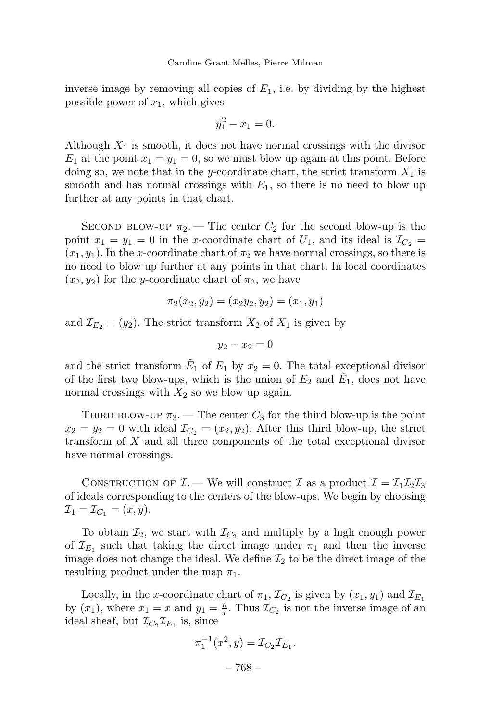inverse image by removing all copies of  $E_1$ , i.e. by dividing by the highest possible power of  $x_1$ , which gives

$$
y_1^2 - x_1 = 0.
$$

Although  $X_1$  is smooth, it does not have normal crossings with the divisor  $E_1$  at the point  $x_1 = y_1 = 0$ , so we must blow up again at this point. Before doing so, we note that in the *y*-coordinate chart, the strict transform  $X_1$  is smooth and has normal crossings with  $E_1$ , so there is no need to blow up further at any points in that chart.

SECOND BLOW-UP  $\pi_2$ . — The center  $C_2$  for the second blow-up is the point  $x_1 = y_1 = 0$  in the *x*-coordinate chart of  $U_1$ , and its ideal is  $\mathcal{I}_{C_2}$  $(x_1, y_1)$ . In the *x*-coordinate chart of  $\pi_2$  we have normal crossings, so there is no need to blow up further at any points in that chart. In local coordinates  $(x_2, y_2)$  for the *y*-coordinate chart of  $\pi_2$ , we have

$$
\pi_2(x_2, y_2) = (x_2y_2, y_2) = (x_1, y_1)
$$

and  $\mathcal{I}_{E_2} = (y_2)$ . The strict transform  $X_2$  of  $X_1$  is given by

$$
y_2 - x_2 = 0
$$

and the strict transform  $\tilde{E}_1$  of  $E_1$  by  $x_2 = 0$ . The total exceptional divisor of the first two blow-ups, which is the union of  $E_2$  and  $E_1$ , does not have normal crossings with  $X_2$  so we blow up again.

THIRD BLOW-UP  $\pi_3$ . — The center  $C_3$  for the third blow-up is the point  $x_2 = y_2 = 0$  with ideal  $\mathcal{I}_{C_2} = (x_2, y_2)$ . After this third blow-up, the strict transform of *X* and all three components of the total exceptional divisor have normal crossings.

CONSTRUCTION OF  $\mathcal{I}$ . — We will construct  $\mathcal{I}$  as a product  $\mathcal{I} = \mathcal{I}_1 \mathcal{I}_2 \mathcal{I}_3$ of ideals corresponding to the centers of the blow-ups. We begin by choosing  $\mathcal{I}_1 = \mathcal{I}_{C_1} = (x, y).$ 

To obtain  $\mathcal{I}_2$ , we start with  $\mathcal{I}_{C_2}$  and multiply by a high enough power of  $\mathcal{I}_{E_1}$  such that taking the direct image under  $\pi_1$  and then the inverse image does not change the ideal. We define  $\mathcal{I}_2$  to be the direct image of the resulting product under the map  $\pi_1$ .

Locally, in the *x*-coordinate chart of  $\pi_1$ ,  $\mathcal{I}_{C_2}$  is given by  $(x_1, y_1)$  and  $\mathcal{I}_{E_1}$ by  $(x_1)$ , where  $x_1 = x$  and  $y_1 = \frac{y}{x}$ . Thus  $\mathcal{I}_{C_2}$  is not the inverse image of an ideal sheaf, but  $\mathcal{I}_{C_2}\mathcal{I}_{E_1}$  is, since

$$
\pi_1^{-1}(x^2, y) = \mathcal{I}_{C_2} \mathcal{I}_{E_1}.
$$

– 768 –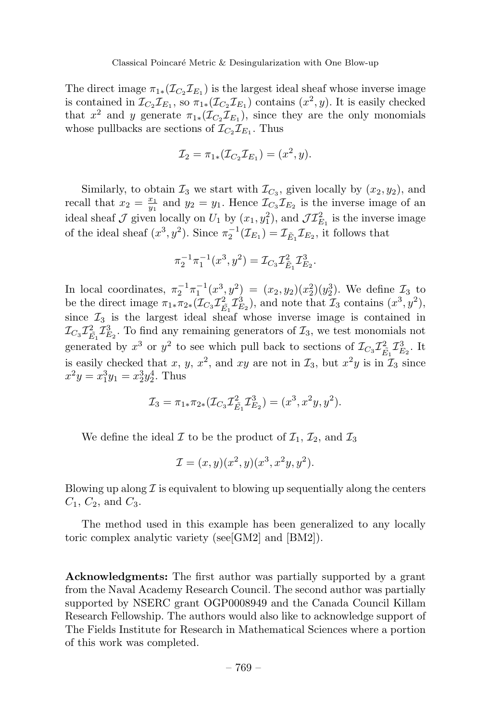The direct image  $\pi_{1*}(\mathcal{I}_{C_2} \mathcal{I}_{E_1})$  is the largest ideal sheaf whose inverse image is contained in  $\mathcal{I}_{C_2}\mathcal{I}_{E_1}$ , so  $\pi_{1*}(\mathcal{I}_{C_2}\mathcal{I}_{E_1})$  contains  $(x^2, y)$ . It is easily checked that  $x^2$  and *y* generate  $\pi_{1*}(\mathcal{I}_C, \mathcal{I}_{E_1})$ , since they are the only monomials whose pullbacks are sections of  $\mathcal{I}_{C_2} \mathcal{I}_{E_1}$ . Thus

$$
\mathcal{I}_2 = \pi_{1*}(\mathcal{I}_{C_2}\mathcal{I}_{E_1}) = (x^2, y).
$$

Similarly, to obtain  $\mathcal{I}_3$  we start with  $\mathcal{I}_{C_3}$ , given locally by  $(x_2, y_2)$ , and recall that  $x_2 = \frac{x_1}{y_1}$  and  $y_2 = y_1$ . Hence  $\mathcal{I}_{C_3} \mathcal{I}_{E_2}$  is the inverse image of an ideal sheaf  $\mathcal J$  given locally on  $U_1$  by  $(x_1, y_1^2)$ , and  $\mathcal{JI}_{E_1}^2$  is the inverse image of the ideal sheaf  $(x^3, y^2)$ . Since  $\pi_2^{-1}(\mathcal{I}_{E_1}) = \mathcal{I}_{\tilde{E}_1}\mathcal{I}_{E_2}$ , it follows that

$$
\pi_2^{-1}\pi_1^{-1}(x^3, y^2) = \mathcal{I}_{C_3}\mathcal{I}_{\tilde{E}_1}^2 \mathcal{I}_{E_2}^3.
$$

In local coordinates,  $\pi_2^{-1}\pi_1^{-1}(x^3, y^2) = (x_2, y_2)(x_2^2)(y_2^3)$ . We define  $\mathcal{I}_3$  to be the direct image  $\pi_{1*}\pi_{2*}(\mathcal{I}_{C_3}\mathcal{I}_{\tilde{E}_1}^2\mathcal{I}_{E_2}^3)$ , and note that  $\mathcal{I}_3$  contains  $(x^3, y^2)$ , since  $\mathcal{I}_3$  is the largest ideal sheaf whose inverse image is contained in  $\mathcal{I}_{C_3} \mathcal{I}_{\tilde{E_1}}^2 \mathcal{I}_{E_2}^3$ . To find any remaining generators of  $\mathcal{I}_3$ , we test monomials not generated by  $x^3$  or  $y^2$  to see which pull back to sections of  $\mathcal{I}_{C_3} \mathcal{I}_{\tilde{E_1}}^2 \mathcal{I}_{E_2}^3$ . It is easily checked that *x*, *y*, *x*<sup>2</sup>, and *xy* are not in  $\mathcal{I}_3$ , but  $x^2y$  is in  $\mathcal{I}_3$  since  $x^2y = x_1^3y_1 = x_2^3y_2^4$ . Thus

$$
\mathcal{I}_3 = \pi_{1*}\pi_{2*}(\mathcal{I}_{C_3}\mathcal{I}_{\tilde{E}_1}^2 \mathcal{I}_{E_2}^3) = (x^3, x^2y, y^2).
$$

We define the ideal  $\mathcal I$  to be the product of  $\mathcal I_1, \mathcal I_2$ , and  $\mathcal I_3$ 

$$
\mathcal{I} = (x, y)(x^2, y)(x^3, x^2y, y^2).
$$

Blowing up along  $\mathcal I$  is equivalent to blowing up sequentially along the centers *C*1, *C*2, and *C*3.

The method used in this example has been generalized to any locally toric complex analytic variety (see[GM2] and [BM2]).

**Acknowledgments:** The first author was partially supported by a grant from the Naval Academy Research Council. The second author was partially supported by NSERC grant OGP0008949 and the Canada Council Killam Research Fellowship. The authors would also like to acknowledge support of The Fields Institute for Research in Mathematical Sciences where a portion of this work was completed.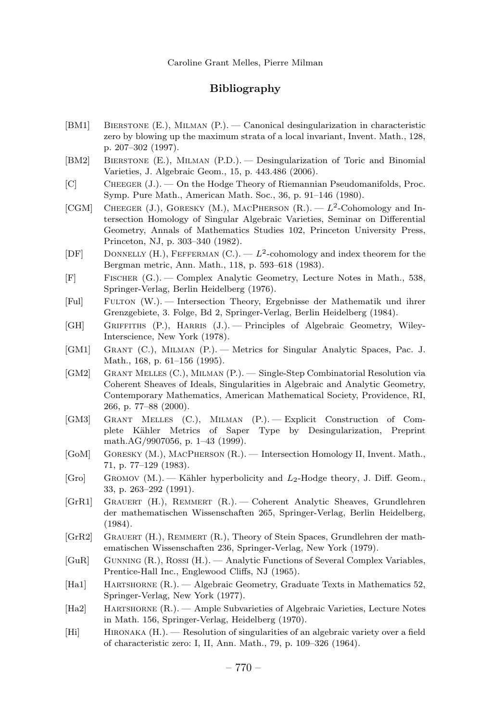## **Bibliography**

- [BM1] Bierstone (E.), Milman (P.). Canonical desingularization in characteristic zero by blowing up the maximum strata of a local invariant, Invent. Math., 128, p. 207–302 (1997).
- [BM2] Bierstone (E.), Milman (P.D.). Desingularization of Toric and Binomial Varieties, J. Algebraic Geom., 15, p. 443.486 (2006).
- [C] Cheeger (J.). On the Hodge Theory of Riemannian Pseudomanifolds, Proc. Symp. Pure Math., American Math. Soc., 36, p. 91–146 (1980).
- [CGM] CHEEGER  $(J)$ , GORESKY  $(M)$ , MACPHERSON  $(R)$ .  $L<sup>2</sup>$ -Cohomology and Intersection Homology of Singular Algebraic Varieties, Seminar on Differential Geometry, Annals of Mathematics Studies 102, Princeton University Press, Princeton, NJ, p. 303–340 (1982).
- [DF] DONNELLY (H.), FEFFERMAN  $(C)$ .  $-L^2$ -cohomology and index theorem for the Bergman metric, Ann. Math., 118, p. 593–618 (1983).
- [F] Fischer (G.). Complex Analytic Geometry, Lecture Notes in Math., 538, Springer-Verlag, Berlin Heidelberg (1976).
- [Ful] Fulton (W.). Intersection Theory, Ergebnisse der Mathematik und ihrer Grenzgebiete, 3. Folge, Bd 2, Springer-Verlag, Berlin Heidelberg (1984).
- [GH] GRIFFITHS (P.), HARRIS (J.). Principles of Algebraic Geometry, Wiley-Interscience, New York (1978).
- [GM1] Grant (C.), Milman (P.). Metrics for Singular Analytic Spaces, Pac. J. Math., 168, p. 61–156 (1995).
- [GM2] Grant Melles (C.), Milman (P.). Single-Step Combinatorial Resolution via Coherent Sheaves of Ideals, Singularities in Algebraic and Analytic Geometry, Contemporary Mathematics, American Mathematical Society, Providence, RI, 266, p. 77–88 (2000).
- [GM3] Grant Melles (C.), Milman (P.). Explicit Construction of Complete K¨ahler Metrics of Saper Type by Desingularization, Preprint math.AG/9907056, p. 1–43 (1999).
- [GoM] Goresky (M.), MacPherson (R.). Intersection Homology II, Invent. Math., 71, p. 77–129 (1983).
- [Gro] GROMOV  $(M.)$ . Kähler hyperbolicity and  $L_2$ -Hodge theory, J. Diff. Geom., 33, p. 263–292 (1991).
- [GrR1] Grauert (H.), Remmert (R.). Coherent Analytic Sheaves, Grundlehren der mathematischen Wissenschaften 265, Springer-Verlag, Berlin Heidelberg, (1984).
- [GrR2] GRAUERT (H.), REMMERT (R.), Theory of Stein Spaces, Grundlehren der mathematischen Wissenschaften 236, Springer-Verlag, New York (1979).
- [GuR] Gunning (R.), Rossi (H.). Analytic Functions of Several Complex Variables, Prentice-Hall Inc., Englewood Cliffs, NJ (1965).
- [Ha1] Hartshorne (R.). Algebraic Geometry, Graduate Texts in Mathematics 52, Springer-Verlag, New York (1977).
- [Ha2] Hartshorne (R.). Ample Subvarieties of Algebraic Varieties, Lecture Notes in Math. 156, Springer-Verlag, Heidelberg (1970).
- [Hi] Hironaka (H.). Resolution of singularities of an algebraic variety over a field of characteristic zero: I, II, Ann. Math., 79, p. 109–326 (1964).